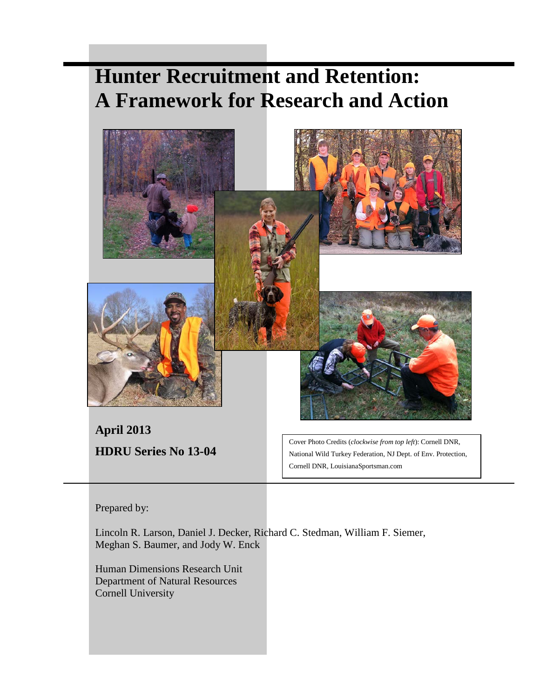# **Hunter Recruitment and Retention: A Framework for Research and Action**



Prepared by:

Lincoln R. Larson, Daniel J. Decker, Richard C. Stedman, William F. Siemer, Meghan S. Baumer, and Jody W. Enck

Human Dimensions Research Unit Department of Natural Resources Cornell University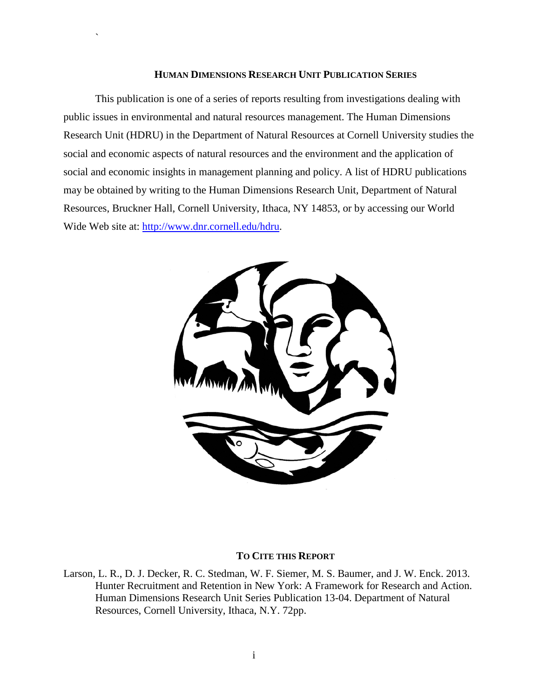#### **HUMAN DIMENSIONS RESEARCH UNIT PUBLICATION SERIES**

`

This publication is one of a series of reports resulting from investigations dealing with public issues in environmental and natural resources management. The Human Dimensions Research Unit (HDRU) in the Department of Natural Resources at Cornell University studies the social and economic aspects of natural resources and the environment and the application of social and economic insights in management planning and policy. A list of HDRU publications may be obtained by writing to the Human Dimensions Research Unit, Department of Natural Resources, Bruckner Hall, Cornell University, Ithaca, NY 14853, or by accessing our World Wide Web site at: [http://www.dnr.cornell.edu/hdru.](http://www.dnr.cornell.edu/hdru)



#### **TO CITE THIS REPORT**

Larson, L. R., D. J. Decker, R. C. Stedman, W. F. Siemer, M. S. Baumer, and J. W. Enck. 2013. Hunter Recruitment and Retention in New York: A Framework for Research and Action. Human Dimensions Research Unit Series Publication 13-04. Department of Natural Resources, Cornell University, Ithaca, N.Y. 72pp.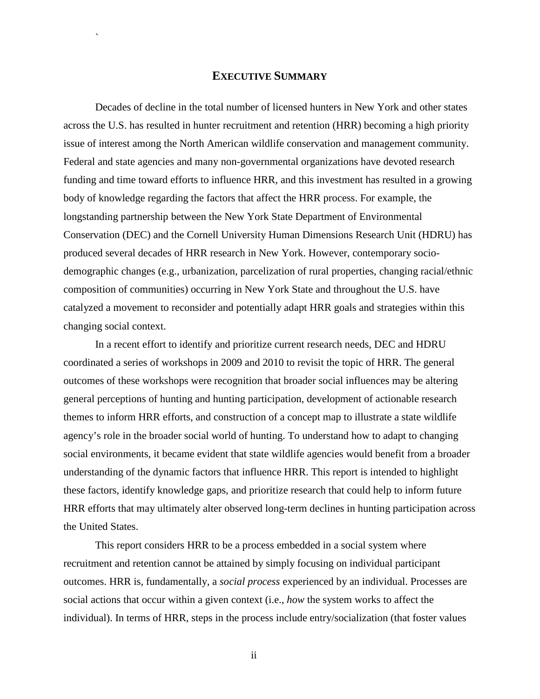# **EXECUTIVE SUMMARY**

`

<span id="page-2-0"></span>Decades of decline in the total number of licensed hunters in New York and other states across the U.S. has resulted in hunter recruitment and retention (HRR) becoming a high priority issue of interest among the North American wildlife conservation and management community. Federal and state agencies and many non-governmental organizations have devoted research funding and time toward efforts to influence HRR, and this investment has resulted in a growing body of knowledge regarding the factors that affect the HRR process. For example, the longstanding partnership between the New York State Department of Environmental Conservation (DEC) and the Cornell University Human Dimensions Research Unit (HDRU) has produced several decades of HRR research in New York. However, contemporary sociodemographic changes (e.g., urbanization, parcelization of rural properties, changing racial/ethnic composition of communities) occurring in New York State and throughout the U.S. have catalyzed a movement to reconsider and potentially adapt HRR goals and strategies within this changing social context.

In a recent effort to identify and prioritize current research needs, DEC and HDRU coordinated a series of workshops in 2009 and 2010 to revisit the topic of HRR. The general outcomes of these workshops were recognition that broader social influences may be altering general perceptions of hunting and hunting participation, development of actionable research themes to inform HRR efforts, and construction of a concept map to illustrate a state wildlife agency's role in the broader social world of hunting. To understand how to adapt to changing social environments, it became evident that state wildlife agencies would benefit from a broader understanding of the dynamic factors that influence HRR. This report is intended to highlight these factors, identify knowledge gaps, and prioritize research that could help to inform future HRR efforts that may ultimately alter observed long-term declines in hunting participation across the United States.

This report considers HRR to be a process embedded in a social system where recruitment and retention cannot be attained by simply focusing on individual participant outcomes. HRR is, fundamentally, a *social process* experienced by an individual. Processes are social actions that occur within a given context (i.e., *how* the system works to affect the individual). In terms of HRR, steps in the process include entry/socialization (that foster values

ii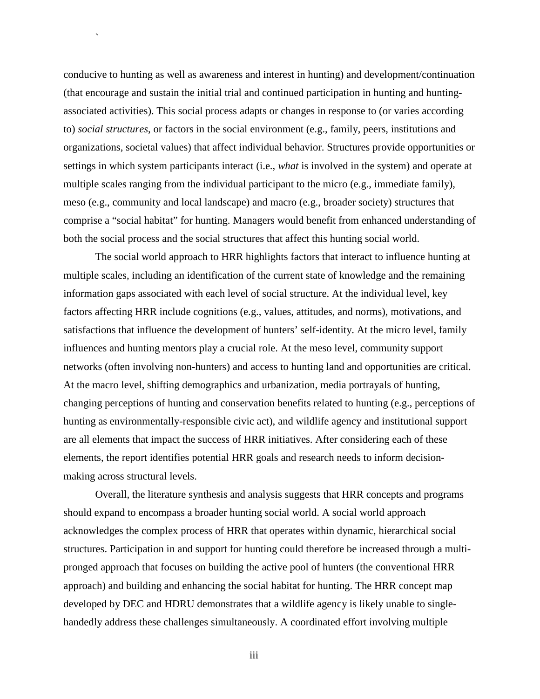conducive to hunting as well as awareness and interest in hunting) and development/continuation (that encourage and sustain the initial trial and continued participation in hunting and huntingassociated activities). This social process adapts or changes in response to (or varies according to) *social structures*, or factors in the social environment (e.g., family, peers, institutions and organizations, societal values) that affect individual behavior. Structures provide opportunities or settings in which system participants interact (i.e., *what* is involved in the system) and operate at multiple scales ranging from the individual participant to the micro (e.g., immediate family), meso (e.g., community and local landscape) and macro (e.g., broader society) structures that comprise a "social habitat" for hunting. Managers would benefit from enhanced understanding of both the social process and the social structures that affect this hunting social world.

`

The social world approach to HRR highlights factors that interact to influence hunting at multiple scales, including an identification of the current state of knowledge and the remaining information gaps associated with each level of social structure. At the individual level, key factors affecting HRR include cognitions (e.g., values, attitudes, and norms), motivations, and satisfactions that influence the development of hunters' self-identity. At the micro level, family influences and hunting mentors play a crucial role. At the meso level, community support networks (often involving non-hunters) and access to hunting land and opportunities are critical. At the macro level, shifting demographics and urbanization, media portrayals of hunting, changing perceptions of hunting and conservation benefits related to hunting (e.g., perceptions of hunting as environmentally-responsible civic act), and wildlife agency and institutional support are all elements that impact the success of HRR initiatives. After considering each of these elements, the report identifies potential HRR goals and research needs to inform decisionmaking across structural levels.

Overall, the literature synthesis and analysis suggests that HRR concepts and programs should expand to encompass a broader hunting social world. A social world approach acknowledges the complex process of HRR that operates within dynamic, hierarchical social structures. Participation in and support for hunting could therefore be increased through a multipronged approach that focuses on building the active pool of hunters (the conventional HRR approach) and building and enhancing the social habitat for hunting. The HRR concept map developed by DEC and HDRU demonstrates that a wildlife agency is likely unable to singlehandedly address these challenges simultaneously. A coordinated effort involving multiple

iii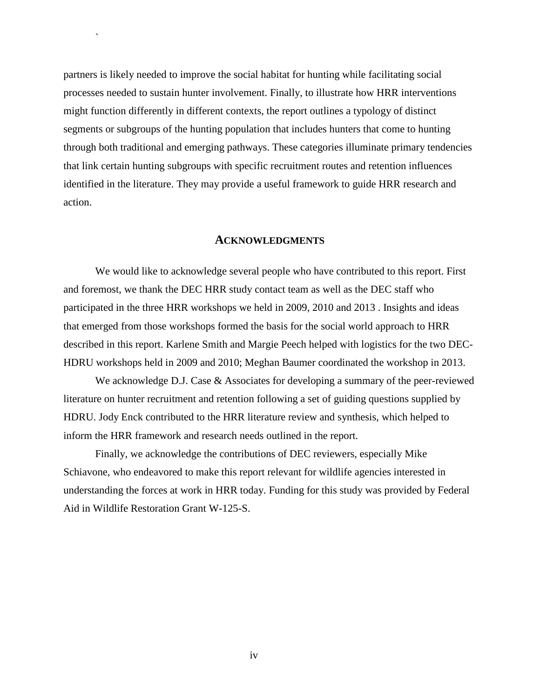partners is likely needed to improve the social habitat for hunting while facilitating social processes needed to sustain hunter involvement. Finally, to illustrate how HRR interventions might function differently in different contexts, the report outlines a typology of distinct segments or subgroups of the hunting population that includes hunters that come to hunting through both traditional and emerging pathways. These categories illuminate primary tendencies that link certain hunting subgroups with specific recruitment routes and retention influences identified in the literature. They may provide a useful framework to guide HRR research and action.

 $\ddot{\phantom{0}}$ 

#### **ACKNOWLEDGMENTS**

<span id="page-4-0"></span>We would like to acknowledge several people who have contributed to this report. First and foremost, we thank the DEC HRR study contact team as well as the DEC staff who participated in the three HRR workshops we held in 2009, 2010 and 2013 . Insights and ideas that emerged from those workshops formed the basis for the social world approach to HRR described in this report. Karlene Smith and Margie Peech helped with logistics for the two DEC-HDRU workshops held in 2009 and 2010; Meghan Baumer coordinated the workshop in 2013.

We acknowledge D.J. Case & Associates for developing a summary of the peer-reviewed literature on hunter recruitment and retention following a set of guiding questions supplied by HDRU. Jody Enck contributed to the HRR literature review and synthesis, which helped to inform the HRR framework and research needs outlined in the report.

Finally, we acknowledge the contributions of DEC reviewers, especially Mike Schiavone, who endeavored to make this report relevant for wildlife agencies interested in understanding the forces at work in HRR today. Funding for this study was provided by Federal Aid in Wildlife Restoration Grant W-125-S.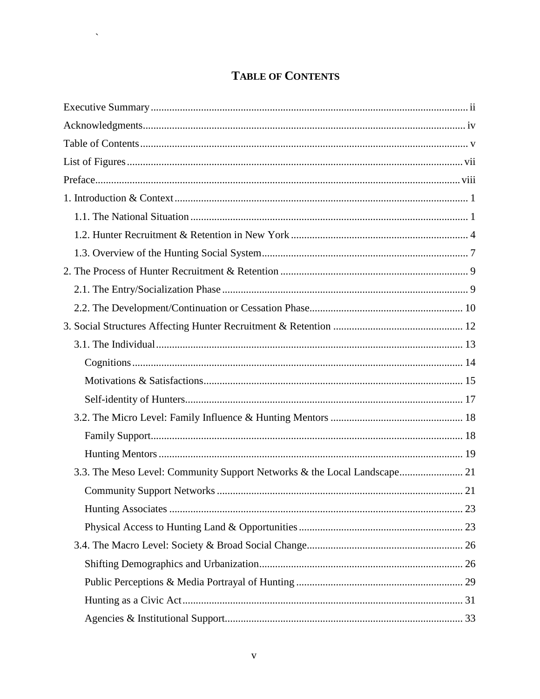# **TABLE OF CONTENTS**

 $\sim 10^{-10}$ 

<span id="page-5-0"></span>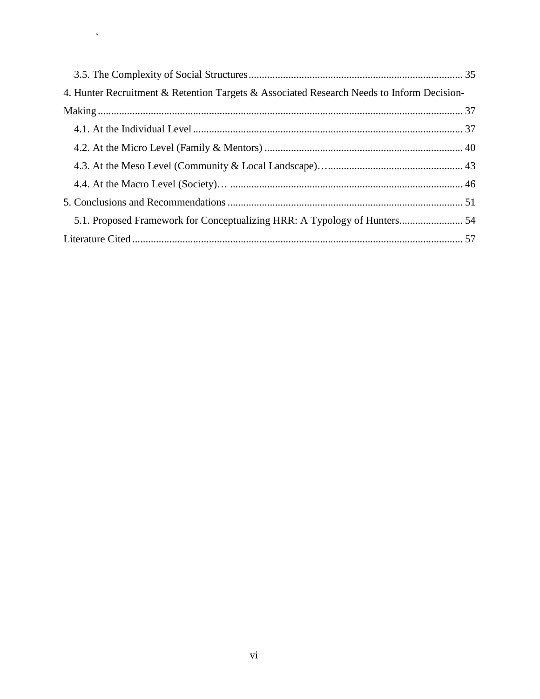| 4. Hunter Recruitment & Retention Targets & Associated Research Needs to Inform Decision- |  |
|-------------------------------------------------------------------------------------------|--|
|                                                                                           |  |
|                                                                                           |  |
|                                                                                           |  |
|                                                                                           |  |
|                                                                                           |  |
|                                                                                           |  |
|                                                                                           |  |
|                                                                                           |  |

 $\sim$   $\sim$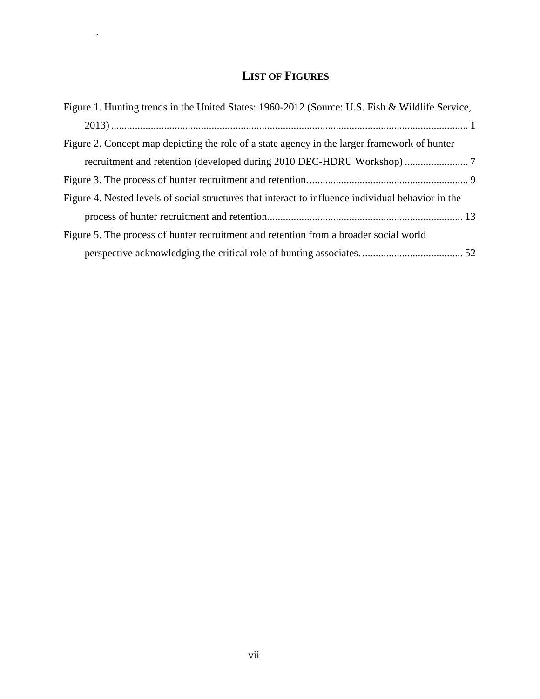# **LIST OF FIGURES**

 $\mathbf{X} \in \mathbb{R}^{N \times N}$ 

<span id="page-7-0"></span>

| Figure 1. Hunting trends in the United States: 1960-2012 (Source: U.S. Fish & Wildlife Service,    |
|----------------------------------------------------------------------------------------------------|
|                                                                                                    |
| Figure 2. Concept map depicting the role of a state agency in the larger framework of hunter       |
|                                                                                                    |
|                                                                                                    |
| Figure 4. Nested levels of social structures that interact to influence individual behavior in the |
|                                                                                                    |
| Figure 5. The process of hunter recruitment and retention from a broader social world              |
|                                                                                                    |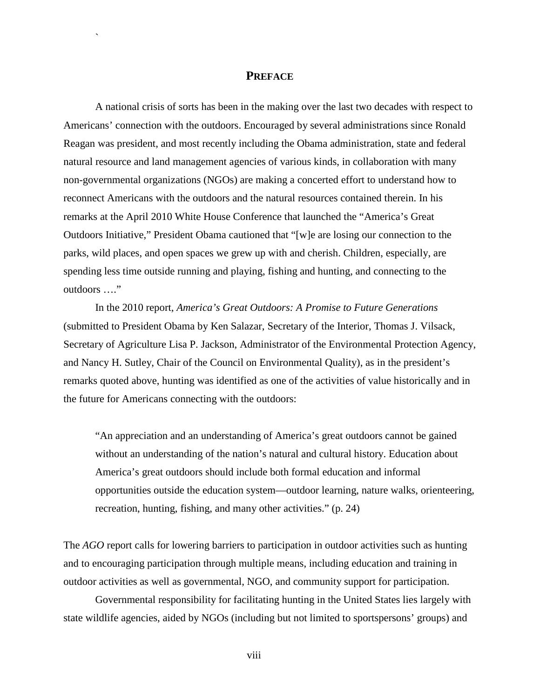## **PREFACE**

`

<span id="page-8-0"></span>A national crisis of sorts has been in the making over the last two decades with respect to Americans' connection with the outdoors. Encouraged by several administrations since Ronald Reagan was president, and most recently including the Obama administration, state and federal natural resource and land management agencies of various kinds, in collaboration with many non-governmental organizations (NGOs) are making a concerted effort to understand how to reconnect Americans with the outdoors and the natural resources contained therein. In his remarks at the April 2010 White House Conference that launched the "America's Great Outdoors Initiative," President Obama cautioned that "[w]e are losing our connection to the parks, wild places, and open spaces we grew up with and cherish. Children, especially, are spending less time outside running and playing, fishing and hunting, and connecting to the outdoors …."

In the 2010 report*, America's Great Outdoors: A Promise to Future Generations* (submitted to President Obama by Ken Salazar, Secretary of the Interior, Thomas J. Vilsack, Secretary of Agriculture Lisa P. Jackson, Administrator of the Environmental Protection Agency, and Nancy H. Sutley, Chair of the Council on Environmental Quality), as in the president's remarks quoted above, hunting was identified as one of the activities of value historically and in the future for Americans connecting with the outdoors:

"An appreciation and an understanding of America's great outdoors cannot be gained without an understanding of the nation's natural and cultural history. Education about America's great outdoors should include both formal education and informal opportunities outside the education system—outdoor learning, nature walks, orienteering, recreation, hunting, fishing, and many other activities." (p. 24)

The *AGO* report calls for lowering barriers to participation in outdoor activities such as hunting and to encouraging participation through multiple means, including education and training in outdoor activities as well as governmental, NGO, and community support for participation.

Governmental responsibility for facilitating hunting in the United States lies largely with state wildlife agencies, aided by NGOs (including but not limited to sportspersons' groups) and

viii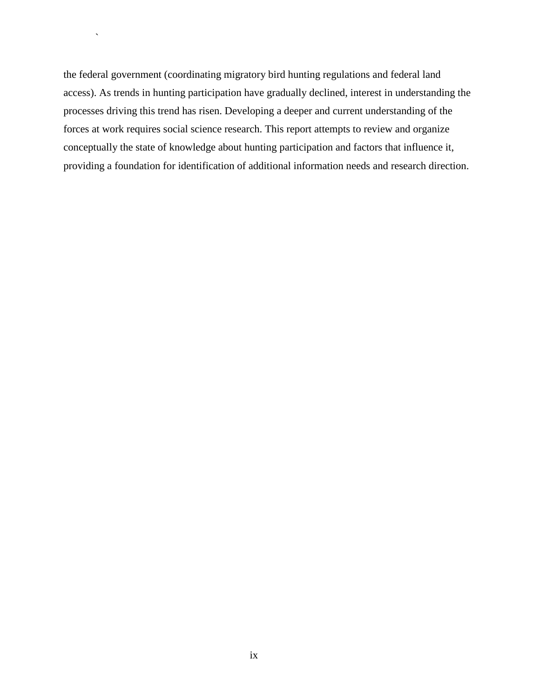the federal government (coordinating migratory bird hunting regulations and federal land access). As trends in hunting participation have gradually declined, interest in understanding the processes driving this trend has risen. Developing a deeper and current understanding of the forces at work requires social science research. This report attempts to review and organize conceptually the state of knowledge about hunting participation and factors that influence it, providing a foundation for identification of additional information needs and research direction.

 $\bar{\mathcal{S}}$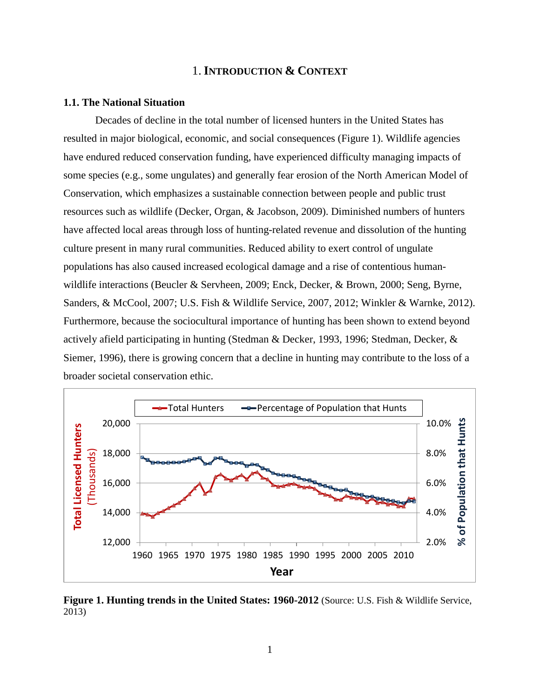# 1. **INTRODUCTION & CONTEXT**

#### <span id="page-10-1"></span><span id="page-10-0"></span>**1.1. The National Situation**

Decades of decline in the total number of licensed hunters in the United States has resulted in major biological, economic, and social consequences (Figure 1). Wildlife agencies have endured reduced conservation funding, have experienced difficulty managing impacts of some species (e.g., some ungulates) and generally fear erosion of the North American Model of Conservation, which emphasizes a sustainable connection between people and public trust resources such as wildlife (Decker, Organ, & Jacobson, 2009). Diminished numbers of hunters have affected local areas through loss of hunting-related revenue and dissolution of the hunting culture present in many rural communities. Reduced ability to exert control of ungulate populations has also caused increased ecological damage and a rise of contentious humanwildlife interactions (Beucler & Servheen, 2009; Enck, Decker, & Brown, 2000; Seng, Byrne, Sanders, & McCool, 2007; U.S. Fish & Wildlife Service, 2007, 2012; Winkler & Warnke, 2012). Furthermore, because the sociocultural importance of hunting has been shown to extend beyond actively afield participating in hunting (Stedman & Decker, 1993, 1996; Stedman, Decker, & Siemer, 1996), there is growing concern that a decline in hunting may contribute to the loss of a broader societal conservation ethic.



<span id="page-10-2"></span>**Figure 1. Hunting trends in the United States: 1960-2012** (Source: U.S. Fish & Wildlife Service, 2013)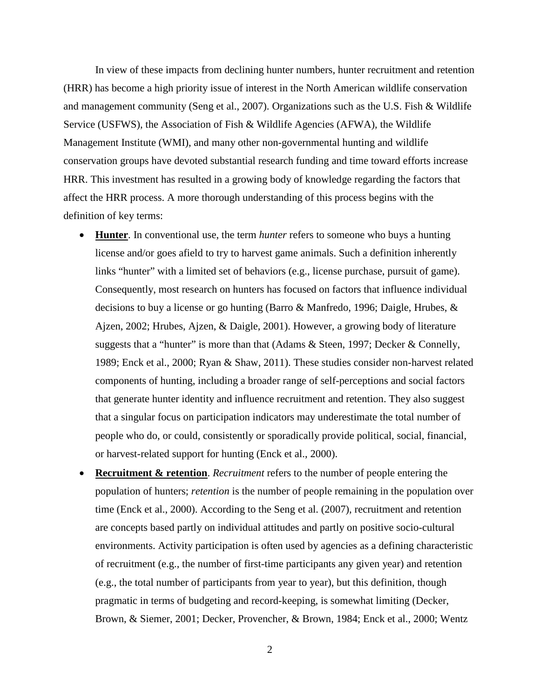In view of these impacts from declining hunter numbers, hunter recruitment and retention (HRR) has become a high priority issue of interest in the North American wildlife conservation and management community (Seng et al., 2007). Organizations such as the U.S. Fish & Wildlife Service (USFWS), the Association of Fish & Wildlife Agencies (AFWA), the Wildlife Management Institute (WMI), and many other non-governmental hunting and wildlife conservation groups have devoted substantial research funding and time toward efforts increase HRR. This investment has resulted in a growing body of knowledge regarding the factors that affect the HRR process. A more thorough understanding of this process begins with the definition of key terms:

- **Hunter**. In conventional use, the term *hunter* refers to someone who buys a hunting license and/or goes afield to try to harvest game animals. Such a definition inherently links "hunter" with a limited set of behaviors (e.g., license purchase, pursuit of game). Consequently, most research on hunters has focused on factors that influence individual decisions to buy a license or go hunting (Barro & Manfredo, 1996; Daigle, Hrubes, & Ajzen, 2002; Hrubes, Ajzen, & Daigle, 2001). However, a growing body of literature suggests that a "hunter" is more than that (Adams & Steen, 1997; Decker & Connelly, 1989; Enck et al., 2000; Ryan & Shaw, 2011). These studies consider non-harvest related components of hunting, including a broader range of self-perceptions and social factors that generate hunter identity and influence recruitment and retention. They also suggest that a singular focus on participation indicators may underestimate the total number of people who do, or could, consistently or sporadically provide political, social, financial, or harvest-related support for hunting (Enck et al., 2000).
- **Recruitment & retention**. *Recruitment* refers to the number of people entering the population of hunters; *retention* is the number of people remaining in the population over time (Enck et al., 2000). According to the Seng et al. (2007), recruitment and retention are concepts based partly on individual attitudes and partly on positive socio-cultural environments. Activity participation is often used by agencies as a defining characteristic of recruitment (e.g., the number of first-time participants any given year) and retention (e.g., the total number of participants from year to year), but this definition, though pragmatic in terms of budgeting and record-keeping, is somewhat limiting (Decker, Brown, & Siemer, 2001; Decker, Provencher, & Brown, 1984; Enck et al., 2000; Wentz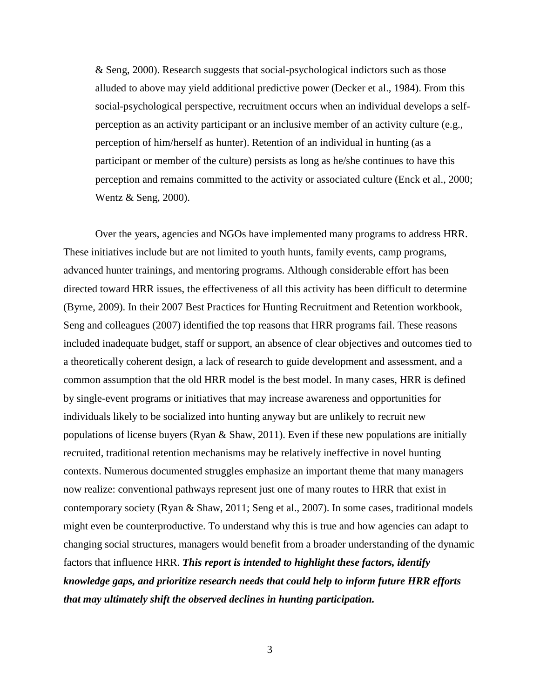& Seng, 2000). Research suggests that social-psychological indictors such as those alluded to above may yield additional predictive power (Decker et al., 1984). From this social-psychological perspective, recruitment occurs when an individual develops a selfperception as an activity participant or an inclusive member of an activity culture (e.g., perception of him/herself as hunter). Retention of an individual in hunting (as a participant or member of the culture) persists as long as he/she continues to have this perception and remains committed to the activity or associated culture (Enck et al., 2000; Wentz & Seng, 2000).

Over the years, agencies and NGOs have implemented many programs to address HRR. These initiatives include but are not limited to youth hunts, family events, camp programs, advanced hunter trainings, and mentoring programs. Although considerable effort has been directed toward HRR issues, the effectiveness of all this activity has been difficult to determine (Byrne, 2009). In their 2007 Best Practices for Hunting Recruitment and Retention workbook, Seng and colleagues (2007) identified the top reasons that HRR programs fail. These reasons included inadequate budget, staff or support, an absence of clear objectives and outcomes tied to a theoretically coherent design, a lack of research to guide development and assessment, and a common assumption that the old HRR model is the best model. In many cases, HRR is defined by single-event programs or initiatives that may increase awareness and opportunities for individuals likely to be socialized into hunting anyway but are unlikely to recruit new populations of license buyers (Ryan & Shaw, 2011). Even if these new populations are initially recruited, traditional retention mechanisms may be relatively ineffective in novel hunting contexts. Numerous documented struggles emphasize an important theme that many managers now realize: conventional pathways represent just one of many routes to HRR that exist in contemporary society (Ryan & Shaw, 2011; Seng et al., 2007). In some cases, traditional models might even be counterproductive. To understand why this is true and how agencies can adapt to changing social structures, managers would benefit from a broader understanding of the dynamic factors that influence HRR. *This report is intended to highlight these factors, identify knowledge gaps, and prioritize research needs that could help to inform future HRR efforts that may ultimately shift the observed declines in hunting participation.*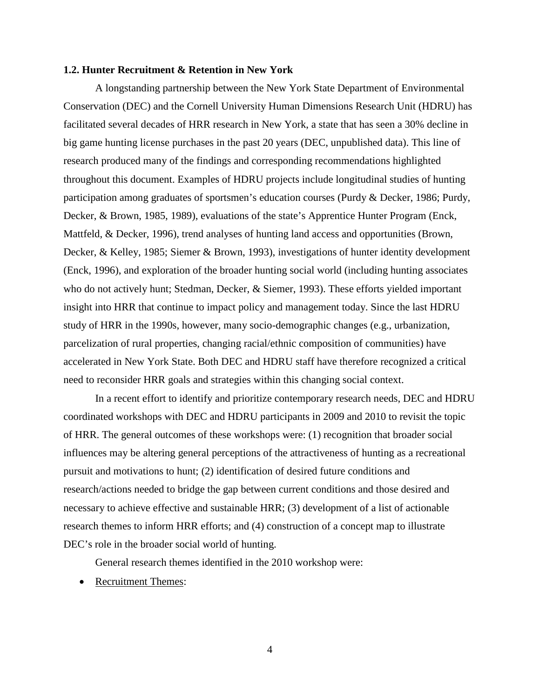#### <span id="page-13-0"></span>**1.2. Hunter Recruitment & Retention in New York**

A longstanding partnership between the New York State Department of Environmental Conservation (DEC) and the Cornell University Human Dimensions Research Unit (HDRU) has facilitated several decades of HRR research in New York, a state that has seen a 30% decline in big game hunting license purchases in the past 20 years (DEC, unpublished data). This line of research produced many of the findings and corresponding recommendations highlighted throughout this document. Examples of HDRU projects include longitudinal studies of hunting participation among graduates of sportsmen's education courses (Purdy & Decker, 1986; Purdy, Decker, & Brown, 1985, 1989), evaluations of the state's Apprentice Hunter Program (Enck, Mattfeld, & Decker, 1996), trend analyses of hunting land access and opportunities (Brown, Decker, & Kelley, 1985; Siemer & Brown, 1993), investigations of hunter identity development (Enck, 1996), and exploration of the broader hunting social world (including hunting associates who do not actively hunt; Stedman, Decker, & Siemer, 1993). These efforts yielded important insight into HRR that continue to impact policy and management today. Since the last HDRU study of HRR in the 1990s, however, many socio-demographic changes (e.g., urbanization, parcelization of rural properties, changing racial/ethnic composition of communities) have accelerated in New York State. Both DEC and HDRU staff have therefore recognized a critical need to reconsider HRR goals and strategies within this changing social context.

In a recent effort to identify and prioritize contemporary research needs, DEC and HDRU coordinated workshops with DEC and HDRU participants in 2009 and 2010 to revisit the topic of HRR. The general outcomes of these workshops were: (1) recognition that broader social influences may be altering general perceptions of the attractiveness of hunting as a recreational pursuit and motivations to hunt; (2) identification of desired future conditions and research/actions needed to bridge the gap between current conditions and those desired and necessary to achieve effective and sustainable HRR; (3) development of a list of actionable research themes to inform HRR efforts; and (4) construction of a concept map to illustrate DEC's role in the broader social world of hunting.

General research themes identified in the 2010 workshop were:

• Recruitment Themes: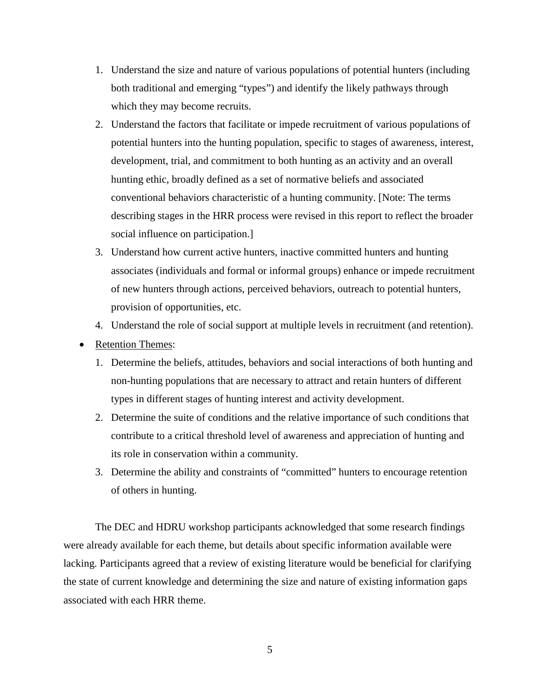- 1. Understand the size and nature of various populations of potential hunters (including both traditional and emerging "types") and identify the likely pathways through which they may become recruits.
- 2. Understand the factors that facilitate or impede recruitment of various populations of potential hunters into the hunting population, specific to stages of awareness, interest, development, trial, and commitment to both hunting as an activity and an overall hunting ethic, broadly defined as a set of normative beliefs and associated conventional behaviors characteristic of a hunting community. [Note: The terms describing stages in the HRR process were revised in this report to reflect the broader social influence on participation.]
- 3. Understand how current active hunters, inactive committed hunters and hunting associates (individuals and formal or informal groups) enhance or impede recruitment of new hunters through actions, perceived behaviors, outreach to potential hunters, provision of opportunities, etc.
- 4. Understand the role of social support at multiple levels in recruitment (and retention).
- Retention Themes:
	- 1. Determine the beliefs, attitudes, behaviors and social interactions of both hunting and non-hunting populations that are necessary to attract and retain hunters of different types in different stages of hunting interest and activity development.
	- 2. Determine the suite of conditions and the relative importance of such conditions that contribute to a critical threshold level of awareness and appreciation of hunting and its role in conservation within a community.
	- 3. Determine the ability and constraints of "committed" hunters to encourage retention of others in hunting.

The DEC and HDRU workshop participants acknowledged that some research findings were already available for each theme, but details about specific information available were lacking. Participants agreed that a review of existing literature would be beneficial for clarifying the state of current knowledge and determining the size and nature of existing information gaps associated with each HRR theme.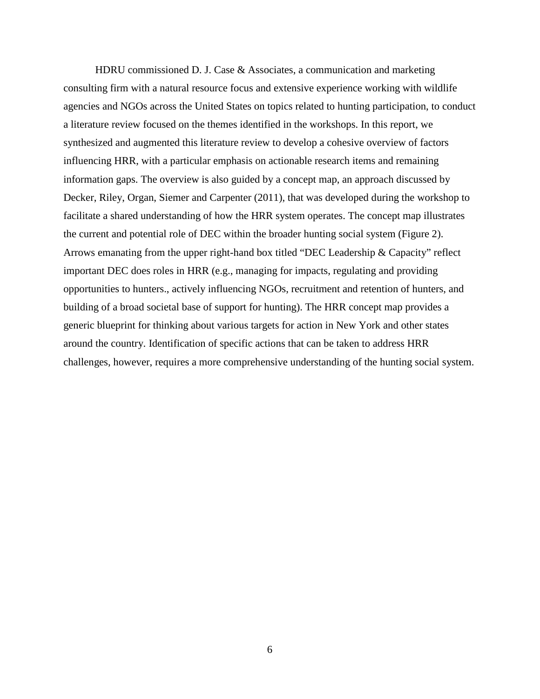HDRU commissioned D. J. Case  $\&$  Associates, a communication and marketing consulting firm with a natural resource focus and extensive experience working with wildlife agencies and NGOs across the United States on topics related to hunting participation, to conduct a literature review focused on the themes identified in the workshops. In this report, we synthesized and augmented this literature review to develop a cohesive overview of factors influencing HRR, with a particular emphasis on actionable research items and remaining information gaps. The overview is also guided by a concept map, an approach discussed by Decker, Riley, Organ, Siemer and Carpenter (2011), that was developed during the workshop to facilitate a shared understanding of how the HRR system operates. The concept map illustrates the current and potential role of DEC within the broader hunting social system (Figure 2). Arrows emanating from the upper right-hand box titled "DEC Leadership & Capacity" reflect important DEC does roles in HRR (e.g., managing for impacts, regulating and providing opportunities to hunters., actively influencing NGOs, recruitment and retention of hunters, and building of a broad societal base of support for hunting). The HRR concept map provides a generic blueprint for thinking about various targets for action in New York and other states around the country. Identification of specific actions that can be taken to address HRR challenges, however, requires a more comprehensive understanding of the hunting social system.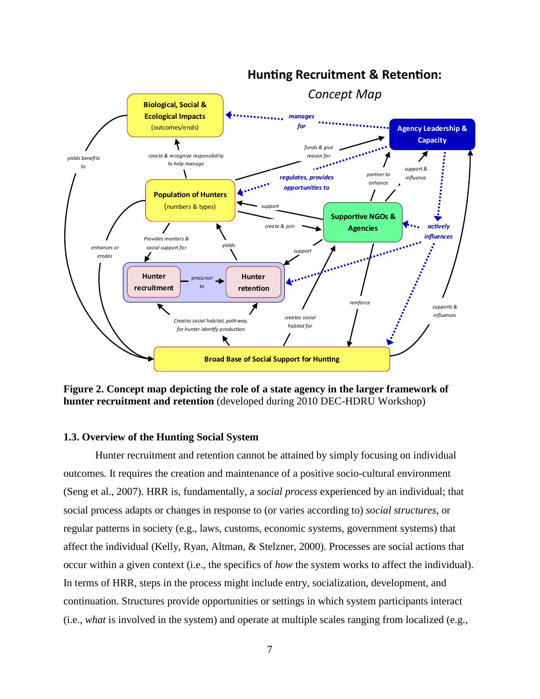

# **Hunting Recruitment & Retention:**

<span id="page-16-1"></span>**Figure 2. Concept map depicting the role of a state agency in the larger framework of hunter recruitment and retention** (developed during 2010 DEC-HDRU Workshop)

#### <span id="page-16-0"></span>**1.3. Overview of the Hunting Social System**

Hunter recruitment and retention cannot be attained by simply focusing on individual outcomes. It requires the creation and maintenance of a positive socio-cultural environment (Seng et al., 2007). HRR is, fundamentally, a *social process* experienced by an individual; that social process adapts or changes in response to (or varies according to) *social structures*, or regular patterns in society (e.g., laws, customs, economic systems, government systems) that affect the individual (Kelly, Ryan, Altman, & Stelzner, 2000). Processes are social actions that occur within a given context (i.e., the specifics of *how* the system works to affect the individual). In terms of HRR, steps in the process might include entry, socialization, development, and continuation. Structures provide opportunities or settings in which system participants interact (i.e., *what* is involved in the system) and operate at multiple scales ranging from localized (e.g.,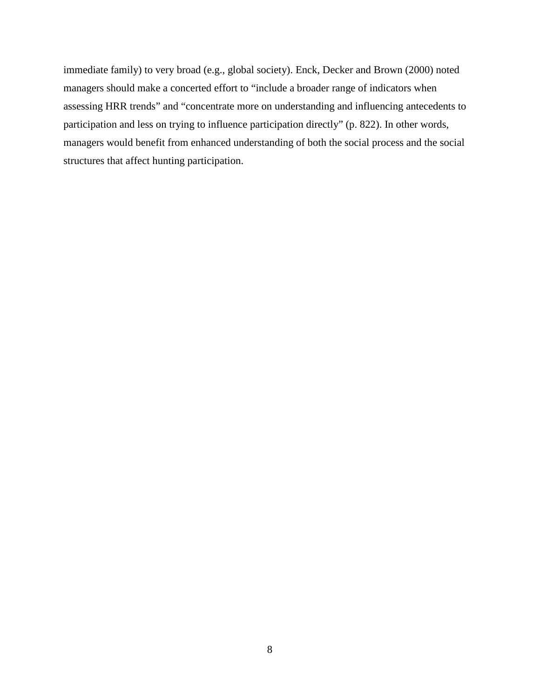immediate family) to very broad (e.g., global society). Enck, Decker and Brown (2000) noted managers should make a concerted effort to "include a broader range of indicators when assessing HRR trends" and "concentrate more on understanding and influencing antecedents to participation and less on trying to influence participation directly" (p. 822). In other words, managers would benefit from enhanced understanding of both the social process and the social structures that affect hunting participation.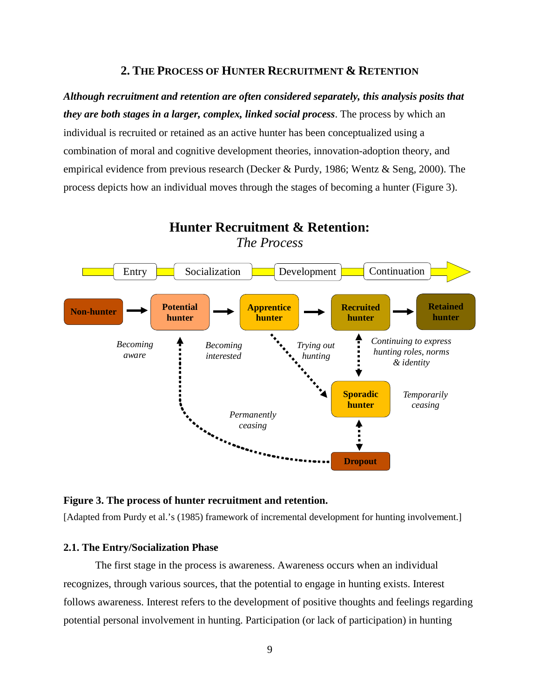# **2. THE PROCESS OF HUNTER RECRUITMENT & RETENTION**

<span id="page-18-0"></span>*Although recruitment and retention are often considered separately, this analysis posits that they are both stages in a larger, complex, linked social process*. The process by which an individual is recruited or retained as an active hunter has been conceptualized using a combination of moral and cognitive development theories, innovation-adoption theory, and empirical evidence from previous research (Decker & Purdy, 1986; Wentz & Seng, 2000). The process depicts how an individual moves through the stages of becoming a hunter (Figure 3).



**Hunter Recruitment & Retention:**

<span id="page-18-2"></span>**Figure 3. The process of hunter recruitment and retention.**

[Adapted from Purdy et al.'s (1985) framework of incremental development for hunting involvement.]

#### <span id="page-18-1"></span>**2.1. The Entry/Socialization Phase**

The first stage in the process is awareness. Awareness occurs when an individual recognizes, through various sources, that the potential to engage in hunting exists. Interest follows awareness. Interest refers to the development of positive thoughts and feelings regarding potential personal involvement in hunting. Participation (or lack of participation) in hunting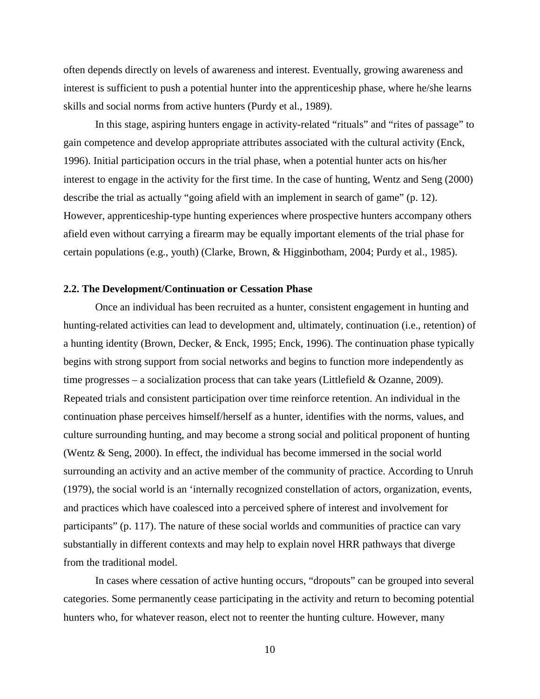often depends directly on levels of awareness and interest. Eventually, growing awareness and interest is sufficient to push a potential hunter into the apprenticeship phase, where he/she learns skills and social norms from active hunters (Purdy et al., 1989).

In this stage, aspiring hunters engage in activity-related "rituals" and "rites of passage" to gain competence and develop appropriate attributes associated with the cultural activity (Enck, 1996). Initial participation occurs in the trial phase, when a potential hunter acts on his/her interest to engage in the activity for the first time. In the case of hunting, Wentz and Seng (2000) describe the trial as actually "going afield with an implement in search of game" (p. 12). However, apprenticeship-type hunting experiences where prospective hunters accompany others afield even without carrying a firearm may be equally important elements of the trial phase for certain populations (e.g., youth) (Clarke, Brown, & Higginbotham, 2004; Purdy et al., 1985).

#### <span id="page-19-0"></span>**2.2. The Development/Continuation or Cessation Phase**

Once an individual has been recruited as a hunter, consistent engagement in hunting and hunting-related activities can lead to development and, ultimately, continuation (i.e., retention) of a hunting identity (Brown, Decker, & Enck, 1995; Enck, 1996). The continuation phase typically begins with strong support from social networks and begins to function more independently as time progresses – a socialization process that can take years (Littlefield & Ozanne, 2009). Repeated trials and consistent participation over time reinforce retention. An individual in the continuation phase perceives himself/herself as a hunter, identifies with the norms, values, and culture surrounding hunting, and may become a strong social and political proponent of hunting (Wentz & Seng, 2000). In effect, the individual has become immersed in the social world surrounding an activity and an active member of the community of practice. According to Unruh (1979), the social world is an 'internally recognized constellation of actors, organization, events, and practices which have coalesced into a perceived sphere of interest and involvement for participants" (p. 117). The nature of these social worlds and communities of practice can vary substantially in different contexts and may help to explain novel HRR pathways that diverge from the traditional model.

In cases where cessation of active hunting occurs, "dropouts" can be grouped into several categories. Some permanently cease participating in the activity and return to becoming potential hunters who, for whatever reason, elect not to reenter the hunting culture. However, many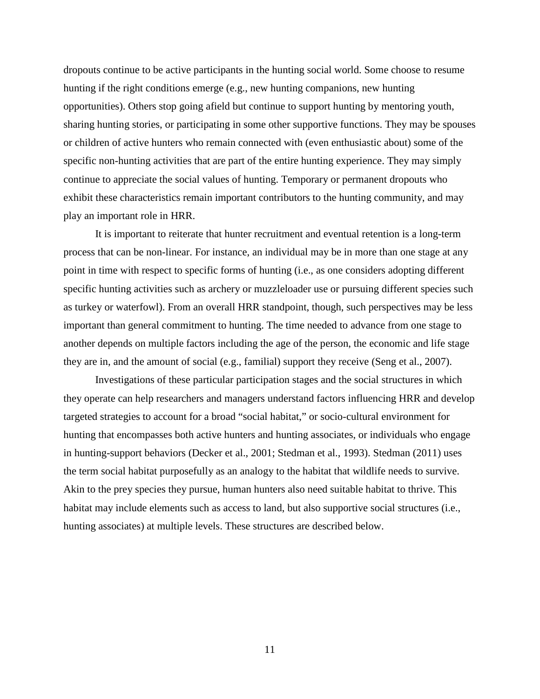dropouts continue to be active participants in the hunting social world. Some choose to resume hunting if the right conditions emerge (e.g., new hunting companions, new hunting opportunities). Others stop going afield but continue to support hunting by mentoring youth, sharing hunting stories, or participating in some other supportive functions. They may be spouses or children of active hunters who remain connected with (even enthusiastic about) some of the specific non-hunting activities that are part of the entire hunting experience. They may simply continue to appreciate the social values of hunting. Temporary or permanent dropouts who exhibit these characteristics remain important contributors to the hunting community, and may play an important role in HRR.

It is important to reiterate that hunter recruitment and eventual retention is a long-term process that can be non-linear. For instance, an individual may be in more than one stage at any point in time with respect to specific forms of hunting (i.e., as one considers adopting different specific hunting activities such as archery or muzzleloader use or pursuing different species such as turkey or waterfowl). From an overall HRR standpoint, though, such perspectives may be less important than general commitment to hunting. The time needed to advance from one stage to another depends on multiple factors including the age of the person, the economic and life stage they are in, and the amount of social (e.g., familial) support they receive (Seng et al., 2007).

Investigations of these particular participation stages and the social structures in which they operate can help researchers and managers understand factors influencing HRR and develop targeted strategies to account for a broad "social habitat," or socio-cultural environment for hunting that encompasses both active hunters and hunting associates, or individuals who engage in hunting-support behaviors (Decker et al., 2001; Stedman et al., 1993). Stedman (2011) uses the term social habitat purposefully as an analogy to the habitat that wildlife needs to survive. Akin to the prey species they pursue, human hunters also need suitable habitat to thrive. This habitat may include elements such as access to land, but also supportive social structures (i.e., hunting associates) at multiple levels. These structures are described below.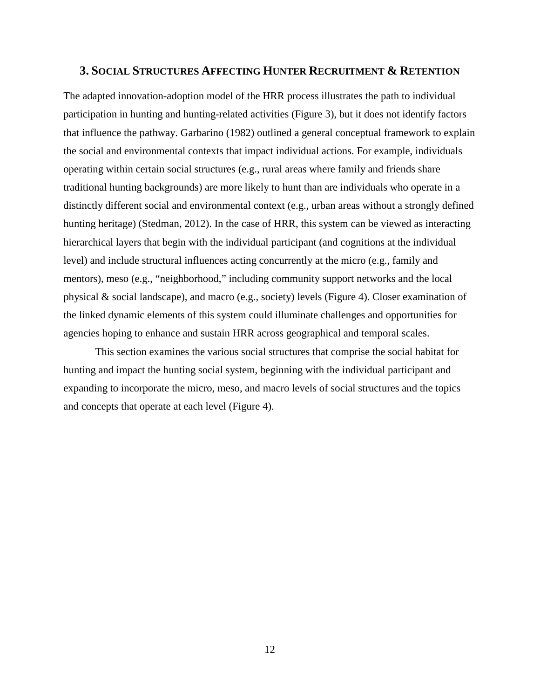#### <span id="page-21-0"></span>**3. SOCIAL STRUCTURES AFFECTING HUNTER RECRUITMENT & RETENTION**

The adapted innovation-adoption model of the HRR process illustrates the path to individual participation in hunting and hunting-related activities (Figure 3), but it does not identify factors that influence the pathway. Garbarino (1982) outlined a general conceptual framework to explain the social and environmental contexts that impact individual actions. For example, individuals operating within certain social structures (e.g., rural areas where family and friends share traditional hunting backgrounds) are more likely to hunt than are individuals who operate in a distinctly different social and environmental context (e.g., urban areas without a strongly defined hunting heritage) (Stedman, 2012). In the case of HRR, this system can be viewed as interacting hierarchical layers that begin with the individual participant (and cognitions at the individual level) and include structural influences acting concurrently at the micro (e.g., family and mentors), meso (e.g., "neighborhood," including community support networks and the local physical & social landscape), and macro (e.g., society) levels (Figure 4). Closer examination of the linked dynamic elements of this system could illuminate challenges and opportunities for agencies hoping to enhance and sustain HRR across geographical and temporal scales.

This section examines the various social structures that comprise the social habitat for hunting and impact the hunting social system, beginning with the individual participant and expanding to incorporate the micro, meso, and macro levels of social structures and the topics and concepts that operate at each level (Figure 4).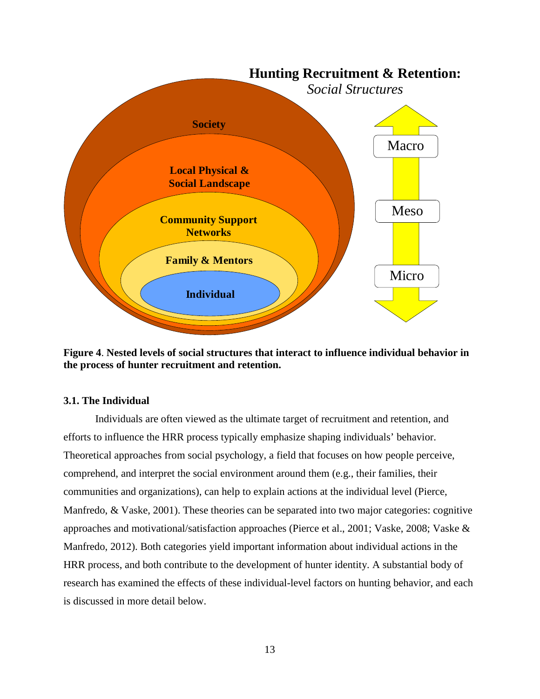

<span id="page-22-1"></span>**Figure 4**. **Nested levels of social structures that interact to influence individual behavior in the process of hunter recruitment and retention.**

# <span id="page-22-0"></span>**3.1. The Individual**

Individuals are often viewed as the ultimate target of recruitment and retention, and efforts to influence the HRR process typically emphasize shaping individuals' behavior. Theoretical approaches from social psychology, a field that focuses on how people perceive, comprehend, and interpret the social environment around them (e.g., their families, their communities and organizations), can help to explain actions at the individual level (Pierce, Manfredo, & Vaske, 2001). These theories can be separated into two major categories: cognitive approaches and motivational/satisfaction approaches (Pierce et al., 2001; Vaske, 2008; Vaske & Manfredo, 2012). Both categories yield important information about individual actions in the HRR process, and both contribute to the development of hunter identity. A substantial body of research has examined the effects of these individual-level factors on hunting behavior, and each is discussed in more detail below.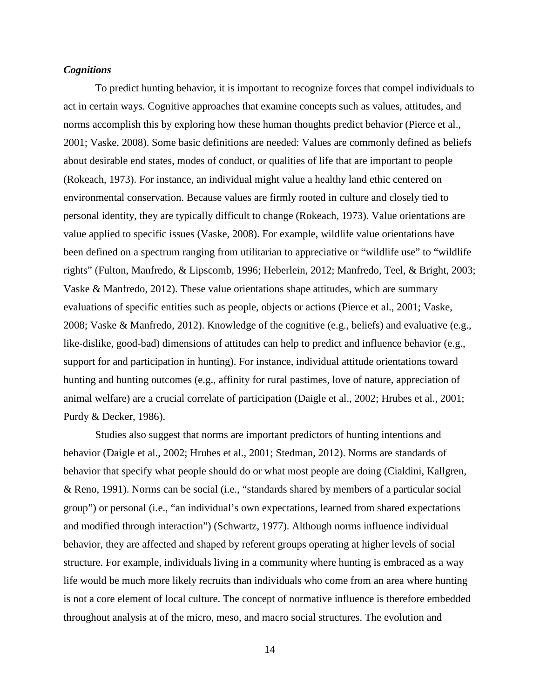#### <span id="page-23-0"></span>*Cognitions*

To predict hunting behavior, it is important to recognize forces that compel individuals to act in certain ways. Cognitive approaches that examine concepts such as values, attitudes, and norms accomplish this by exploring how these human thoughts predict behavior (Pierce et al., 2001; Vaske, 2008). Some basic definitions are needed: Values are commonly defined as beliefs about desirable end states, modes of conduct, or qualities of life that are important to people (Rokeach, 1973). For instance, an individual might value a healthy land ethic centered on environmental conservation. Because values are firmly rooted in culture and closely tied to personal identity, they are typically difficult to change (Rokeach, 1973). Value orientations are value applied to specific issues (Vaske, 2008). For example, wildlife value orientations have been defined on a spectrum ranging from utilitarian to appreciative or "wildlife use" to "wildlife rights" (Fulton, Manfredo, & Lipscomb, 1996; Heberlein, 2012; Manfredo, Teel, & Bright, 2003; Vaske & Manfredo, 2012). These value orientations shape attitudes, which are summary evaluations of specific entities such as people, objects or actions (Pierce et al., 2001; Vaske, 2008; Vaske & Manfredo, 2012). Knowledge of the cognitive (e.g., beliefs) and evaluative (e.g., like-dislike, good-bad) dimensions of attitudes can help to predict and influence behavior (e.g., support for and participation in hunting). For instance, individual attitude orientations toward hunting and hunting outcomes (e.g., affinity for rural pastimes, love of nature, appreciation of animal welfare) are a crucial correlate of participation (Daigle et al., 2002; Hrubes et al., 2001; Purdy & Decker, 1986).

Studies also suggest that norms are important predictors of hunting intentions and behavior (Daigle et al., 2002; Hrubes et al., 2001; Stedman, 2012). Norms are standards of behavior that specify what people should do or what most people are doing (Cialdini, Kallgren, & Reno, 1991). Norms can be social (i.e., "standards shared by members of a particular social group") or personal (i.e., "an individual's own expectations, learned from shared expectations and modified through interaction") (Schwartz, 1977). Although norms influence individual behavior, they are affected and shaped by referent groups operating at higher levels of social structure. For example, individuals living in a community where hunting is embraced as a way life would be much more likely recruits than individuals who come from an area where hunting is not a core element of local culture. The concept of normative influence is therefore embedded throughout analysis at of the micro, meso, and macro social structures. The evolution and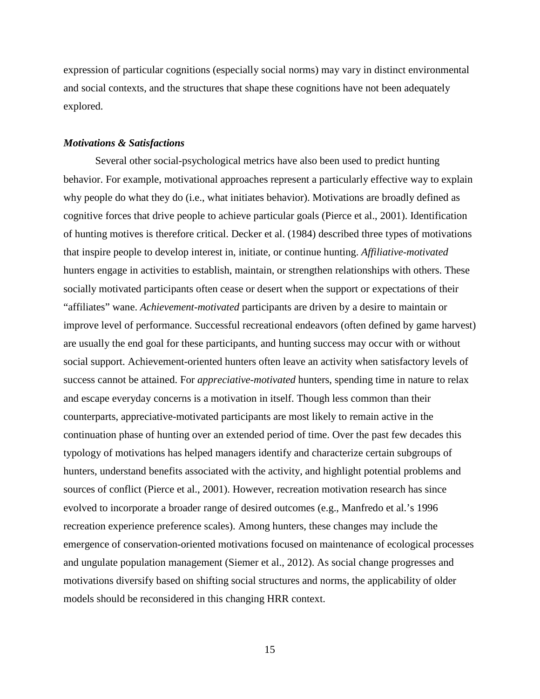expression of particular cognitions (especially social norms) may vary in distinct environmental and social contexts, and the structures that shape these cognitions have not been adequately explored.

#### <span id="page-24-0"></span>*Motivations & Satisfactions*

Several other social-psychological metrics have also been used to predict hunting behavior. For example, motivational approaches represent a particularly effective way to explain why people do what they do (i.e., what initiates behavior). Motivations are broadly defined as cognitive forces that drive people to achieve particular goals (Pierce et al., 2001). Identification of hunting motives is therefore critical. Decker et al. (1984) described three types of motivations that inspire people to develop interest in, initiate, or continue hunting. *Affiliative-motivated* hunters engage in activities to establish, maintain, or strengthen relationships with others. These socially motivated participants often cease or desert when the support or expectations of their "affiliates" wane. *Achievement-motivated* participants are driven by a desire to maintain or improve level of performance. Successful recreational endeavors (often defined by game harvest) are usually the end goal for these participants, and hunting success may occur with or without social support. Achievement-oriented hunters often leave an activity when satisfactory levels of success cannot be attained. For *appreciative-motivated* hunters, spending time in nature to relax and escape everyday concerns is a motivation in itself. Though less common than their counterparts, appreciative-motivated participants are most likely to remain active in the continuation phase of hunting over an extended period of time. Over the past few decades this typology of motivations has helped managers identify and characterize certain subgroups of hunters, understand benefits associated with the activity, and highlight potential problems and sources of conflict (Pierce et al., 2001). However, recreation motivation research has since evolved to incorporate a broader range of desired outcomes (e.g., Manfredo et al.'s 1996 recreation experience preference scales). Among hunters, these changes may include the emergence of conservation-oriented motivations focused on maintenance of ecological processes and ungulate population management (Siemer et al., 2012). As social change progresses and motivations diversify based on shifting social structures and norms, the applicability of older models should be reconsidered in this changing HRR context.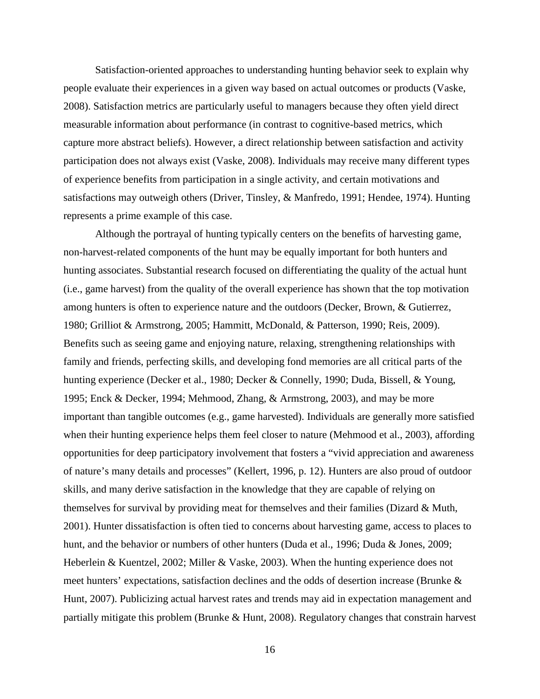Satisfaction-oriented approaches to understanding hunting behavior seek to explain why people evaluate their experiences in a given way based on actual outcomes or products (Vaske, 2008). Satisfaction metrics are particularly useful to managers because they often yield direct measurable information about performance (in contrast to cognitive-based metrics, which capture more abstract beliefs). However, a direct relationship between satisfaction and activity participation does not always exist (Vaske, 2008). Individuals may receive many different types of experience benefits from participation in a single activity, and certain motivations and satisfactions may outweigh others (Driver, Tinsley, & Manfredo, 1991; Hendee, 1974). Hunting represents a prime example of this case.

Although the portrayal of hunting typically centers on the benefits of harvesting game, non-harvest-related components of the hunt may be equally important for both hunters and hunting associates. Substantial research focused on differentiating the quality of the actual hunt (i.e., game harvest) from the quality of the overall experience has shown that the top motivation among hunters is often to experience nature and the outdoors (Decker, Brown, & Gutierrez, 1980; Grilliot & Armstrong, 2005; Hammitt, McDonald, & Patterson, 1990; Reis, 2009). Benefits such as seeing game and enjoying nature, relaxing, strengthening relationships with family and friends, perfecting skills, and developing fond memories are all critical parts of the hunting experience (Decker et al., 1980; Decker & Connelly, 1990; Duda, Bissell, & Young, 1995; Enck & Decker, 1994; Mehmood, Zhang, & Armstrong, 2003), and may be more important than tangible outcomes (e.g., game harvested). Individuals are generally more satisfied when their hunting experience helps them feel closer to nature (Mehmood et al., 2003), affording opportunities for deep participatory involvement that fosters a "vivid appreciation and awareness of nature's many details and processes" (Kellert, 1996, p. 12). Hunters are also proud of outdoor skills, and many derive satisfaction in the knowledge that they are capable of relying on themselves for survival by providing meat for themselves and their families (Dizard & Muth, 2001). Hunter dissatisfaction is often tied to concerns about harvesting game, access to places to hunt, and the behavior or numbers of other hunters (Duda et al., 1996; Duda & Jones, 2009; Heberlein & Kuentzel, 2002; Miller & Vaske, 2003). When the hunting experience does not meet hunters' expectations, satisfaction declines and the odds of desertion increase (Brunke & Hunt, 2007). Publicizing actual harvest rates and trends may aid in expectation management and partially mitigate this problem (Brunke & Hunt, 2008). Regulatory changes that constrain harvest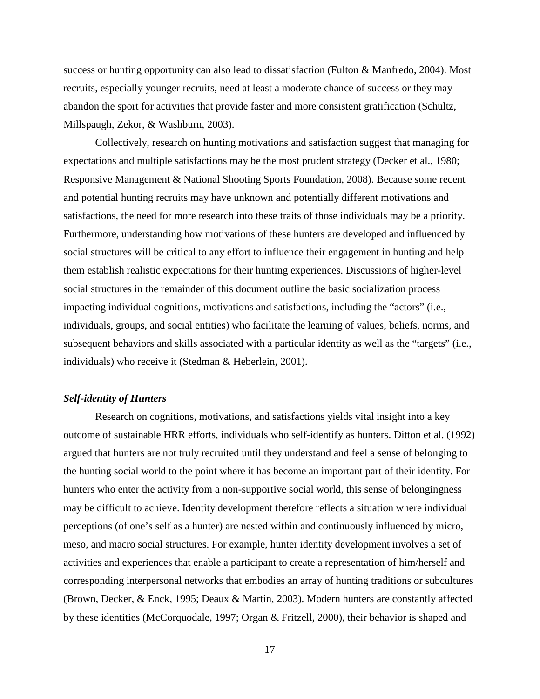success or hunting opportunity can also lead to dissatisfaction (Fulton & Manfredo, 2004). Most recruits, especially younger recruits, need at least a moderate chance of success or they may abandon the sport for activities that provide faster and more consistent gratification (Schultz, Millspaugh, Zekor, & Washburn, 2003).

Collectively, research on hunting motivations and satisfaction suggest that managing for expectations and multiple satisfactions may be the most prudent strategy (Decker et al., 1980; Responsive Management & National Shooting Sports Foundation, 2008). Because some recent and potential hunting recruits may have unknown and potentially different motivations and satisfactions, the need for more research into these traits of those individuals may be a priority. Furthermore, understanding how motivations of these hunters are developed and influenced by social structures will be critical to any effort to influence their engagement in hunting and help them establish realistic expectations for their hunting experiences. Discussions of higher-level social structures in the remainder of this document outline the basic socialization process impacting individual cognitions, motivations and satisfactions, including the "actors" (i.e., individuals, groups, and social entities) who facilitate the learning of values, beliefs, norms, and subsequent behaviors and skills associated with a particular identity as well as the "targets" (i.e., individuals) who receive it (Stedman & Heberlein, 2001).

## <span id="page-26-0"></span>*Self-identity of Hunters*

Research on cognitions, motivations, and satisfactions yields vital insight into a key outcome of sustainable HRR efforts, individuals who self-identify as hunters. Ditton et al. (1992) argued that hunters are not truly recruited until they understand and feel a sense of belonging to the hunting social world to the point where it has become an important part of their identity. For hunters who enter the activity from a non-supportive social world, this sense of belongingness may be difficult to achieve. Identity development therefore reflects a situation where individual perceptions (of one's self as a hunter) are nested within and continuously influenced by micro, meso, and macro social structures. For example, hunter identity development involves a set of activities and experiences that enable a participant to create a representation of him/herself and corresponding interpersonal networks that embodies an array of hunting traditions or subcultures (Brown, Decker, & Enck, 1995; Deaux & Martin, 2003). Modern hunters are constantly affected by these identities (McCorquodale, 1997; Organ & Fritzell, 2000), their behavior is shaped and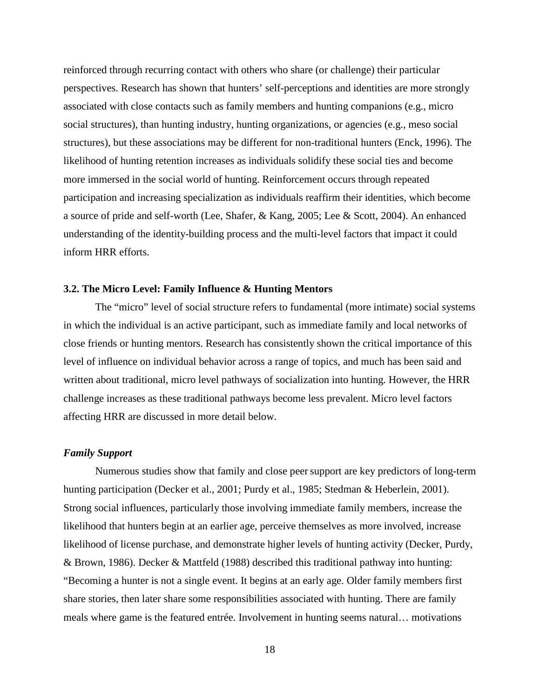reinforced through recurring contact with others who share (or challenge) their particular perspectives. Research has shown that hunters' self-perceptions and identities are more strongly associated with close contacts such as family members and hunting companions (e.g., micro social structures), than hunting industry, hunting organizations, or agencies (e.g., meso social structures), but these associations may be different for non-traditional hunters (Enck, 1996). The likelihood of hunting retention increases as individuals solidify these social ties and become more immersed in the social world of hunting. Reinforcement occurs through repeated participation and increasing specialization as individuals reaffirm their identities, which become a source of pride and self-worth (Lee, Shafer, & Kang, 2005; Lee & Scott, 2004). An enhanced understanding of the identity-building process and the multi-level factors that impact it could inform HRR efforts.

#### <span id="page-27-0"></span>**3.2. The Micro Level: Family Influence & Hunting Mentors**

The "micro" level of social structure refers to fundamental (more intimate) social systems in which the individual is an active participant, such as immediate family and local networks of close friends or hunting mentors. Research has consistently shown the critical importance of this level of influence on individual behavior across a range of topics, and much has been said and written about traditional, micro level pathways of socialization into hunting. However, the HRR challenge increases as these traditional pathways become less prevalent. Micro level factors affecting HRR are discussed in more detail below.

## <span id="page-27-1"></span>*Family Support*

Numerous studies show that family and close peersupport are key predictors of long-term hunting participation (Decker et al., 2001; Purdy et al., 1985; Stedman & Heberlein, 2001). Strong social influences, particularly those involving immediate family members, increase the likelihood that hunters begin at an earlier age, perceive themselves as more involved, increase likelihood of license purchase, and demonstrate higher levels of hunting activity (Decker, Purdy, & Brown, 1986). Decker & Mattfeld (1988) described this traditional pathway into hunting: "Becoming a hunter is not a single event. It begins at an early age. Older family members first share stories, then later share some responsibilities associated with hunting. There are family meals where game is the featured entrée. Involvement in hunting seems natural… motivations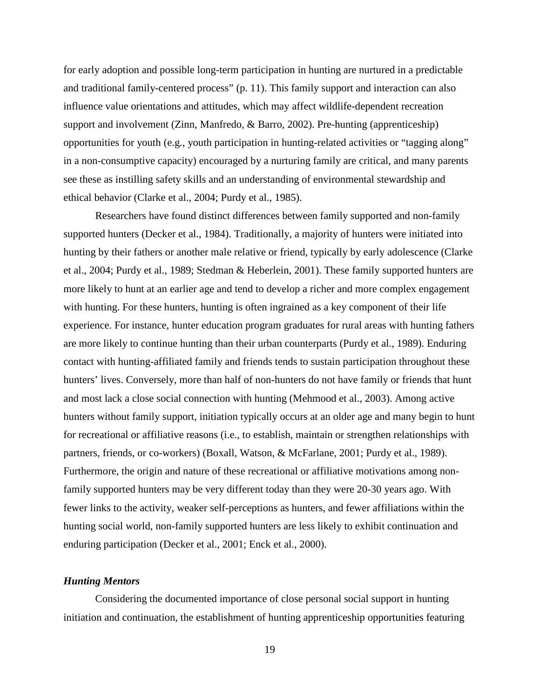for early adoption and possible long-term participation in hunting are nurtured in a predictable and traditional family-centered process" (p. 11). This family support and interaction can also influence value orientations and attitudes, which may affect wildlife-dependent recreation support and involvement (Zinn, Manfredo, & Barro, 2002). Pre-hunting (apprenticeship) opportunities for youth (e.g., youth participation in hunting-related activities or "tagging along" in a non-consumptive capacity) encouraged by a nurturing family are critical, and many parents see these as instilling safety skills and an understanding of environmental stewardship and ethical behavior (Clarke et al., 2004; Purdy et al., 1985).

Researchers have found distinct differences between family supported and non-family supported hunters (Decker et al., 1984). Traditionally, a majority of hunters were initiated into hunting by their fathers or another male relative or friend, typically by early adolescence (Clarke et al., 2004; Purdy et al., 1989; Stedman & Heberlein, 2001). These family supported hunters are more likely to hunt at an earlier age and tend to develop a richer and more complex engagement with hunting. For these hunters, hunting is often ingrained as a key component of their life experience. For instance, hunter education program graduates for rural areas with hunting fathers are more likely to continue hunting than their urban counterparts (Purdy et al., 1989). Enduring contact with hunting-affiliated family and friends tends to sustain participation throughout these hunters' lives. Conversely, more than half of non-hunters do not have family or friends that hunt and most lack a close social connection with hunting (Mehmood et al., 2003). Among active hunters without family support, initiation typically occurs at an older age and many begin to hunt for recreational or affiliative reasons (i.e., to establish, maintain or strengthen relationships with partners, friends, or co-workers) (Boxall, Watson, & McFarlane, 2001; Purdy et al., 1989). Furthermore, the origin and nature of these recreational or affiliative motivations among nonfamily supported hunters may be very different today than they were 20-30 years ago. With fewer links to the activity, weaker self-perceptions as hunters, and fewer affiliations within the hunting social world, non-family supported hunters are less likely to exhibit continuation and enduring participation (Decker et al., 2001; Enck et al., 2000).

#### <span id="page-28-0"></span>*Hunting Mentors*

Considering the documented importance of close personal social support in hunting initiation and continuation, the establishment of hunting apprenticeship opportunities featuring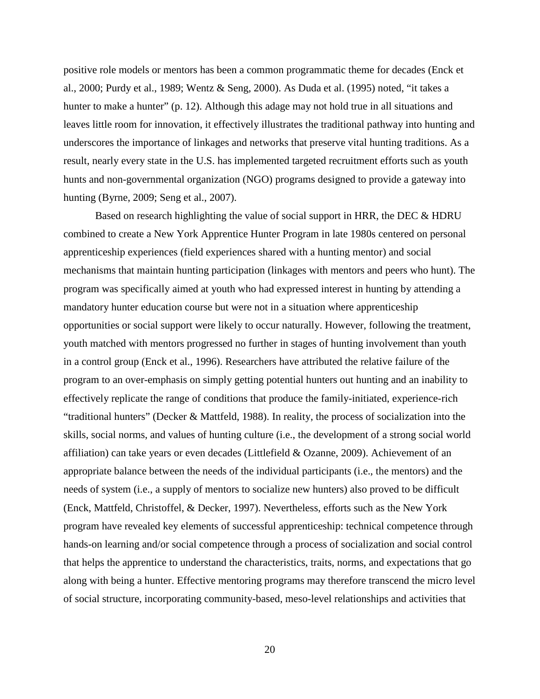positive role models or mentors has been a common programmatic theme for decades (Enck et al., 2000; Purdy et al., 1989; Wentz & Seng, 2000). As Duda et al. (1995) noted, "it takes a hunter to make a hunter" (p. 12). Although this adage may not hold true in all situations and leaves little room for innovation, it effectively illustrates the traditional pathway into hunting and underscores the importance of linkages and networks that preserve vital hunting traditions. As a result, nearly every state in the U.S. has implemented targeted recruitment efforts such as youth hunts and non-governmental organization (NGO) programs designed to provide a gateway into hunting (Byrne, 2009; Seng et al., 2007).

Based on research highlighting the value of social support in HRR, the DEC & HDRU combined to create a New York Apprentice Hunter Program in late 1980s centered on personal apprenticeship experiences (field experiences shared with a hunting mentor) and social mechanisms that maintain hunting participation (linkages with mentors and peers who hunt). The program was specifically aimed at youth who had expressed interest in hunting by attending a mandatory hunter education course but were not in a situation where apprenticeship opportunities or social support were likely to occur naturally. However, following the treatment, youth matched with mentors progressed no further in stages of hunting involvement than youth in a control group (Enck et al., 1996). Researchers have attributed the relative failure of the program to an over-emphasis on simply getting potential hunters out hunting and an inability to effectively replicate the range of conditions that produce the family-initiated, experience-rich "traditional hunters" (Decker & Mattfeld, 1988). In reality, the process of socialization into the skills, social norms, and values of hunting culture (i.e., the development of a strong social world affiliation) can take years or even decades (Littlefield & Ozanne, 2009). Achievement of an appropriate balance between the needs of the individual participants (i.e., the mentors) and the needs of system (i.e., a supply of mentors to socialize new hunters) also proved to be difficult (Enck, Mattfeld, Christoffel, & Decker, 1997). Nevertheless, efforts such as the New York program have revealed key elements of successful apprenticeship: technical competence through hands-on learning and/or social competence through a process of socialization and social control that helps the apprentice to understand the characteristics, traits, norms, and expectations that go along with being a hunter. Effective mentoring programs may therefore transcend the micro level of social structure, incorporating community-based, meso-level relationships and activities that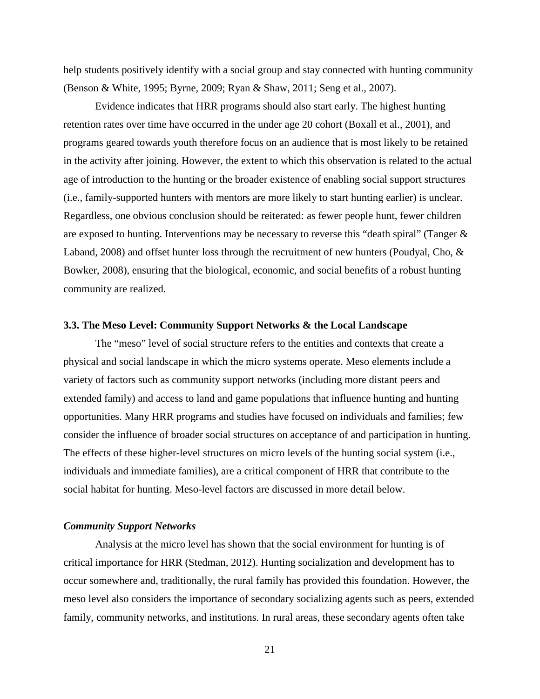help students positively identify with a social group and stay connected with hunting community (Benson & White, 1995; Byrne, 2009; Ryan & Shaw, 2011; Seng et al., 2007).

Evidence indicates that HRR programs should also start early. The highest hunting retention rates over time have occurred in the under age 20 cohort (Boxall et al., 2001), and programs geared towards youth therefore focus on an audience that is most likely to be retained in the activity after joining. However, the extent to which this observation is related to the actual age of introduction to the hunting or the broader existence of enabling social support structures (i.e., family-supported hunters with mentors are more likely to start hunting earlier) is unclear. Regardless, one obvious conclusion should be reiterated: as fewer people hunt, fewer children are exposed to hunting. Interventions may be necessary to reverse this "death spiral" (Tanger & Laband, 2008) and offset hunter loss through the recruitment of new hunters (Poudyal, Cho, & Bowker, 2008), ensuring that the biological, economic, and social benefits of a robust hunting community are realized.

#### <span id="page-30-0"></span>**3.3. The Meso Level: Community Support Networks & the Local Landscape**

The "meso" level of social structure refers to the entities and contexts that create a physical and social landscape in which the micro systems operate. Meso elements include a variety of factors such as community support networks (including more distant peers and extended family) and access to land and game populations that influence hunting and hunting opportunities. Many HRR programs and studies have focused on individuals and families; few consider the influence of broader social structures on acceptance of and participation in hunting. The effects of these higher-level structures on micro levels of the hunting social system (i.e., individuals and immediate families), are a critical component of HRR that contribute to the social habitat for hunting. Meso-level factors are discussed in more detail below.

#### <span id="page-30-1"></span>*Community Support Networks*

Analysis at the micro level has shown that the social environment for hunting is of critical importance for HRR (Stedman, 2012). Hunting socialization and development has to occur somewhere and, traditionally, the rural family has provided this foundation. However, the meso level also considers the importance of secondary socializing agents such as peers, extended family, community networks, and institutions. In rural areas, these secondary agents often take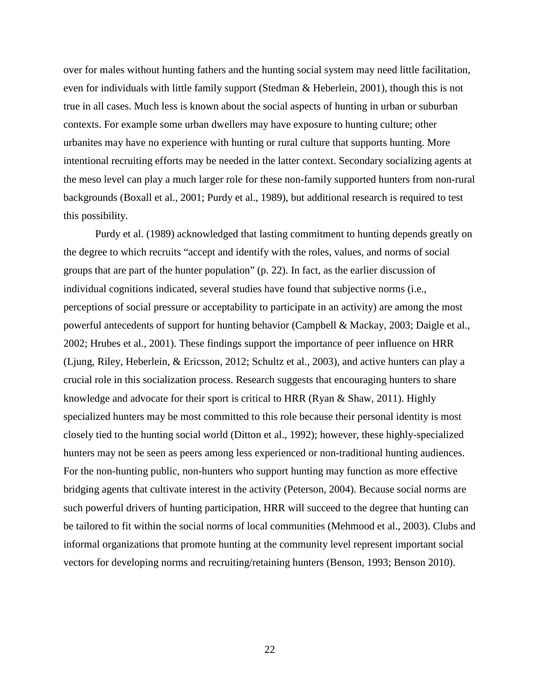over for males without hunting fathers and the hunting social system may need little facilitation, even for individuals with little family support (Stedman & Heberlein, 2001), though this is not true in all cases. Much less is known about the social aspects of hunting in urban or suburban contexts. For example some urban dwellers may have exposure to hunting culture; other urbanites may have no experience with hunting or rural culture that supports hunting. More intentional recruiting efforts may be needed in the latter context. Secondary socializing agents at the meso level can play a much larger role for these non-family supported hunters from non-rural backgrounds (Boxall et al., 2001; Purdy et al., 1989), but additional research is required to test this possibility.

Purdy et al. (1989) acknowledged that lasting commitment to hunting depends greatly on the degree to which recruits "accept and identify with the roles, values, and norms of social groups that are part of the hunter population" (p. 22). In fact, as the earlier discussion of individual cognitions indicated, several studies have found that subjective norms (i.e., perceptions of social pressure or acceptability to participate in an activity) are among the most powerful antecedents of support for hunting behavior (Campbell & Mackay, 2003; Daigle et al., 2002; Hrubes et al., 2001). These findings support the importance of peer influence on HRR (Ljung, Riley, Heberlein, & Ericsson, 2012; Schultz et al., 2003), and active hunters can play a crucial role in this socialization process. Research suggests that encouraging hunters to share knowledge and advocate for their sport is critical to HRR (Ryan & Shaw, 2011). Highly specialized hunters may be most committed to this role because their personal identity is most closely tied to the hunting social world (Ditton et al., 1992); however, these highly-specialized hunters may not be seen as peers among less experienced or non-traditional hunting audiences. For the non-hunting public, non-hunters who support hunting may function as more effective bridging agents that cultivate interest in the activity (Peterson, 2004). Because social norms are such powerful drivers of hunting participation, HRR will succeed to the degree that hunting can be tailored to fit within the social norms of local communities (Mehmood et al., 2003). Clubs and informal organizations that promote hunting at the community level represent important social vectors for developing norms and recruiting/retaining hunters (Benson, 1993; Benson 2010).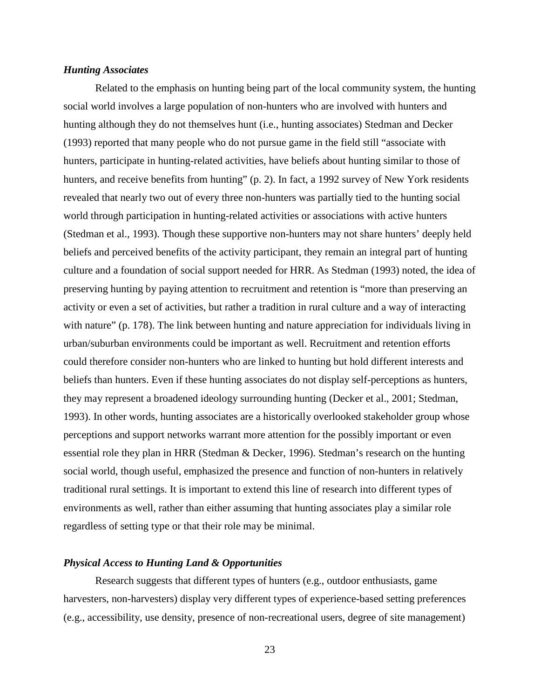## <span id="page-32-0"></span>*Hunting Associates*

Related to the emphasis on hunting being part of the local community system, the hunting social world involves a large population of non-hunters who are involved with hunters and hunting although they do not themselves hunt (i.e., hunting associates) Stedman and Decker (1993) reported that many people who do not pursue game in the field still "associate with hunters, participate in hunting-related activities, have beliefs about hunting similar to those of hunters, and receive benefits from hunting" (p. 2). In fact, a 1992 survey of New York residents revealed that nearly two out of every three non-hunters was partially tied to the hunting social world through participation in hunting-related activities or associations with active hunters (Stedman et al., 1993). Though these supportive non-hunters may not share hunters' deeply held beliefs and perceived benefits of the activity participant, they remain an integral part of hunting culture and a foundation of social support needed for HRR. As Stedman (1993) noted, the idea of preserving hunting by paying attention to recruitment and retention is "more than preserving an activity or even a set of activities, but rather a tradition in rural culture and a way of interacting with nature" (p. 178). The link between hunting and nature appreciation for individuals living in urban/suburban environments could be important as well. Recruitment and retention efforts could therefore consider non-hunters who are linked to hunting but hold different interests and beliefs than hunters. Even if these hunting associates do not display self-perceptions as hunters, they may represent a broadened ideology surrounding hunting (Decker et al., 2001; Stedman, 1993). In other words, hunting associates are a historically overlooked stakeholder group whose perceptions and support networks warrant more attention for the possibly important or even essential role they plan in HRR (Stedman & Decker, 1996). Stedman's research on the hunting social world, though useful, emphasized the presence and function of non-hunters in relatively traditional rural settings. It is important to extend this line of research into different types of environments as well, rather than either assuming that hunting associates play a similar role regardless of setting type or that their role may be minimal.

#### <span id="page-32-1"></span>*Physical Access to Hunting Land & Opportunities*

Research suggests that different types of hunters (e.g., outdoor enthusiasts, game harvesters, non-harvesters) display very different types of experience-based setting preferences (e.g., accessibility, use density, presence of non-recreational users, degree of site management)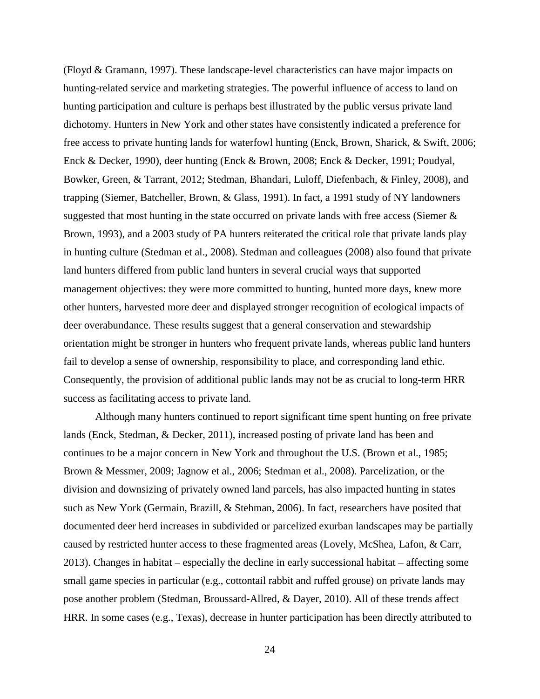(Floyd & Gramann, 1997). These landscape-level characteristics can have major impacts on hunting-related service and marketing strategies. The powerful influence of access to land on hunting participation and culture is perhaps best illustrated by the public versus private land dichotomy. Hunters in New York and other states have consistently indicated a preference for free access to private hunting lands for waterfowl hunting (Enck, Brown, Sharick, & Swift, 2006; Enck & Decker, 1990), deer hunting (Enck & Brown, 2008; Enck & Decker, 1991; Poudyal, Bowker, Green, & Tarrant, 2012; Stedman, Bhandari, Luloff, Diefenbach, & Finley, 2008), and trapping (Siemer, Batcheller, Brown, & Glass, 1991). In fact, a 1991 study of NY landowners suggested that most hunting in the state occurred on private lands with free access (Siemer & Brown, 1993), and a 2003 study of PA hunters reiterated the critical role that private lands play in hunting culture (Stedman et al., 2008). Stedman and colleagues (2008) also found that private land hunters differed from public land hunters in several crucial ways that supported management objectives: they were more committed to hunting, hunted more days, knew more other hunters, harvested more deer and displayed stronger recognition of ecological impacts of deer overabundance. These results suggest that a general conservation and stewardship orientation might be stronger in hunters who frequent private lands, whereas public land hunters fail to develop a sense of ownership, responsibility to place, and corresponding land ethic. Consequently, the provision of additional public lands may not be as crucial to long-term HRR success as facilitating access to private land.

Although many hunters continued to report significant time spent hunting on free private lands (Enck, Stedman, & Decker, 2011), increased posting of private land has been and continues to be a major concern in New York and throughout the U.S. (Brown et al., 1985; Brown & Messmer, 2009; Jagnow et al., 2006; Stedman et al., 2008). Parcelization, or the division and downsizing of privately owned land parcels, has also impacted hunting in states such as New York (Germain, Brazill, & Stehman, 2006). In fact, researchers have posited that documented deer herd increases in subdivided or parcelized exurban landscapes may be partially caused by restricted hunter access to these fragmented areas (Lovely, McShea, Lafon, & Carr, 2013). Changes in habitat – especially the decline in early successional habitat – affecting some small game species in particular (e.g., cottontail rabbit and ruffed grouse) on private lands may pose another problem (Stedman, Broussard-Allred, & Dayer, 2010). All of these trends affect HRR. In some cases (e.g., Texas), decrease in hunter participation has been directly attributed to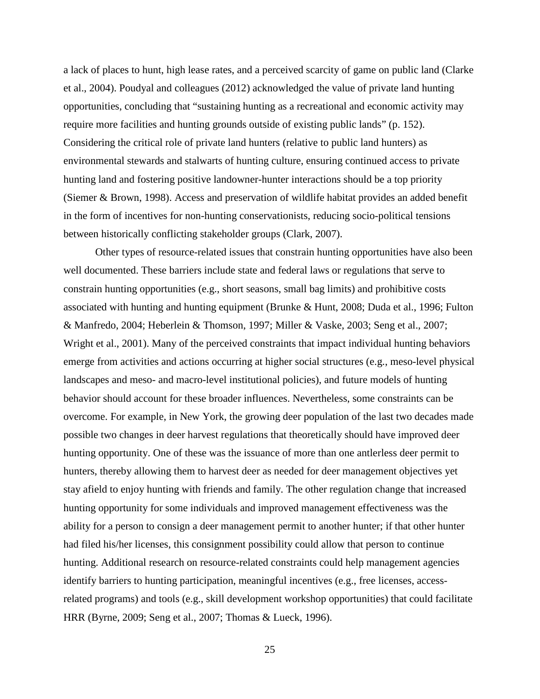a lack of places to hunt, high lease rates, and a perceived scarcity of game on public land (Clarke et al., 2004). Poudyal and colleagues (2012) acknowledged the value of private land hunting opportunities, concluding that "sustaining hunting as a recreational and economic activity may require more facilities and hunting grounds outside of existing public lands" (p. 152). Considering the critical role of private land hunters (relative to public land hunters) as environmental stewards and stalwarts of hunting culture, ensuring continued access to private hunting land and fostering positive landowner-hunter interactions should be a top priority (Siemer & Brown, 1998). Access and preservation of wildlife habitat provides an added benefit in the form of incentives for non-hunting conservationists, reducing socio-political tensions between historically conflicting stakeholder groups (Clark, 2007).

Other types of resource-related issues that constrain hunting opportunities have also been well documented. These barriers include state and federal laws or regulations that serve to constrain hunting opportunities (e.g., short seasons, small bag limits) and prohibitive costs associated with hunting and hunting equipment (Brunke & Hunt, 2008; Duda et al., 1996; Fulton & Manfredo, 2004; Heberlein & Thomson, 1997; Miller & Vaske, 2003; Seng et al., 2007; Wright et al., 2001). Many of the perceived constraints that impact individual hunting behaviors emerge from activities and actions occurring at higher social structures (e.g., meso-level physical landscapes and meso- and macro-level institutional policies), and future models of hunting behavior should account for these broader influences. Nevertheless, some constraints can be overcome. For example, in New York, the growing deer population of the last two decades made possible two changes in deer harvest regulations that theoretically should have improved deer hunting opportunity. One of these was the issuance of more than one antlerless deer permit to hunters, thereby allowing them to harvest deer as needed for deer management objectives yet stay afield to enjoy hunting with friends and family. The other regulation change that increased hunting opportunity for some individuals and improved management effectiveness was the ability for a person to consign a deer management permit to another hunter; if that other hunter had filed his/her licenses, this consignment possibility could allow that person to continue hunting. Additional research on resource-related constraints could help management agencies identify barriers to hunting participation, meaningful incentives (e.g., free licenses, accessrelated programs) and tools (e.g., skill development workshop opportunities) that could facilitate HRR (Byrne, 2009; Seng et al., 2007; Thomas & Lueck, 1996).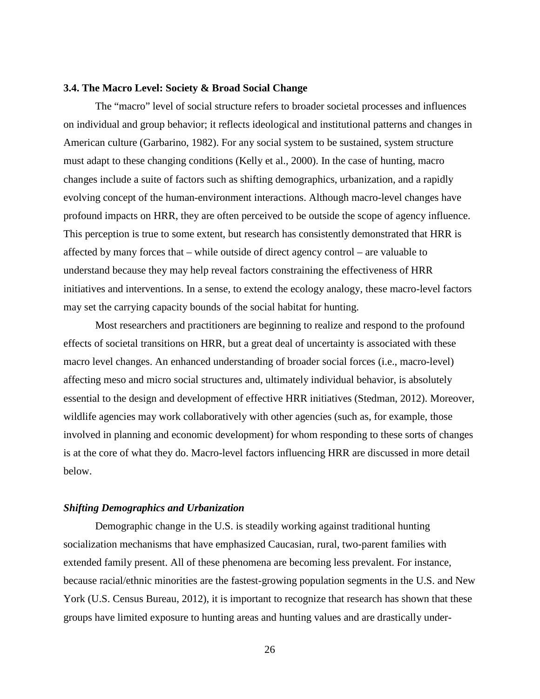#### <span id="page-35-0"></span>**3.4. The Macro Level: Society & Broad Social Change**

The "macro" level of social structure refers to broader societal processes and influences on individual and group behavior; it reflects ideological and institutional patterns and changes in American culture (Garbarino, 1982). For any social system to be sustained, system structure must adapt to these changing conditions (Kelly et al., 2000). In the case of hunting, macro changes include a suite of factors such as shifting demographics, urbanization, and a rapidly evolving concept of the human-environment interactions. Although macro-level changes have profound impacts on HRR, they are often perceived to be outside the scope of agency influence. This perception is true to some extent, but research has consistently demonstrated that HRR is affected by many forces that – while outside of direct agency control – are valuable to understand because they may help reveal factors constraining the effectiveness of HRR initiatives and interventions. In a sense, to extend the ecology analogy, these macro-level factors may set the carrying capacity bounds of the social habitat for hunting.

Most researchers and practitioners are beginning to realize and respond to the profound effects of societal transitions on HRR, but a great deal of uncertainty is associated with these macro level changes. An enhanced understanding of broader social forces (i.e., macro-level) affecting meso and micro social structures and, ultimately individual behavior, is absolutely essential to the design and development of effective HRR initiatives (Stedman, 2012). Moreover, wildlife agencies may work collaboratively with other agencies (such as, for example, those involved in planning and economic development) for whom responding to these sorts of changes is at the core of what they do. Macro-level factors influencing HRR are discussed in more detail below.

#### <span id="page-35-1"></span>*Shifting Demographics and Urbanization*

Demographic change in the U.S. is steadily working against traditional hunting socialization mechanisms that have emphasized Caucasian, rural, two-parent families with extended family present. All of these phenomena are becoming less prevalent. For instance, because racial/ethnic minorities are the fastest-growing population segments in the U.S. and New York (U.S. Census Bureau, 2012), it is important to recognize that research has shown that these groups have limited exposure to hunting areas and hunting values and are drastically under-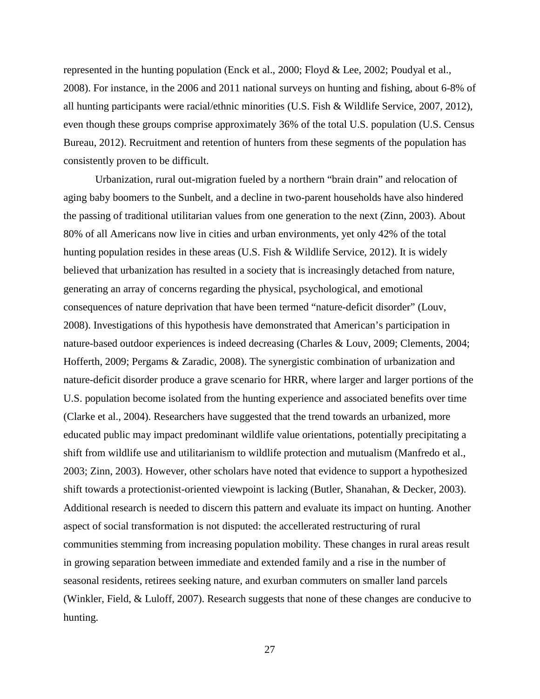represented in the hunting population (Enck et al., 2000; Floyd & Lee, 2002; Poudyal et al., 2008). For instance, in the 2006 and 2011 national surveys on hunting and fishing, about 6-8% of all hunting participants were racial/ethnic minorities (U.S. Fish & Wildlife Service, 2007, 2012), even though these groups comprise approximately 36% of the total U.S. population (U.S. Census Bureau, 2012). Recruitment and retention of hunters from these segments of the population has consistently proven to be difficult.

Urbanization, rural out-migration fueled by a northern "brain drain" and relocation of aging baby boomers to the Sunbelt, and a decline in two-parent households have also hindered the passing of traditional utilitarian values from one generation to the next (Zinn, 2003). About 80% of all Americans now live in cities and urban environments, yet only 42% of the total hunting population resides in these areas (U.S. Fish & Wildlife Service, 2012). It is widely believed that urbanization has resulted in a society that is increasingly detached from nature, generating an array of concerns regarding the physical, psychological, and emotional consequences of nature deprivation that have been termed "nature-deficit disorder" (Louv, 2008). Investigations of this hypothesis have demonstrated that American's participation in nature-based outdoor experiences is indeed decreasing (Charles & Louv, 2009; Clements, 2004; Hofferth, 2009; Pergams & Zaradic, 2008). The synergistic combination of urbanization and nature-deficit disorder produce a grave scenario for HRR, where larger and larger portions of the U.S. population become isolated from the hunting experience and associated benefits over time (Clarke et al., 2004). Researchers have suggested that the trend towards an urbanized, more educated public may impact predominant wildlife value orientations, potentially precipitating a shift from wildlife use and utilitarianism to wildlife protection and mutualism (Manfredo et al., 2003; Zinn, 2003). However, other scholars have noted that evidence to support a hypothesized shift towards a protectionist-oriented viewpoint is lacking (Butler, Shanahan, & Decker, 2003). Additional research is needed to discern this pattern and evaluate its impact on hunting. Another aspect of social transformation is not disputed: the accellerated restructuring of rural communities stemming from increasing population mobility. These changes in rural areas result in growing separation between immediate and extended family and a rise in the number of seasonal residents, retirees seeking nature, and exurban commuters on smaller land parcels (Winkler, Field, & Luloff, 2007). Research suggests that none of these changes are conducive to hunting.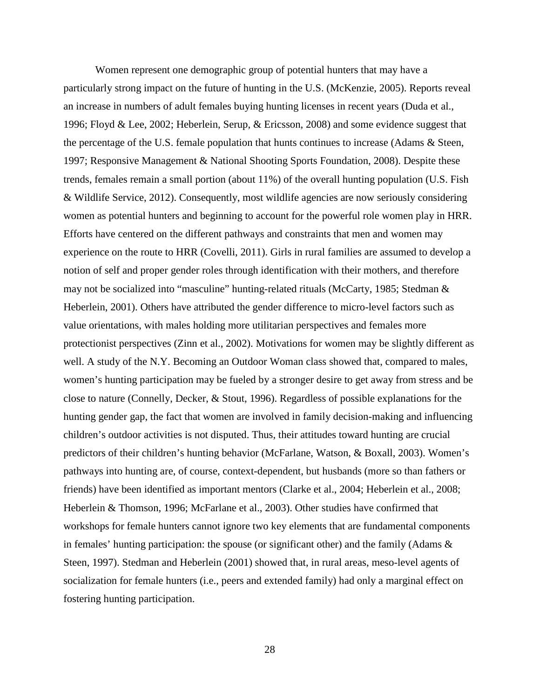Women represent one demographic group of potential hunters that may have a particularly strong impact on the future of hunting in the U.S. (McKenzie, 2005). Reports reveal an increase in numbers of adult females buying hunting licenses in recent years (Duda et al., 1996; Floyd & Lee, 2002; Heberlein, Serup, & Ericsson, 2008) and some evidence suggest that the percentage of the U.S. female population that hunts continues to increase (Adams & Steen, 1997; Responsive Management & National Shooting Sports Foundation, 2008). Despite these trends, females remain a small portion (about 11%) of the overall hunting population (U.S. Fish & Wildlife Service, 2012). Consequently, most wildlife agencies are now seriously considering women as potential hunters and beginning to account for the powerful role women play in HRR. Efforts have centered on the different pathways and constraints that men and women may experience on the route to HRR (Covelli, 2011). Girls in rural families are assumed to develop a notion of self and proper gender roles through identification with their mothers, and therefore may not be socialized into "masculine" hunting-related rituals (McCarty, 1985; Stedman & Heberlein, 2001). Others have attributed the gender difference to micro-level factors such as value orientations, with males holding more utilitarian perspectives and females more protectionist perspectives (Zinn et al., 2002). Motivations for women may be slightly different as well. A study of the N.Y. Becoming an Outdoor Woman class showed that, compared to males, women's hunting participation may be fueled by a stronger desire to get away from stress and be close to nature (Connelly, Decker, & Stout, 1996). Regardless of possible explanations for the hunting gender gap, the fact that women are involved in family decision-making and influencing children's outdoor activities is not disputed. Thus, their attitudes toward hunting are crucial predictors of their children's hunting behavior (McFarlane, Watson, & Boxall, 2003). Women's pathways into hunting are, of course, context-dependent, but husbands (more so than fathers or friends) have been identified as important mentors (Clarke et al., 2004; Heberlein et al., 2008; Heberlein & Thomson, 1996; McFarlane et al., 2003). Other studies have confirmed that workshops for female hunters cannot ignore two key elements that are fundamental components in females' hunting participation: the spouse (or significant other) and the family (Adams & Steen, 1997). Stedman and Heberlein (2001) showed that, in rural areas, meso-level agents of socialization for female hunters (i.e., peers and extended family) had only a marginal effect on fostering hunting participation.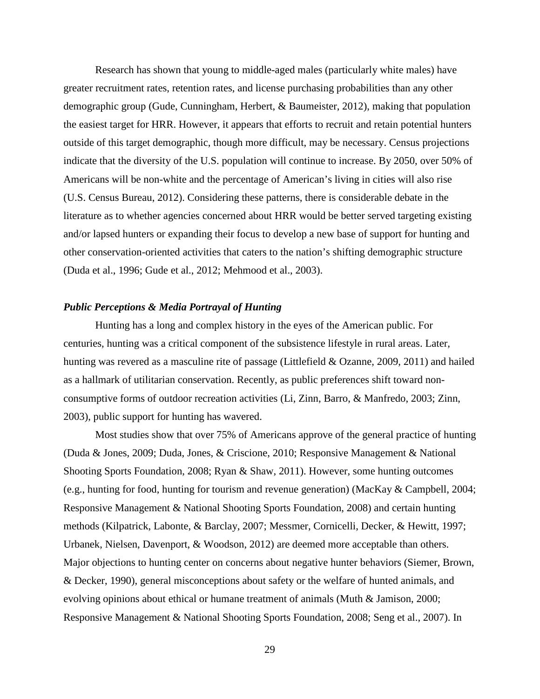Research has shown that young to middle-aged males (particularly white males) have greater recruitment rates, retention rates, and license purchasing probabilities than any other demographic group (Gude, Cunningham, Herbert, & Baumeister, 2012), making that population the easiest target for HRR. However, it appears that efforts to recruit and retain potential hunters outside of this target demographic, though more difficult, may be necessary. Census projections indicate that the diversity of the U.S. population will continue to increase. By 2050, over 50% of Americans will be non-white and the percentage of American's living in cities will also rise (U.S. Census Bureau, 2012). Considering these patterns, there is considerable debate in the literature as to whether agencies concerned about HRR would be better served targeting existing and/or lapsed hunters or expanding their focus to develop a new base of support for hunting and other conservation-oriented activities that caters to the nation's shifting demographic structure (Duda et al., 1996; Gude et al., 2012; Mehmood et al., 2003).

#### *Public Perceptions & Media Portrayal of Hunting*

Hunting has a long and complex history in the eyes of the American public. For centuries, hunting was a critical component of the subsistence lifestyle in rural areas. Later, hunting was revered as a masculine rite of passage (Littlefield & Ozanne, 2009, 2011) and hailed as a hallmark of utilitarian conservation. Recently, as public preferences shift toward nonconsumptive forms of outdoor recreation activities (Li, Zinn, Barro, & Manfredo, 2003; Zinn, 2003), public support for hunting has wavered.

Most studies show that over 75% of Americans approve of the general practice of hunting (Duda & Jones, 2009; Duda, Jones, & Criscione, 2010; Responsive Management & National Shooting Sports Foundation, 2008; Ryan & Shaw, 2011). However, some hunting outcomes (e.g., hunting for food, hunting for tourism and revenue generation) (MacKay & Campbell, 2004; Responsive Management & National Shooting Sports Foundation, 2008) and certain hunting methods (Kilpatrick, Labonte, & Barclay, 2007; Messmer, Cornicelli, Decker, & Hewitt, 1997; Urbanek, Nielsen, Davenport, & Woodson, 2012) are deemed more acceptable than others. Major objections to hunting center on concerns about negative hunter behaviors (Siemer, Brown, & Decker, 1990), general misconceptions about safety or the welfare of hunted animals, and evolving opinions about ethical or humane treatment of animals (Muth & Jamison, 2000; Responsive Management & National Shooting Sports Foundation, 2008; Seng et al., 2007). In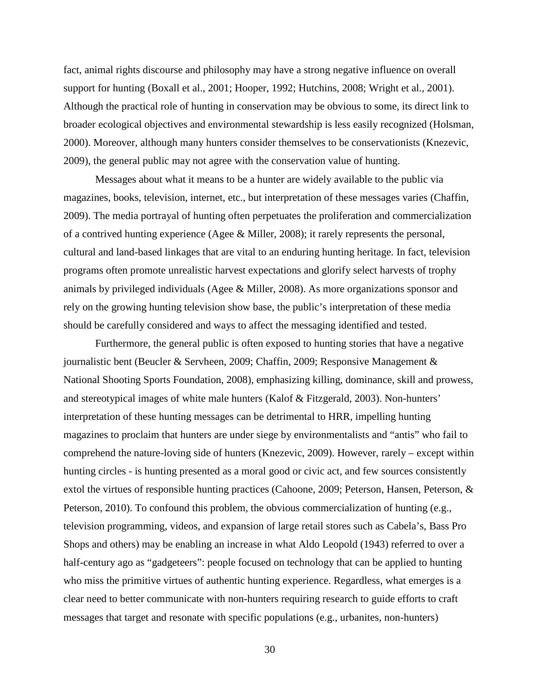fact, animal rights discourse and philosophy may have a strong negative influence on overall support for hunting (Boxall et al., 2001; Hooper, 1992; Hutchins, 2008; Wright et al., 2001). Although the practical role of hunting in conservation may be obvious to some, its direct link to broader ecological objectives and environmental stewardship is less easily recognized (Holsman, 2000). Moreover, although many hunters consider themselves to be conservationists (Knezevic, 2009), the general public may not agree with the conservation value of hunting.

Messages about what it means to be a hunter are widely available to the public via magazines, books, television, internet, etc., but interpretation of these messages varies (Chaffin, 2009). The media portrayal of hunting often perpetuates the proliferation and commercialization of a contrived hunting experience (Agee & Miller, 2008); it rarely represents the personal, cultural and land-based linkages that are vital to an enduring hunting heritage. In fact, television programs often promote unrealistic harvest expectations and glorify select harvests of trophy animals by privileged individuals (Agee & Miller, 2008). As more organizations sponsor and rely on the growing hunting television show base, the public's interpretation of these media should be carefully considered and ways to affect the messaging identified and tested.

Furthermore, the general public is often exposed to hunting stories that have a negative journalistic bent (Beucler & Servheen, 2009; Chaffin, 2009; Responsive Management & National Shooting Sports Foundation, 2008), emphasizing killing, dominance, skill and prowess, and stereotypical images of white male hunters (Kalof & Fitzgerald, 2003). Non-hunters' interpretation of these hunting messages can be detrimental to HRR, impelling hunting magazines to proclaim that hunters are under siege by environmentalists and "antis" who fail to comprehend the nature-loving side of hunters (Knezevic, 2009). However, rarely – except within hunting circles - is hunting presented as a moral good or civic act, and few sources consistently extol the virtues of responsible hunting practices (Cahoone, 2009; Peterson, Hansen, Peterson, & Peterson, 2010). To confound this problem, the obvious commercialization of hunting (e.g., television programming, videos, and expansion of large retail stores such as Cabela's, Bass Pro Shops and others) may be enabling an increase in what Aldo Leopold (1943) referred to over a half-century ago as "gadgeteers": people focused on technology that can be applied to hunting who miss the primitive virtues of authentic hunting experience. Regardless, what emerges is a clear need to better communicate with non-hunters requiring research to guide efforts to craft messages that target and resonate with specific populations (e.g., urbanites, non-hunters)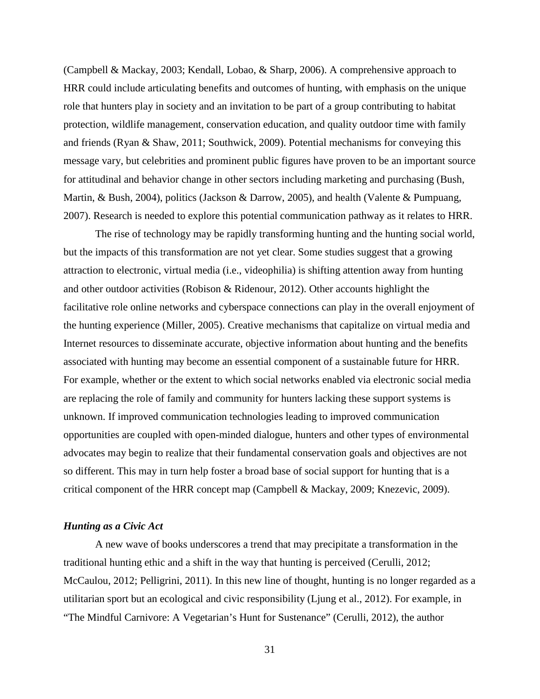(Campbell & Mackay, 2003; Kendall, Lobao, & Sharp, 2006). A comprehensive approach to HRR could include articulating benefits and outcomes of hunting, with emphasis on the unique role that hunters play in society and an invitation to be part of a group contributing to habitat protection, wildlife management, conservation education, and quality outdoor time with family and friends (Ryan & Shaw, 2011; Southwick, 2009). Potential mechanisms for conveying this message vary, but celebrities and prominent public figures have proven to be an important source for attitudinal and behavior change in other sectors including marketing and purchasing (Bush, Martin, & Bush, 2004), politics (Jackson & Darrow, 2005), and health (Valente & Pumpuang, 2007). Research is needed to explore this potential communication pathway as it relates to HRR.

The rise of technology may be rapidly transforming hunting and the hunting social world, but the impacts of this transformation are not yet clear. Some studies suggest that a growing attraction to electronic, virtual media (i.e., videophilia) is shifting attention away from hunting and other outdoor activities (Robison & Ridenour, 2012). Other accounts highlight the facilitative role online networks and cyberspace connections can play in the overall enjoyment of the hunting experience (Miller, 2005). Creative mechanisms that capitalize on virtual media and Internet resources to disseminate accurate, objective information about hunting and the benefits associated with hunting may become an essential component of a sustainable future for HRR. For example, whether or the extent to which social networks enabled via electronic social media are replacing the role of family and community for hunters lacking these support systems is unknown. If improved communication technologies leading to improved communication opportunities are coupled with open-minded dialogue, hunters and other types of environmental advocates may begin to realize that their fundamental conservation goals and objectives are not so different. This may in turn help foster a broad base of social support for hunting that is a critical component of the HRR concept map (Campbell & Mackay, 2009; Knezevic, 2009).

### *Hunting as a Civic Act*

A new wave of books underscores a trend that may precipitate a transformation in the traditional hunting ethic and a shift in the way that hunting is perceived (Cerulli, 2012; McCaulou, 2012; Pelligrini, 2011). In this new line of thought, hunting is no longer regarded as a utilitarian sport but an ecological and civic responsibility (Ljung et al., 2012). For example, in "The Mindful Carnivore: A Vegetarian's Hunt for Sustenance" (Cerulli, 2012), the author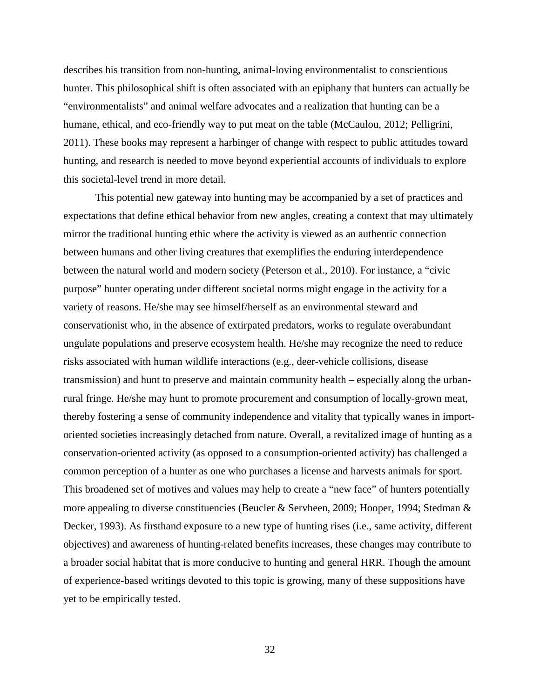describes his transition from non-hunting, animal-loving environmentalist to conscientious hunter. This philosophical shift is often associated with an epiphany that hunters can actually be "environmentalists" and animal welfare advocates and a realization that hunting can be a humane, ethical, and eco-friendly way to put meat on the table (McCaulou, 2012; Pelligrini, 2011). These books may represent a harbinger of change with respect to public attitudes toward hunting, and research is needed to move beyond experiential accounts of individuals to explore this societal-level trend in more detail.

This potential new gateway into hunting may be accompanied by a set of practices and expectations that define ethical behavior from new angles, creating a context that may ultimately mirror the traditional hunting ethic where the activity is viewed as an authentic connection between humans and other living creatures that exemplifies the enduring interdependence between the natural world and modern society (Peterson et al., 2010). For instance, a "civic purpose" hunter operating under different societal norms might engage in the activity for a variety of reasons. He/she may see himself/herself as an environmental steward and conservationist who, in the absence of extirpated predators, works to regulate overabundant ungulate populations and preserve ecosystem health. He/she may recognize the need to reduce risks associated with human wildlife interactions (e.g., deer-vehicle collisions, disease transmission) and hunt to preserve and maintain community health – especially along the urbanrural fringe. He/she may hunt to promote procurement and consumption of locally-grown meat, thereby fostering a sense of community independence and vitality that typically wanes in importoriented societies increasingly detached from nature. Overall, a revitalized image of hunting as a conservation-oriented activity (as opposed to a consumption-oriented activity) has challenged a common perception of a hunter as one who purchases a license and harvests animals for sport. This broadened set of motives and values may help to create a "new face" of hunters potentially more appealing to diverse constituencies (Beucler & Servheen, 2009; Hooper, 1994; Stedman & Decker, 1993). As firsthand exposure to a new type of hunting rises (i.e., same activity, different objectives) and awareness of hunting-related benefits increases, these changes may contribute to a broader social habitat that is more conducive to hunting and general HRR. Though the amount of experience-based writings devoted to this topic is growing, many of these suppositions have yet to be empirically tested.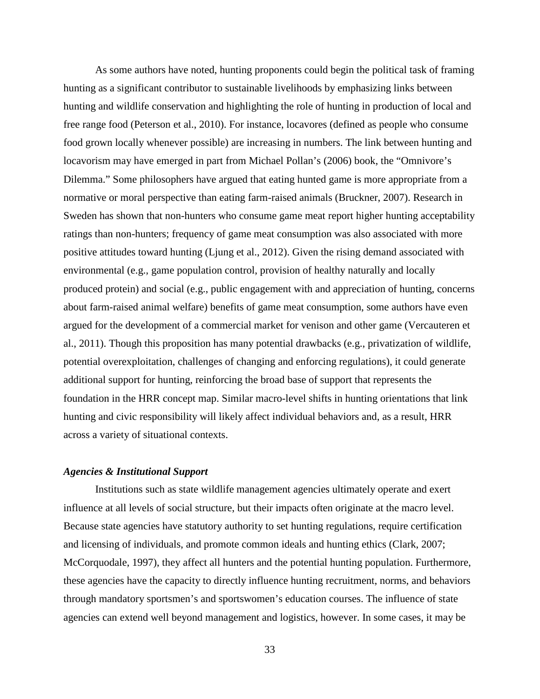As some authors have noted, hunting proponents could begin the political task of framing hunting as a significant contributor to sustainable livelihoods by emphasizing links between hunting and wildlife conservation and highlighting the role of hunting in production of local and free range food (Peterson et al., 2010). For instance, locavores (defined as people who consume food grown locally whenever possible) are increasing in numbers. The link between hunting and locavorism may have emerged in part from Michael Pollan's (2006) book, the "Omnivore's Dilemma." Some philosophers have argued that eating hunted game is more appropriate from a normative or moral perspective than eating farm-raised animals (Bruckner, 2007). Research in Sweden has shown that non-hunters who consume game meat report higher hunting acceptability ratings than non-hunters; frequency of game meat consumption was also associated with more positive attitudes toward hunting (Ljung et al., 2012). Given the rising demand associated with environmental (e.g., game population control, provision of healthy naturally and locally produced protein) and social (e.g., public engagement with and appreciation of hunting, concerns about farm-raised animal welfare) benefits of game meat consumption, some authors have even argued for the development of a commercial market for venison and other game (Vercauteren et al., 2011). Though this proposition has many potential drawbacks (e.g., privatization of wildlife, potential overexploitation, challenges of changing and enforcing regulations), it could generate additional support for hunting, reinforcing the broad base of support that represents the foundation in the HRR concept map. Similar macro-level shifts in hunting orientations that link hunting and civic responsibility will likely affect individual behaviors and, as a result, HRR across a variety of situational contexts.

### *Agencies & Institutional Support*

Institutions such as state wildlife management agencies ultimately operate and exert influence at all levels of social structure, but their impacts often originate at the macro level. Because state agencies have statutory authority to set hunting regulations, require certification and licensing of individuals, and promote common ideals and hunting ethics (Clark, 2007; McCorquodale, 1997), they affect all hunters and the potential hunting population. Furthermore, these agencies have the capacity to directly influence hunting recruitment, norms, and behaviors through mandatory sportsmen's and sportswomen's education courses. The influence of state agencies can extend well beyond management and logistics, however. In some cases, it may be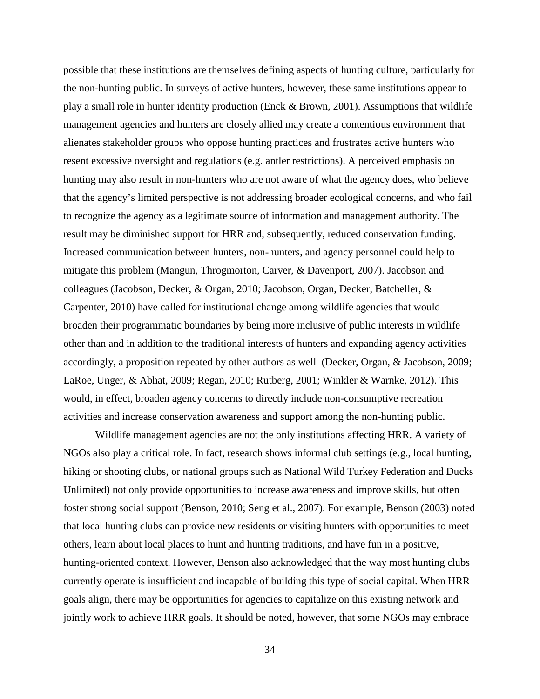possible that these institutions are themselves defining aspects of hunting culture, particularly for the non-hunting public. In surveys of active hunters, however, these same institutions appear to play a small role in hunter identity production (Enck & Brown, 2001). Assumptions that wildlife management agencies and hunters are closely allied may create a contentious environment that alienates stakeholder groups who oppose hunting practices and frustrates active hunters who resent excessive oversight and regulations (e.g. antler restrictions). A perceived emphasis on hunting may also result in non-hunters who are not aware of what the agency does, who believe that the agency's limited perspective is not addressing broader ecological concerns, and who fail to recognize the agency as a legitimate source of information and management authority. The result may be diminished support for HRR and, subsequently, reduced conservation funding. Increased communication between hunters, non-hunters, and agency personnel could help to mitigate this problem (Mangun, Throgmorton, Carver, & Davenport, 2007). Jacobson and colleagues (Jacobson, Decker, & Organ, 2010; Jacobson, Organ, Decker, Batcheller, & Carpenter, 2010) have called for institutional change among wildlife agencies that would broaden their programmatic boundaries by being more inclusive of public interests in wildlife other than and in addition to the traditional interests of hunters and expanding agency activities accordingly, a proposition repeated by other authors as well (Decker, Organ, & Jacobson, 2009; LaRoe, Unger, & Abhat, 2009; Regan, 2010; Rutberg, 2001; Winkler & Warnke, 2012). This would, in effect, broaden agency concerns to directly include non-consumptive recreation activities and increase conservation awareness and support among the non-hunting public.

Wildlife management agencies are not the only institutions affecting HRR. A variety of NGOs also play a critical role. In fact, research shows informal club settings (e.g., local hunting, hiking or shooting clubs, or national groups such as National Wild Turkey Federation and Ducks Unlimited) not only provide opportunities to increase awareness and improve skills, but often foster strong social support (Benson, 2010; Seng et al., 2007). For example, Benson (2003) noted that local hunting clubs can provide new residents or visiting hunters with opportunities to meet others, learn about local places to hunt and hunting traditions, and have fun in a positive, hunting-oriented context. However, Benson also acknowledged that the way most hunting clubs currently operate is insufficient and incapable of building this type of social capital. When HRR goals align, there may be opportunities for agencies to capitalize on this existing network and jointly work to achieve HRR goals. It should be noted, however, that some NGOs may embrace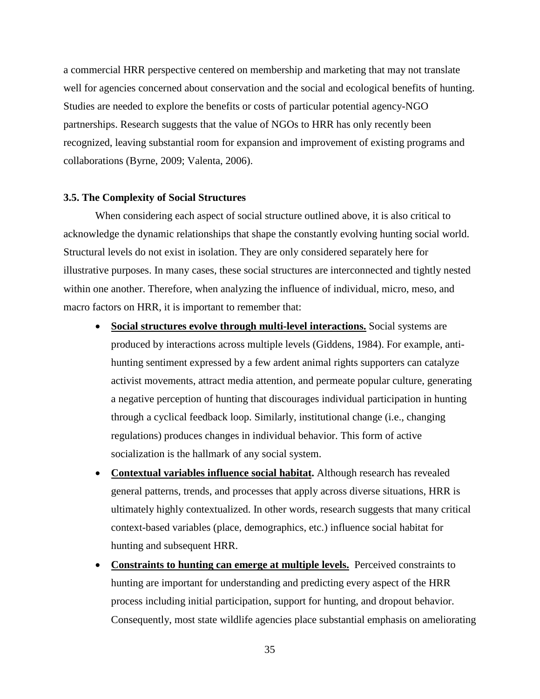a commercial HRR perspective centered on membership and marketing that may not translate well for agencies concerned about conservation and the social and ecological benefits of hunting. Studies are needed to explore the benefits or costs of particular potential agency-NGO partnerships. Research suggests that the value of NGOs to HRR has only recently been recognized, leaving substantial room for expansion and improvement of existing programs and collaborations (Byrne, 2009; Valenta, 2006).

#### **3.5. The Complexity of Social Structures**

When considering each aspect of social structure outlined above, it is also critical to acknowledge the dynamic relationships that shape the constantly evolving hunting social world. Structural levels do not exist in isolation. They are only considered separately here for illustrative purposes. In many cases, these social structures are interconnected and tightly nested within one another. Therefore, when analyzing the influence of individual, micro, meso, and macro factors on HRR, it is important to remember that:

- **Social structures evolve through multi-level interactions.** Social systems are produced by interactions across multiple levels (Giddens, 1984). For example, antihunting sentiment expressed by a few ardent animal rights supporters can catalyze activist movements, attract media attention, and permeate popular culture, generating a negative perception of hunting that discourages individual participation in hunting through a cyclical feedback loop. Similarly, institutional change (i.e., changing regulations) produces changes in individual behavior. This form of active socialization is the hallmark of any social system.
- **Contextual variables influence social habitat.** Although research has revealed general patterns, trends, and processes that apply across diverse situations, HRR is ultimately highly contextualized. In other words, research suggests that many critical context-based variables (place, demographics, etc.) influence social habitat for hunting and subsequent HRR.
- **Constraints to hunting can emerge at multiple levels.** Perceived constraints to hunting are important for understanding and predicting every aspect of the HRR process including initial participation, support for hunting, and dropout behavior. Consequently, most state wildlife agencies place substantial emphasis on ameliorating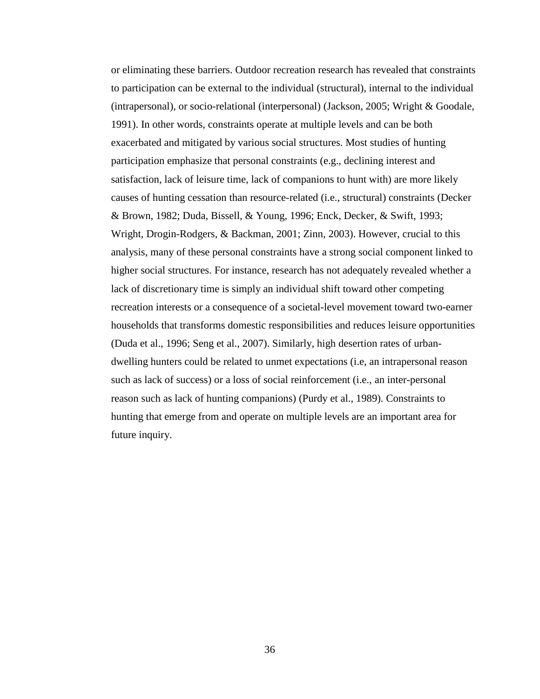or eliminating these barriers. Outdoor recreation research has revealed that constraints to participation can be external to the individual (structural), internal to the individual (intrapersonal), or socio-relational (interpersonal) (Jackson, 2005; Wright & Goodale, 1991). In other words, constraints operate at multiple levels and can be both exacerbated and mitigated by various social structures. Most studies of hunting participation emphasize that personal constraints (e.g., declining interest and satisfaction, lack of leisure time, lack of companions to hunt with) are more likely causes of hunting cessation than resource-related (i.e., structural) constraints (Decker & Brown, 1982; Duda, Bissell, & Young, 1996; Enck, Decker, & Swift, 1993; Wright, Drogin-Rodgers, & Backman, 2001; Zinn, 2003). However, crucial to this analysis, many of these personal constraints have a strong social component linked to higher social structures. For instance, research has not adequately revealed whether a lack of discretionary time is simply an individual shift toward other competing recreation interests or a consequence of a societal-level movement toward two-earner households that transforms domestic responsibilities and reduces leisure opportunities (Duda et al., 1996; Seng et al., 2007). Similarly, high desertion rates of urbandwelling hunters could be related to unmet expectations (i.e, an intrapersonal reason such as lack of success) or a loss of social reinforcement (i.e., an inter-personal reason such as lack of hunting companions) (Purdy et al., 1989). Constraints to hunting that emerge from and operate on multiple levels are an important area for future inquiry.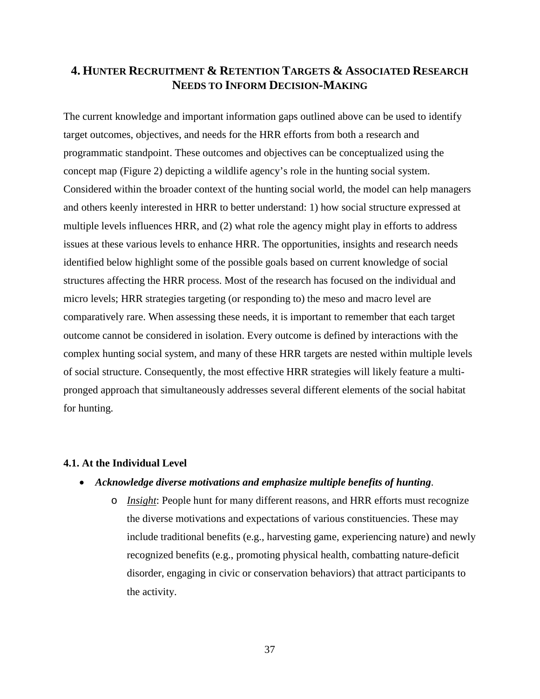# **4. HUNTER RECRUITMENT & RETENTION TARGETS & ASSOCIATED RESEARCH NEEDS TO INFORM DECISION-MAKING**

The current knowledge and important information gaps outlined above can be used to identify target outcomes, objectives, and needs for the HRR efforts from both a research and programmatic standpoint. These outcomes and objectives can be conceptualized using the concept map (Figure 2) depicting a wildlife agency's role in the hunting social system. Considered within the broader context of the hunting social world, the model can help managers and others keenly interested in HRR to better understand: 1) how social structure expressed at multiple levels influences HRR, and (2) what role the agency might play in efforts to address issues at these various levels to enhance HRR. The opportunities, insights and research needs identified below highlight some of the possible goals based on current knowledge of social structures affecting the HRR process. Most of the research has focused on the individual and micro levels; HRR strategies targeting (or responding to) the meso and macro level are comparatively rare. When assessing these needs, it is important to remember that each target outcome cannot be considered in isolation. Every outcome is defined by interactions with the complex hunting social system, and many of these HRR targets are nested within multiple levels of social structure. Consequently, the most effective HRR strategies will likely feature a multipronged approach that simultaneously addresses several different elements of the social habitat for hunting.

### **4.1. At the Individual Level**

## • *Acknowledge diverse motivations and emphasize multiple benefits of hunting*.

o *Insight*: People hunt for many different reasons, and HRR efforts must recognize the diverse motivations and expectations of various constituencies. These may include traditional benefits (e.g., harvesting game, experiencing nature) and newly recognized benefits (e.g., promoting physical health, combatting nature-deficit disorder, engaging in civic or conservation behaviors) that attract participants to the activity.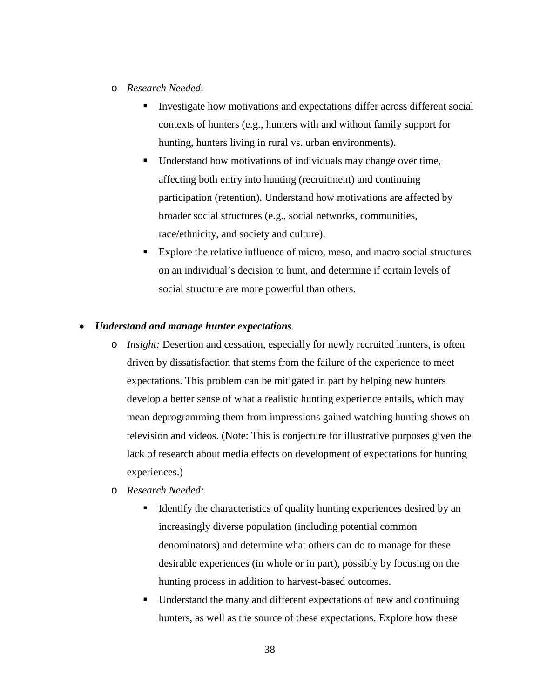## o *Research Needed*:

- Investigate how motivations and expectations differ across different social contexts of hunters (e.g., hunters with and without family support for hunting, hunters living in rural vs. urban environments).
- Understand how motivations of individuals may change over time, affecting both entry into hunting (recruitment) and continuing participation (retention). Understand how motivations are affected by broader social structures (e.g., social networks, communities, race/ethnicity, and society and culture).
- Explore the relative influence of micro, meso, and macro social structures on an individual's decision to hunt, and determine if certain levels of social structure are more powerful than others.

## • *Understand and manage hunter expectations*.

- o *Insight:* Desertion and cessation, especially for newly recruited hunters, is often driven by dissatisfaction that stems from the failure of the experience to meet expectations. This problem can be mitigated in part by helping new hunters develop a better sense of what a realistic hunting experience entails, which may mean deprogramming them from impressions gained watching hunting shows on television and videos. (Note: This is conjecture for illustrative purposes given the lack of research about media effects on development of expectations for hunting experiences.)
- o *Research Needed:*
	- Identify the characteristics of quality hunting experiences desired by an increasingly diverse population (including potential common denominators) and determine what others can do to manage for these desirable experiences (in whole or in part), possibly by focusing on the hunting process in addition to harvest-based outcomes.
	- Understand the many and different expectations of new and continuing hunters, as well as the source of these expectations. Explore how these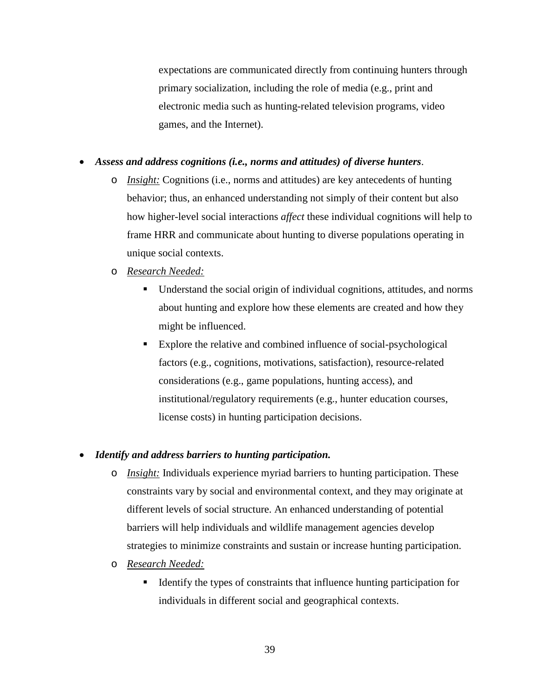expectations are communicated directly from continuing hunters through primary socialization, including the role of media (e.g., print and electronic media such as hunting-related television programs, video games, and the Internet).

## • *Assess and address cognitions (i.e., norms and attitudes) of diverse hunters*.

- o *Insight:* Cognitions (i.e., norms and attitudes) are key antecedents of hunting behavior; thus, an enhanced understanding not simply of their content but also how higher-level social interactions *affect* these individual cognitions will help to frame HRR and communicate about hunting to diverse populations operating in unique social contexts.
- o *Research Needed:*
	- Understand the social origin of individual cognitions, attitudes, and norms about hunting and explore how these elements are created and how they might be influenced.
	- Explore the relative and combined influence of social-psychological factors (e.g., cognitions, motivations, satisfaction), resource-related considerations (e.g., game populations, hunting access), and institutional/regulatory requirements (e.g., hunter education courses, license costs) in hunting participation decisions.

#### • *Identify and address barriers to hunting participation.*

- o *Insight:* Individuals experience myriad barriers to hunting participation. These constraints vary by social and environmental context, and they may originate at different levels of social structure. An enhanced understanding of potential barriers will help individuals and wildlife management agencies develop strategies to minimize constraints and sustain or increase hunting participation.
- o *Research Needed:*
	- Identify the types of constraints that influence hunting participation for individuals in different social and geographical contexts.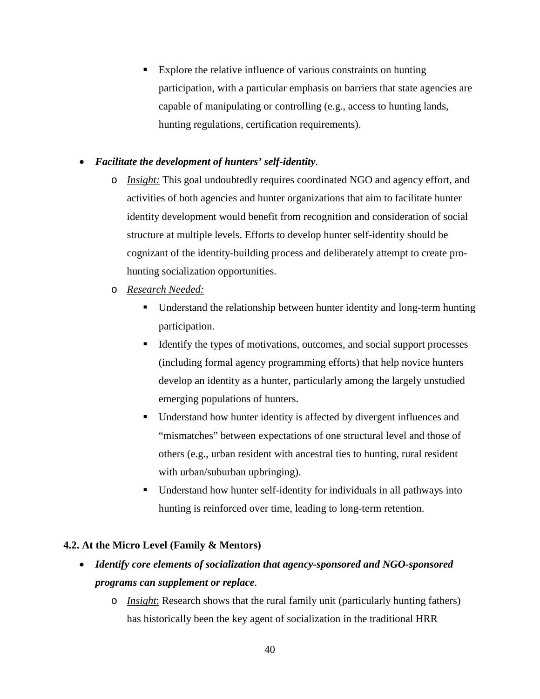Explore the relative influence of various constraints on hunting participation, with a particular emphasis on barriers that state agencies are capable of manipulating or controlling (e.g., access to hunting lands, hunting regulations, certification requirements).

## • *Facilitate the development of hunters' self-identity*.

- o *Insight:* This goal undoubtedly requires coordinated NGO and agency effort, and activities of both agencies and hunter organizations that aim to facilitate hunter identity development would benefit from recognition and consideration of social structure at multiple levels. Efforts to develop hunter self-identity should be cognizant of the identity-building process and deliberately attempt to create prohunting socialization opportunities.
- o *Research Needed:* 
	- Understand the relationship between hunter identity and long-term hunting participation.
	- Identify the types of motivations, outcomes, and social support processes (including formal agency programming efforts) that help novice hunters develop an identity as a hunter, particularly among the largely unstudied emerging populations of hunters.
	- Understand how hunter identity is affected by divergent influences and "mismatches" between expectations of one structural level and those of others (e.g., urban resident with ancestral ties to hunting, rural resident with urban/suburban upbringing).
	- Understand how hunter self-identity for individuals in all pathways into hunting is reinforced over time, leading to long-term retention.

## **4.2. At the Micro Level (Family & Mentors)**

- *Identify core elements of socialization that agency-sponsored and NGO-sponsored programs can supplement or replace*.
	- o *Insight*: Research shows that the rural family unit (particularly hunting fathers) has historically been the key agent of socialization in the traditional HRR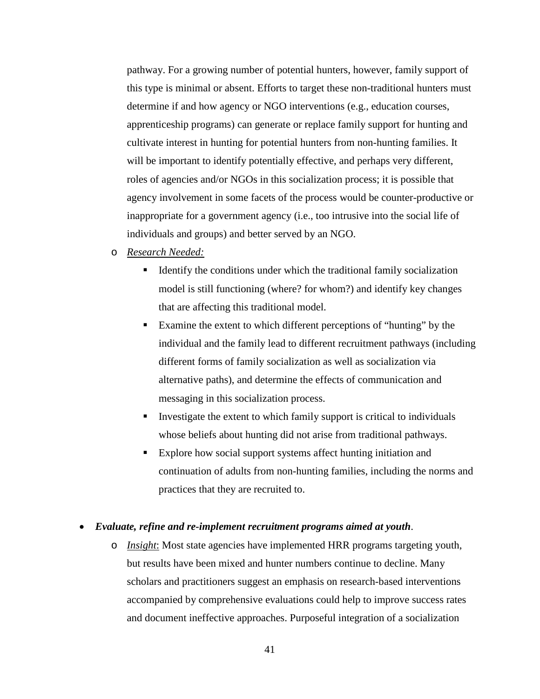pathway. For a growing number of potential hunters, however, family support of this type is minimal or absent. Efforts to target these non-traditional hunters must determine if and how agency or NGO interventions (e.g., education courses, apprenticeship programs) can generate or replace family support for hunting and cultivate interest in hunting for potential hunters from non-hunting families. It will be important to identify potentially effective, and perhaps very different, roles of agencies and/or NGOs in this socialization process; it is possible that agency involvement in some facets of the process would be counter-productive or inappropriate for a government agency (i.e., too intrusive into the social life of individuals and groups) and better served by an NGO.

## o *Research Needed:*

- $\blacksquare$  Identify the conditions under which the traditional family socialization model is still functioning (where? for whom?) and identify key changes that are affecting this traditional model.
- Examine the extent to which different perceptions of "hunting" by the individual and the family lead to different recruitment pathways (including different forms of family socialization as well as socialization via alternative paths), and determine the effects of communication and messaging in this socialization process.
- Investigate the extent to which family support is critical to individuals whose beliefs about hunting did not arise from traditional pathways.
- Explore how social support systems affect hunting initiation and continuation of adults from non-hunting families, including the norms and practices that they are recruited to.

#### • *Evaluate, refine and re-implement recruitment programs aimed at youth*.

o *Insight*: Most state agencies have implemented HRR programs targeting youth, but results have been mixed and hunter numbers continue to decline. Many scholars and practitioners suggest an emphasis on research-based interventions accompanied by comprehensive evaluations could help to improve success rates and document ineffective approaches. Purposeful integration of a socialization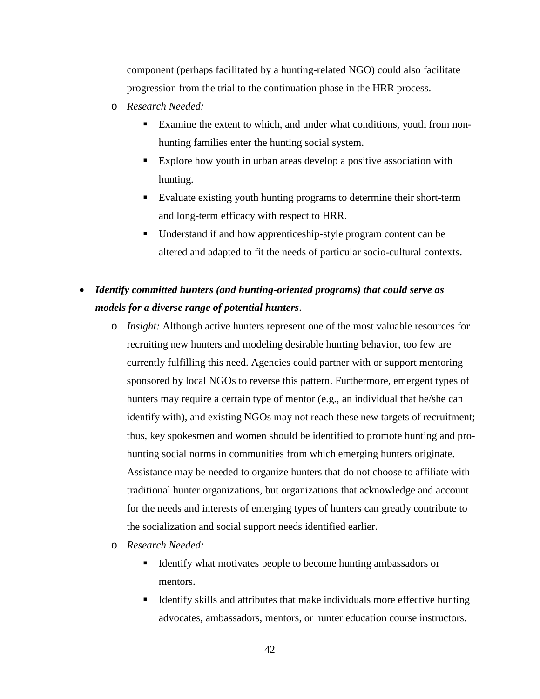component (perhaps facilitated by a hunting-related NGO) could also facilitate progression from the trial to the continuation phase in the HRR process.

- o *Research Needed:*
	- Examine the extent to which, and under what conditions, youth from nonhunting families enter the hunting social system.
	- Explore how youth in urban areas develop a positive association with hunting.
	- Evaluate existing youth hunting programs to determine their short-term and long-term efficacy with respect to HRR.
	- Understand if and how apprenticeship-style program content can be altered and adapted to fit the needs of particular socio-cultural contexts.
- *Identify committed hunters (and hunting-oriented programs) that could serve as models for a diverse range of potential hunters*.
	- o *Insight:* Although active hunters represent one of the most valuable resources for recruiting new hunters and modeling desirable hunting behavior, too few are currently fulfilling this need. Agencies could partner with or support mentoring sponsored by local NGOs to reverse this pattern. Furthermore, emergent types of hunters may require a certain type of mentor (e.g., an individual that he/she can identify with), and existing NGOs may not reach these new targets of recruitment; thus, key spokesmen and women should be identified to promote hunting and prohunting social norms in communities from which emerging hunters originate. Assistance may be needed to organize hunters that do not choose to affiliate with traditional hunter organizations, but organizations that acknowledge and account for the needs and interests of emerging types of hunters can greatly contribute to the socialization and social support needs identified earlier.
	- o *Research Needed:*
		- Identify what motivates people to become hunting ambassadors or mentors.
		- Identify skills and attributes that make individuals more effective hunting advocates, ambassadors, mentors, or hunter education course instructors.
			- 42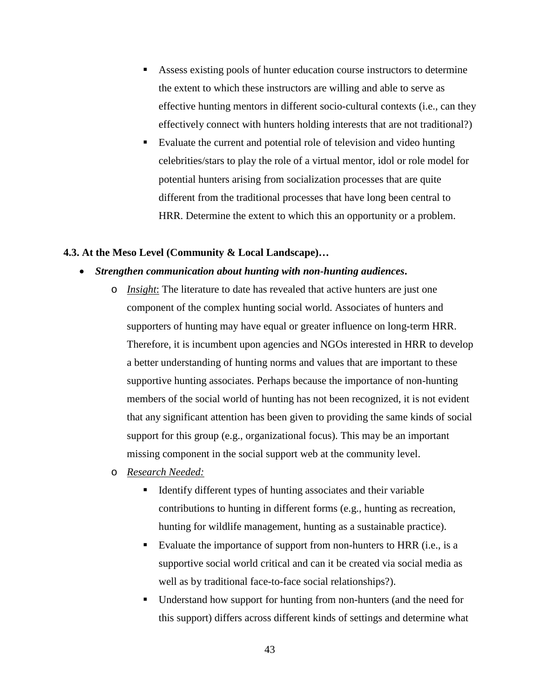- Assess existing pools of hunter education course instructors to determine the extent to which these instructors are willing and able to serve as effective hunting mentors in different socio-cultural contexts (i.e., can they effectively connect with hunters holding interests that are not traditional?)
- Evaluate the current and potential role of television and video hunting celebrities/stars to play the role of a virtual mentor, idol or role model for potential hunters arising from socialization processes that are quite different from the traditional processes that have long been central to HRR. Determine the extent to which this an opportunity or a problem.

### **4.3. At the Meso Level (Community & Local Landscape)…**

### • *Strengthen communication about hunting with non-hunting audiences***.**

- o *Insight*: The literature to date has revealed that active hunters are just one component of the complex hunting social world. Associates of hunters and supporters of hunting may have equal or greater influence on long-term HRR. Therefore, it is incumbent upon agencies and NGOs interested in HRR to develop a better understanding of hunting norms and values that are important to these supportive hunting associates. Perhaps because the importance of non-hunting members of the social world of hunting has not been recognized, it is not evident that any significant attention has been given to providing the same kinds of social support for this group (e.g., organizational focus). This may be an important missing component in the social support web at the community level.
- o *Research Needed:*
	- Identify different types of hunting associates and their variable contributions to hunting in different forms (e.g., hunting as recreation, hunting for wildlife management, hunting as a sustainable practice).
	- Evaluate the importance of support from non-hunters to HRR (i.e., is a supportive social world critical and can it be created via social media as well as by traditional face-to-face social relationships?).
	- Understand how support for hunting from non-hunters (and the need for this support) differs across different kinds of settings and determine what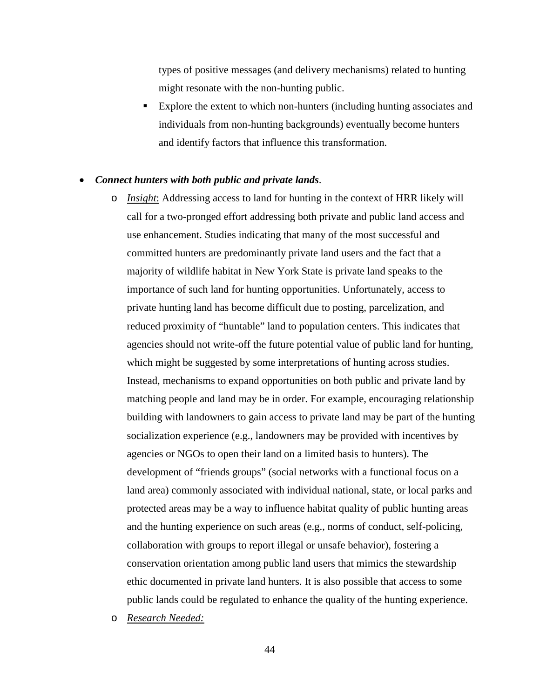types of positive messages (and delivery mechanisms) related to hunting might resonate with the non-hunting public.

 Explore the extent to which non-hunters (including hunting associates and individuals from non-hunting backgrounds) eventually become hunters and identify factors that influence this transformation.

#### • *Connect hunters with both public and private lands*.

o *Insight*: Addressing access to land for hunting in the context of HRR likely will call for a two-pronged effort addressing both private and public land access and use enhancement. Studies indicating that many of the most successful and committed hunters are predominantly private land users and the fact that a majority of wildlife habitat in New York State is private land speaks to the importance of such land for hunting opportunities. Unfortunately, access to private hunting land has become difficult due to posting, parcelization, and reduced proximity of "huntable" land to population centers. This indicates that agencies should not write-off the future potential value of public land for hunting, which might be suggested by some interpretations of hunting across studies. Instead, mechanisms to expand opportunities on both public and private land by matching people and land may be in order. For example, encouraging relationship building with landowners to gain access to private land may be part of the hunting socialization experience (e.g., landowners may be provided with incentives by agencies or NGOs to open their land on a limited basis to hunters). The development of "friends groups" (social networks with a functional focus on a land area) commonly associated with individual national, state, or local parks and protected areas may be a way to influence habitat quality of public hunting areas and the hunting experience on such areas (e.g., norms of conduct, self-policing, collaboration with groups to report illegal or unsafe behavior), fostering a conservation orientation among public land users that mimics the stewardship ethic documented in private land hunters. It is also possible that access to some public lands could be regulated to enhance the quality of the hunting experience.

o *Research Needed:*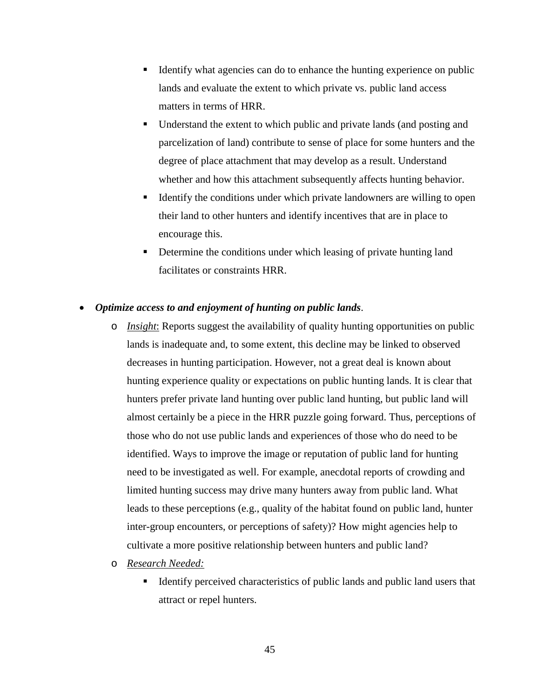- Identify what agencies can do to enhance the hunting experience on public lands and evaluate the extent to which private vs. public land access matters in terms of HRR.
- Understand the extent to which public and private lands (and posting and parcelization of land) contribute to sense of place for some hunters and the degree of place attachment that may develop as a result. Understand whether and how this attachment subsequently affects hunting behavior.
- Identify the conditions under which private landowners are willing to open their land to other hunters and identify incentives that are in place to encourage this.
- Determine the conditions under which leasing of private hunting land facilitates or constraints HRR.

## • *Optimize access to and enjoyment of hunting on public lands*.

- o *Insight*: Reports suggest the availability of quality hunting opportunities on public lands is inadequate and, to some extent, this decline may be linked to observed decreases in hunting participation. However, not a great deal is known about hunting experience quality or expectations on public hunting lands. It is clear that hunters prefer private land hunting over public land hunting, but public land will almost certainly be a piece in the HRR puzzle going forward. Thus, perceptions of those who do not use public lands and experiences of those who do need to be identified. Ways to improve the image or reputation of public land for hunting need to be investigated as well. For example, anecdotal reports of crowding and limited hunting success may drive many hunters away from public land. What leads to these perceptions (e.g., quality of the habitat found on public land, hunter inter-group encounters, or perceptions of safety)? How might agencies help to cultivate a more positive relationship between hunters and public land?
- o *Research Needed:*
	- Identify perceived characteristics of public lands and public land users that attract or repel hunters.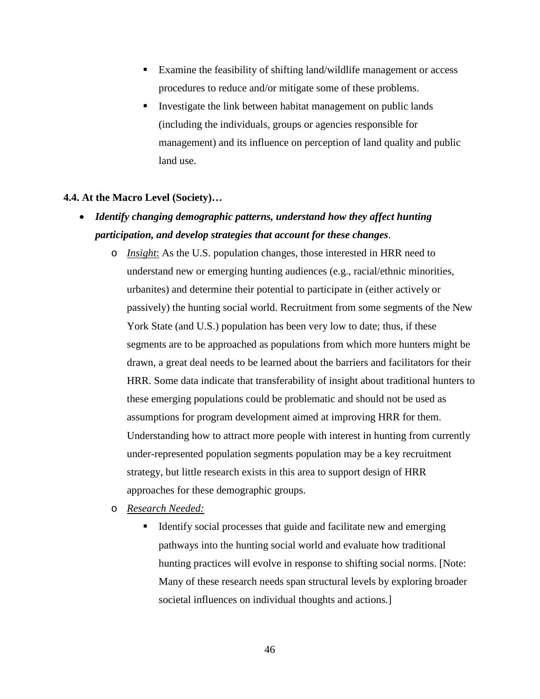- Examine the feasibility of shifting land/wildlife management or access procedures to reduce and/or mitigate some of these problems.
- Investigate the link between habitat management on public lands (including the individuals, groups or agencies responsible for management) and its influence on perception of land quality and public land use.

## **4.4. At the Macro Level (Society)…**

- *Identify changing demographic patterns, understand how they affect hunting participation, and develop strategies that account for these changes*.
	- o *Insight*: As the U.S. population changes, those interested in HRR need to understand new or emerging hunting audiences (e.g., racial/ethnic minorities, urbanites) and determine their potential to participate in (either actively or passively) the hunting social world. Recruitment from some segments of the New York State (and U.S.) population has been very low to date; thus, if these segments are to be approached as populations from which more hunters might be drawn, a great deal needs to be learned about the barriers and facilitators for their HRR. Some data indicate that transferability of insight about traditional hunters to these emerging populations could be problematic and should not be used as assumptions for program development aimed at improving HRR for them. Understanding how to attract more people with interest in hunting from currently under-represented population segments population may be a key recruitment strategy, but little research exists in this area to support design of HRR approaches for these demographic groups.
	- o *Research Needed:*
		- Identify social processes that guide and facilitate new and emerging pathways into the hunting social world and evaluate how traditional hunting practices will evolve in response to shifting social norms. [Note: Many of these research needs span structural levels by exploring broader societal influences on individual thoughts and actions.]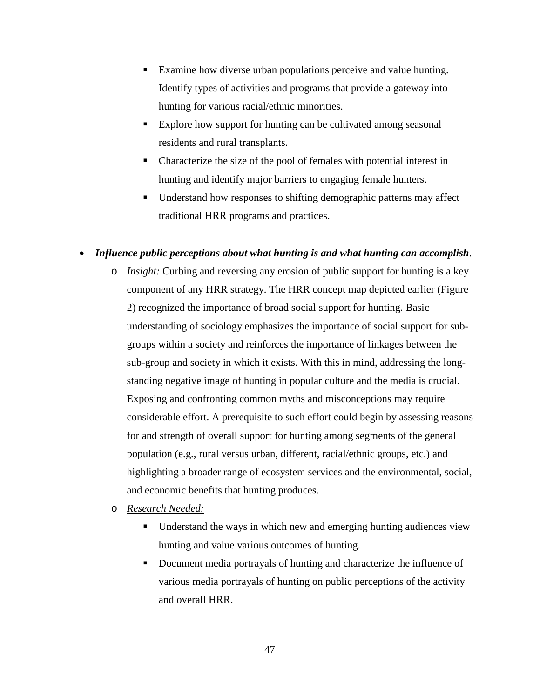- Examine how diverse urban populations perceive and value hunting. Identify types of activities and programs that provide a gateway into hunting for various racial/ethnic minorities.
- Explore how support for hunting can be cultivated among seasonal residents and rural transplants.
- Characterize the size of the pool of females with potential interest in hunting and identify major barriers to engaging female hunters.
- Understand how responses to shifting demographic patterns may affect traditional HRR programs and practices.

## • *Influence public perceptions about what hunting is and what hunting can accomplish*.

- o *Insight:* Curbing and reversing any erosion of public support for hunting is a key component of any HRR strategy. The HRR concept map depicted earlier (Figure 2) recognized the importance of broad social support for hunting. Basic understanding of sociology emphasizes the importance of social support for subgroups within a society and reinforces the importance of linkages between the sub-group and society in which it exists. With this in mind, addressing the longstanding negative image of hunting in popular culture and the media is crucial. Exposing and confronting common myths and misconceptions may require considerable effort. A prerequisite to such effort could begin by assessing reasons for and strength of overall support for hunting among segments of the general population (e.g., rural versus urban, different, racial/ethnic groups, etc.) and highlighting a broader range of ecosystem services and the environmental, social, and economic benefits that hunting produces.
- o *Research Needed:*
	- Understand the ways in which new and emerging hunting audiences view hunting and value various outcomes of hunting.
	- Document media portrayals of hunting and characterize the influence of various media portrayals of hunting on public perceptions of the activity and overall HRR.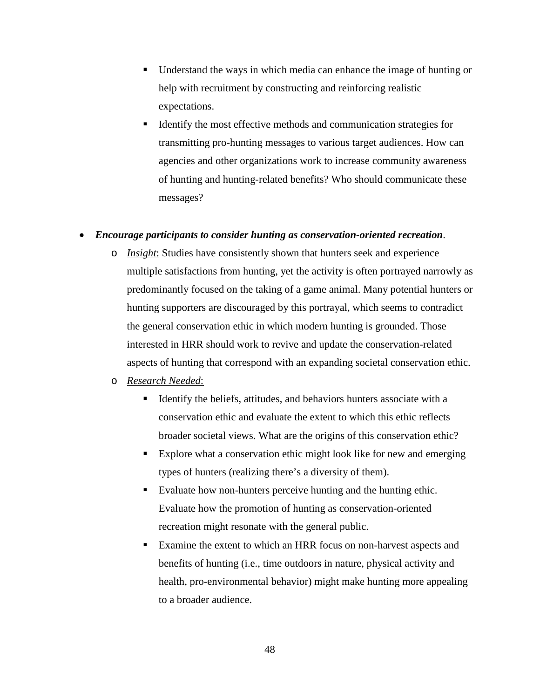- Understand the ways in which media can enhance the image of hunting or help with recruitment by constructing and reinforcing realistic expectations.
- Identify the most effective methods and communication strategies for transmitting pro-hunting messages to various target audiences. How can agencies and other organizations work to increase community awareness of hunting and hunting-related benefits? Who should communicate these messages?

## • *Encourage participants to consider hunting as conservation-oriented recreation*.

o *Insight*: Studies have consistently shown that hunters seek and experience multiple satisfactions from hunting, yet the activity is often portrayed narrowly as predominantly focused on the taking of a game animal. Many potential hunters or hunting supporters are discouraged by this portrayal, which seems to contradict the general conservation ethic in which modern hunting is grounded. Those interested in HRR should work to revive and update the conservation-related aspects of hunting that correspond with an expanding societal conservation ethic.

## o *Research Needed*:

- Identify the beliefs, attitudes, and behaviors hunters associate with a conservation ethic and evaluate the extent to which this ethic reflects broader societal views. What are the origins of this conservation ethic?
- Explore what a conservation ethic might look like for new and emerging types of hunters (realizing there's a diversity of them).
- Evaluate how non-hunters perceive hunting and the hunting ethic. Evaluate how the promotion of hunting as conservation-oriented recreation might resonate with the general public.
- Examine the extent to which an HRR focus on non-harvest aspects and benefits of hunting (i.e., time outdoors in nature, physical activity and health, pro-environmental behavior) might make hunting more appealing to a broader audience.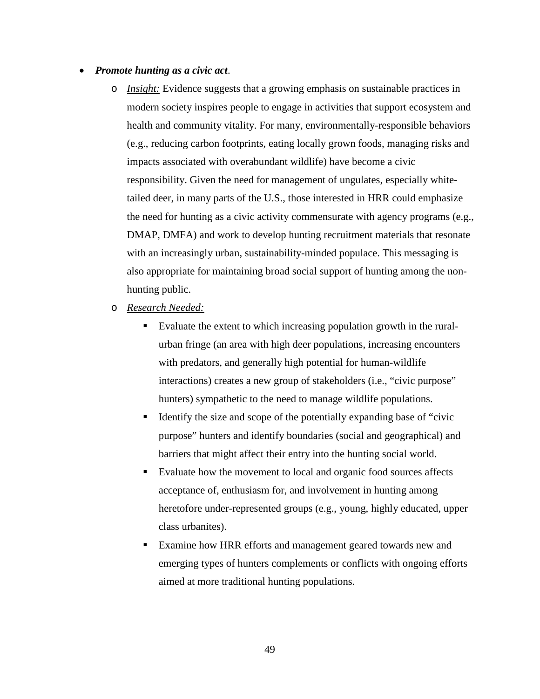#### • *Promote hunting as a civic act*.

- o *Insight:* Evidence suggests that a growing emphasis on sustainable practices in modern society inspires people to engage in activities that support ecosystem and health and community vitality. For many, environmentally-responsible behaviors (e.g., reducing carbon footprints, eating locally grown foods, managing risks and impacts associated with overabundant wildlife) have become a civic responsibility. Given the need for management of ungulates, especially whitetailed deer, in many parts of the U.S., those interested in HRR could emphasize the need for hunting as a civic activity commensurate with agency programs (e.g., DMAP, DMFA) and work to develop hunting recruitment materials that resonate with an increasingly urban, sustainability-minded populace. This messaging is also appropriate for maintaining broad social support of hunting among the nonhunting public.
- o *Research Needed:*
	- Evaluate the extent to which increasing population growth in the ruralurban fringe (an area with high deer populations, increasing encounters with predators, and generally high potential for human-wildlife interactions) creates a new group of stakeholders (i.e., "civic purpose" hunters) sympathetic to the need to manage wildlife populations.
	- Identify the size and scope of the potentially expanding base of "civic purpose" hunters and identify boundaries (social and geographical) and barriers that might affect their entry into the hunting social world.
	- Evaluate how the movement to local and organic food sources affects acceptance of, enthusiasm for, and involvement in hunting among heretofore under-represented groups (e.g., young, highly educated, upper class urbanites).
	- Examine how HRR efforts and management geared towards new and emerging types of hunters complements or conflicts with ongoing efforts aimed at more traditional hunting populations.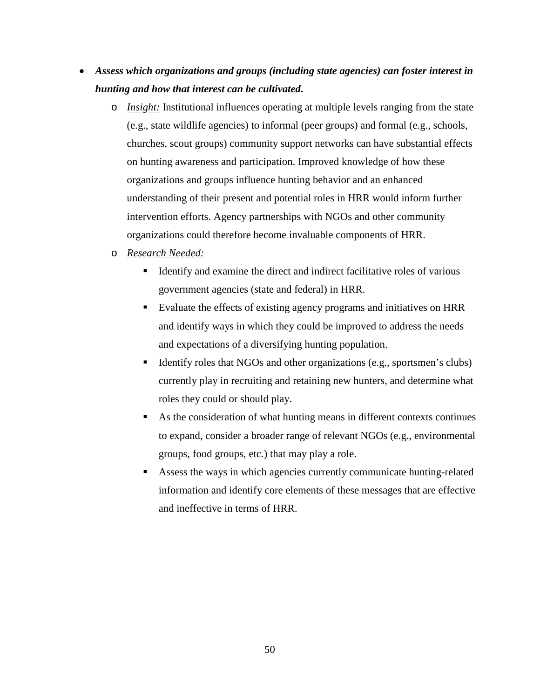- *Assess which organizations and groups (including state agencies) can foster interest in hunting and how that interest can be cultivated***.** 
	- o *Insight:* Institutional influences operating at multiple levels ranging from the state (e.g., state wildlife agencies) to informal (peer groups) and formal (e.g., schools, churches, scout groups) community support networks can have substantial effects on hunting awareness and participation. Improved knowledge of how these organizations and groups influence hunting behavior and an enhanced understanding of their present and potential roles in HRR would inform further intervention efforts. Agency partnerships with NGOs and other community organizations could therefore become invaluable components of HRR.
	- o *Research Needed:*
		- Identify and examine the direct and indirect facilitative roles of various government agencies (state and federal) in HRR.
		- Evaluate the effects of existing agency programs and initiatives on HRR and identify ways in which they could be improved to address the needs and expectations of a diversifying hunting population.
		- Identify roles that NGOs and other organizations (e.g., sportsmen's clubs) currently play in recruiting and retaining new hunters, and determine what roles they could or should play.
		- As the consideration of what hunting means in different contexts continues to expand, consider a broader range of relevant NGOs (e.g., environmental groups, food groups, etc.) that may play a role.
		- Assess the ways in which agencies currently communicate hunting-related information and identify core elements of these messages that are effective and ineffective in terms of HRR.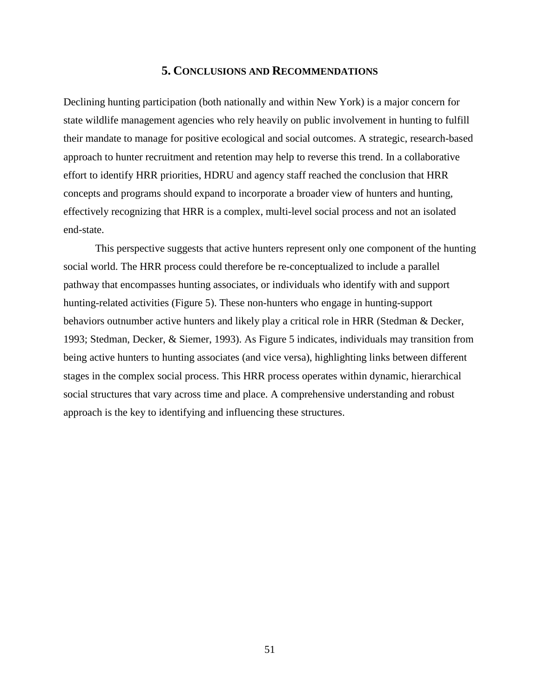## **5. CONCLUSIONS AND RECOMMENDATIONS**

Declining hunting participation (both nationally and within New York) is a major concern for state wildlife management agencies who rely heavily on public involvement in hunting to fulfill their mandate to manage for positive ecological and social outcomes. A strategic, research-based approach to hunter recruitment and retention may help to reverse this trend. In a collaborative effort to identify HRR priorities, HDRU and agency staff reached the conclusion that HRR concepts and programs should expand to incorporate a broader view of hunters and hunting, effectively recognizing that HRR is a complex, multi-level social process and not an isolated end-state.

This perspective suggests that active hunters represent only one component of the hunting social world. The HRR process could therefore be re-conceptualized to include a parallel pathway that encompasses hunting associates, or individuals who identify with and support hunting-related activities (Figure 5). These non-hunters who engage in hunting-support behaviors outnumber active hunters and likely play a critical role in HRR (Stedman & Decker, 1993; Stedman, Decker, & Siemer, 1993). As Figure 5 indicates, individuals may transition from being active hunters to hunting associates (and vice versa), highlighting links between different stages in the complex social process. This HRR process operates within dynamic, hierarchical social structures that vary across time and place. A comprehensive understanding and robust approach is the key to identifying and influencing these structures.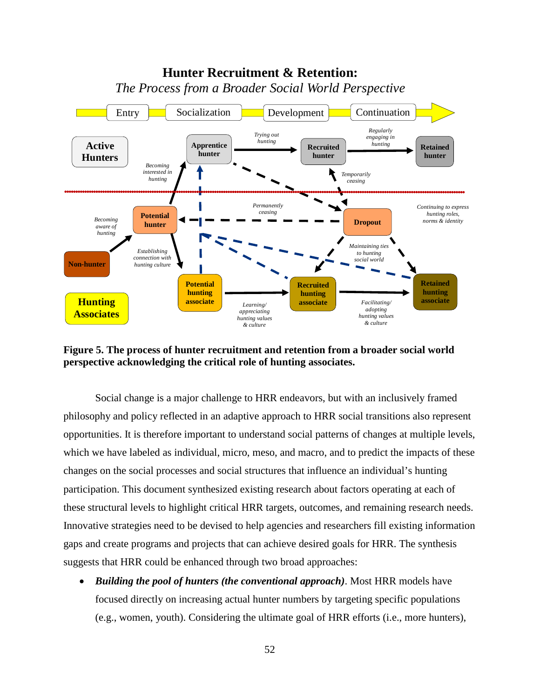

**Figure 5. The process of hunter recruitment and retention from a broader social world perspective acknowledging the critical role of hunting associates.** 

Social change is a major challenge to HRR endeavors, but with an inclusively framed philosophy and policy reflected in an adaptive approach to HRR social transitions also represent opportunities. It is therefore important to understand social patterns of changes at multiple levels, which we have labeled as individual, micro, meso, and macro, and to predict the impacts of these changes on the social processes and social structures that influence an individual's hunting participation. This document synthesized existing research about factors operating at each of these structural levels to highlight critical HRR targets, outcomes, and remaining research needs. Innovative strategies need to be devised to help agencies and researchers fill existing information gaps and create programs and projects that can achieve desired goals for HRR. The synthesis suggests that HRR could be enhanced through two broad approaches:

• *Building the pool of hunters (the conventional approach)*. Most HRR models have focused directly on increasing actual hunter numbers by targeting specific populations (e.g., women, youth). Considering the ultimate goal of HRR efforts (i.e., more hunters),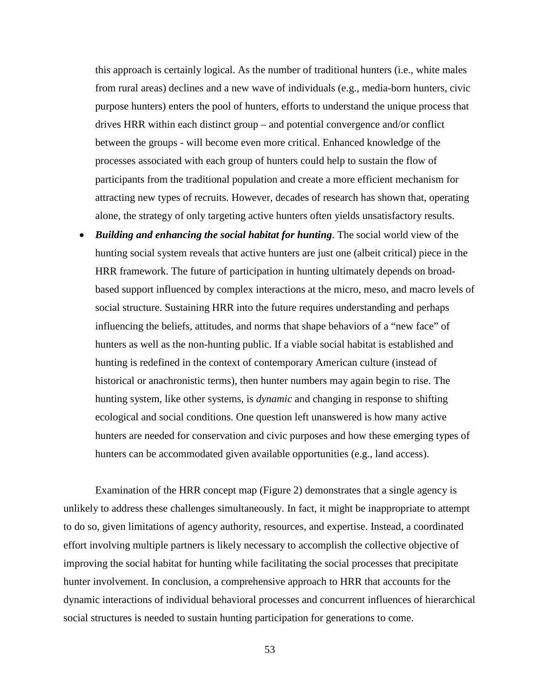this approach is certainly logical. As the number of traditional hunters (i.e., white males from rural areas) declines and a new wave of individuals (e.g., media-born hunters, civic purpose hunters) enters the pool of hunters, efforts to understand the unique process that drives HRR within each distinct group – and potential convergence and/or conflict between the groups - will become even more critical. Enhanced knowledge of the processes associated with each group of hunters could help to sustain the flow of participants from the traditional population and create a more efficient mechanism for attracting new types of recruits. However, decades of research has shown that, operating alone, the strategy of only targeting active hunters often yields unsatisfactory results.

• *Building and enhancing the social habitat for hunting*. The social world view of the hunting social system reveals that active hunters are just one (albeit critical) piece in the HRR framework. The future of participation in hunting ultimately depends on broadbased support influenced by complex interactions at the micro, meso, and macro levels of social structure. Sustaining HRR into the future requires understanding and perhaps influencing the beliefs, attitudes, and norms that shape behaviors of a "new face" of hunters as well as the non-hunting public. If a viable social habitat is established and hunting is redefined in the context of contemporary American culture (instead of historical or anachronistic terms), then hunter numbers may again begin to rise. The hunting system, like other systems, is *dynamic* and changing in response to shifting ecological and social conditions. One question left unanswered is how many active hunters are needed for conservation and civic purposes and how these emerging types of hunters can be accommodated given available opportunities (e.g., land access).

Examination of the HRR concept map (Figure 2) demonstrates that a single agency is unlikely to address these challenges simultaneously. In fact, it might be inappropriate to attempt to do so, given limitations of agency authority, resources, and expertise. Instead, a coordinated effort involving multiple partners is likely necessary to accomplish the collective objective of improving the social habitat for hunting while facilitating the social processes that precipitate hunter involvement. In conclusion, a comprehensive approach to HRR that accounts for the dynamic interactions of individual behavioral processes and concurrent influences of hierarchical social structures is needed to sustain hunting participation for generations to come.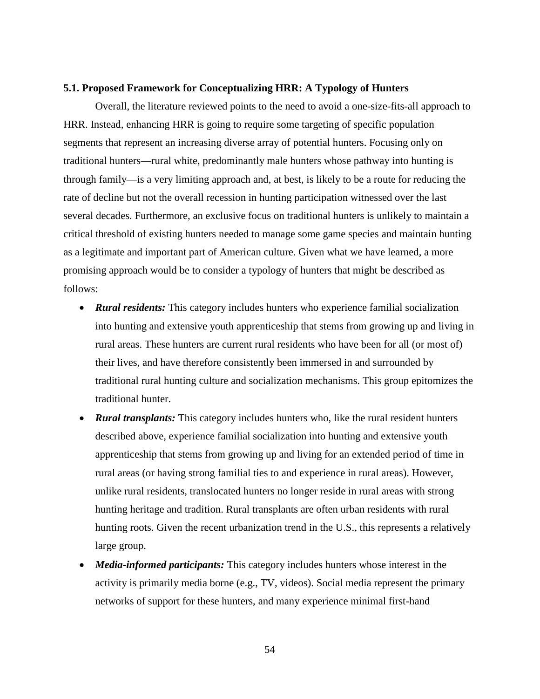#### **5.1. Proposed Framework for Conceptualizing HRR: A Typology of Hunters**

Overall, the literature reviewed points to the need to avoid a one-size-fits-all approach to HRR. Instead, enhancing HRR is going to require some targeting of specific population segments that represent an increasing diverse array of potential hunters. Focusing only on traditional hunters—rural white, predominantly male hunters whose pathway into hunting is through family—is a very limiting approach and, at best, is likely to be a route for reducing the rate of decline but not the overall recession in hunting participation witnessed over the last several decades. Furthermore, an exclusive focus on traditional hunters is unlikely to maintain a critical threshold of existing hunters needed to manage some game species and maintain hunting as a legitimate and important part of American culture. Given what we have learned, a more promising approach would be to consider a typology of hunters that might be described as follows:

- *Rural residents:* This category includes hunters who experience familial socialization into hunting and extensive youth apprenticeship that stems from growing up and living in rural areas. These hunters are current rural residents who have been for all (or most of) their lives, and have therefore consistently been immersed in and surrounded by traditional rural hunting culture and socialization mechanisms. This group epitomizes the traditional hunter.
- *Rural transplants:* This category includes hunters who, like the rural resident hunters described above, experience familial socialization into hunting and extensive youth apprenticeship that stems from growing up and living for an extended period of time in rural areas (or having strong familial ties to and experience in rural areas). However, unlike rural residents, translocated hunters no longer reside in rural areas with strong hunting heritage and tradition. Rural transplants are often urban residents with rural hunting roots. Given the recent urbanization trend in the U.S., this represents a relatively large group.
- *Media-informed participants:* This category includes hunters whose interest in the activity is primarily media borne (e.g., TV, videos). Social media represent the primary networks of support for these hunters, and many experience minimal first-hand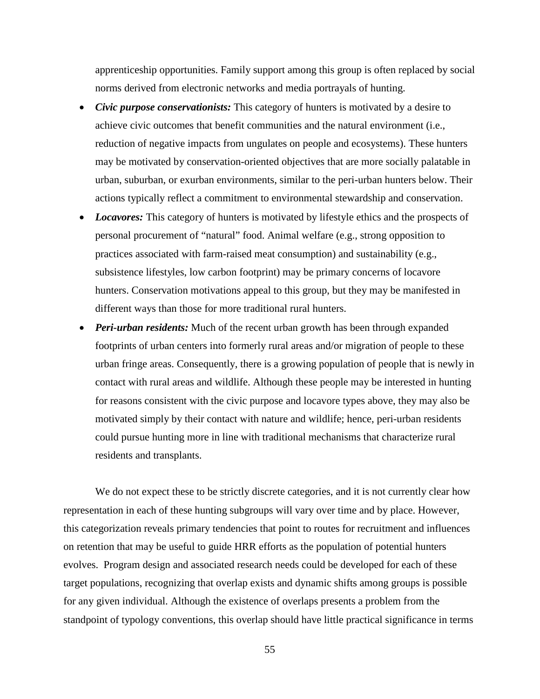apprenticeship opportunities. Family support among this group is often replaced by social norms derived from electronic networks and media portrayals of hunting.

- *Civic purpose conservationists:* This category of hunters is motivated by a desire to achieve civic outcomes that benefit communities and the natural environment (i.e., reduction of negative impacts from ungulates on people and ecosystems). These hunters may be motivated by conservation-oriented objectives that are more socially palatable in urban, suburban, or exurban environments, similar to the peri-urban hunters below. Their actions typically reflect a commitment to environmental stewardship and conservation.
- *Locavores:* This category of hunters is motivated by lifestyle ethics and the prospects of personal procurement of "natural" food. Animal welfare (e.g., strong opposition to practices associated with farm-raised meat consumption) and sustainability (e.g., subsistence lifestyles, low carbon footprint) may be primary concerns of locavore hunters. Conservation motivations appeal to this group, but they may be manifested in different ways than those for more traditional rural hunters.
- *Peri-urban residents:* Much of the recent urban growth has been through expanded footprints of urban centers into formerly rural areas and/or migration of people to these urban fringe areas. Consequently, there is a growing population of people that is newly in contact with rural areas and wildlife. Although these people may be interested in hunting for reasons consistent with the civic purpose and locavore types above, they may also be motivated simply by their contact with nature and wildlife; hence, peri-urban residents could pursue hunting more in line with traditional mechanisms that characterize rural residents and transplants.

We do not expect these to be strictly discrete categories, and it is not currently clear how representation in each of these hunting subgroups will vary over time and by place. However, this categorization reveals primary tendencies that point to routes for recruitment and influences on retention that may be useful to guide HRR efforts as the population of potential hunters evolves. Program design and associated research needs could be developed for each of these target populations, recognizing that overlap exists and dynamic shifts among groups is possible for any given individual. Although the existence of overlaps presents a problem from the standpoint of typology conventions, this overlap should have little practical significance in terms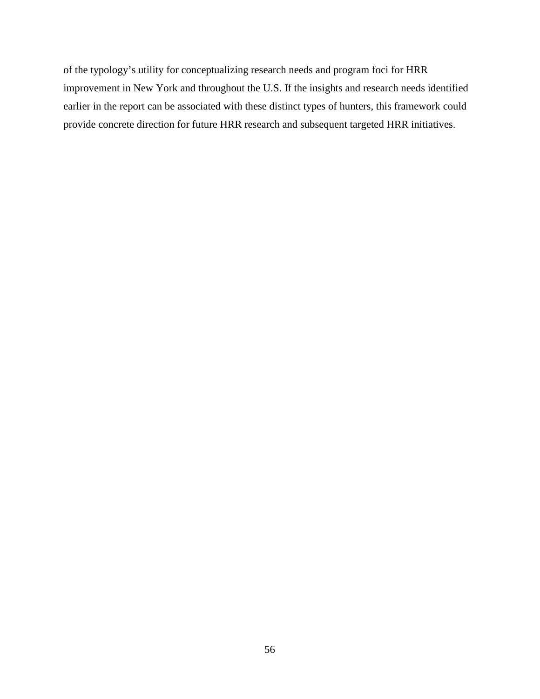of the typology's utility for conceptualizing research needs and program foci for HRR improvement in New York and throughout the U.S. If the insights and research needs identified earlier in the report can be associated with these distinct types of hunters, this framework could provide concrete direction for future HRR research and subsequent targeted HRR initiatives.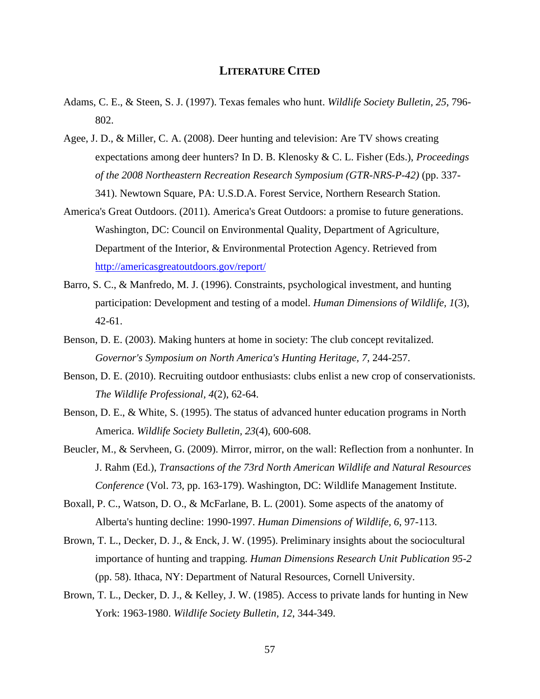## **LITERATURE CITED**

- Adams, C. E., & Steen, S. J. (1997). Texas females who hunt. *Wildlife Society Bulletin, 25*, 796- 802.
- Agee, J. D., & Miller, C. A. (2008). Deer hunting and television: Are TV shows creating expectations among deer hunters? In D. B. Klenosky & C. L. Fisher (Eds.), *Proceedings of the 2008 Northeastern Recreation Research Symposium (GTR-NRS-P-42)* (pp. 337- 341). Newtown Square, PA: U.S.D.A. Forest Service, Northern Research Station.
- America's Great Outdoors. (2011). America's Great Outdoors: a promise to future generations. Washington, DC: Council on Environmental Quality, Department of Agriculture, Department of the Interior, & Environmental Protection Agency. Retrieved from <http://americasgreatoutdoors.gov/report/>
- Barro, S. C., & Manfredo, M. J. (1996). Constraints, psychological investment, and hunting participation: Development and testing of a model. *Human Dimensions of Wildlife, 1*(3), 42-61.
- Benson, D. E. (2003). Making hunters at home in society: The club concept revitalized. *Governor's Symposium on North America's Hunting Heritage, 7*, 244-257.
- Benson, D. E. (2010). Recruiting outdoor enthusiasts: clubs enlist a new crop of conservationists. *The Wildlife Professional, 4*(2), 62-64.
- Benson, D. E., & White, S. (1995). The status of advanced hunter education programs in North America. *Wildlife Society Bulletin, 23*(4), 600-608.
- Beucler, M., & Servheen, G. (2009). Mirror, mirror, on the wall: Reflection from a nonhunter. In J. Rahm (Ed.), *Transactions of the 73rd North American Wildlife and Natural Resources Conference* (Vol. 73, pp. 163-179). Washington, DC: Wildlife Management Institute.
- Boxall, P. C., Watson, D. O., & McFarlane, B. L. (2001). Some aspects of the anatomy of Alberta's hunting decline: 1990-1997. *Human Dimensions of Wildlife, 6*, 97-113.
- Brown, T. L., Decker, D. J., & Enck, J. W. (1995). Preliminary insights about the sociocultural importance of hunting and trapping. *Human Dimensions Research Unit Publication 95-2* (pp. 58). Ithaca, NY: Department of Natural Resources, Cornell University.
- Brown, T. L., Decker, D. J., & Kelley, J. W. (1985). Access to private lands for hunting in New York: 1963-1980. *Wildlife Society Bulletin, 12*, 344-349.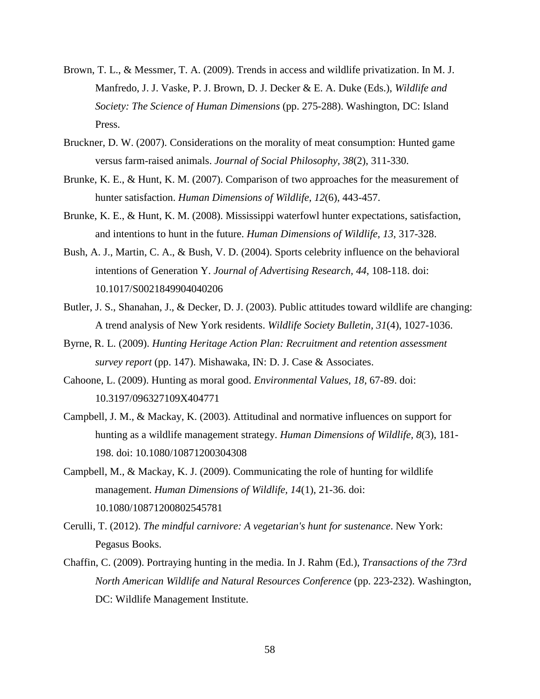- Brown, T. L., & Messmer, T. A. (2009). Trends in access and wildlife privatization. In M. J. Manfredo, J. J. Vaske, P. J. Brown, D. J. Decker & E. A. Duke (Eds.), *Wildlife and Society: The Science of Human Dimensions* (pp. 275-288). Washington, DC: Island Press.
- Bruckner, D. W. (2007). Considerations on the morality of meat consumption: Hunted game versus farm-raised animals. *Journal of Social Philosophy, 38*(2), 311-330.
- Brunke, K. E., & Hunt, K. M. (2007). Comparison of two approaches for the measurement of hunter satisfaction. *Human Dimensions of Wildlife, 12*(6), 443-457.
- Brunke, K. E., & Hunt, K. M. (2008). Mississippi waterfowl hunter expectations, satisfaction, and intentions to hunt in the future. *Human Dimensions of Wildlife, 13*, 317-328.
- Bush, A. J., Martin, C. A., & Bush, V. D. (2004). Sports celebrity influence on the behavioral intentions of Generation Y. *Journal of Advertising Research, 44*, 108-118. doi: 10.1017/S0021849904040206
- Butler, J. S., Shanahan, J., & Decker, D. J. (2003). Public attitudes toward wildlife are changing: A trend analysis of New York residents. *Wildlife Society Bulletin, 31*(4), 1027-1036.
- Byrne, R. L. (2009). *Hunting Heritage Action Plan: Recruitment and retention assessment survey report* (pp. 147). Mishawaka, IN: D. J. Case & Associates.
- Cahoone, L. (2009). Hunting as moral good. *Environmental Values, 18*, 67-89. doi: 10.3197/096327109X404771
- Campbell, J. M., & Mackay, K. (2003). Attitudinal and normative influences on support for hunting as a wildlife management strategy. *Human Dimensions of Wildlife, 8*(3), 181- 198. doi: 10.1080/10871200304308
- Campbell, M., & Mackay, K. J. (2009). Communicating the role of hunting for wildlife management. *Human Dimensions of Wildlife, 14*(1), 21-36. doi: 10.1080/10871200802545781
- Cerulli, T. (2012). *The mindful carnivore: A vegetarian's hunt for sustenance*. New York: Pegasus Books.
- Chaffin, C. (2009). Portraying hunting in the media. In J. Rahm (Ed.), *Transactions of the 73rd North American Wildlife and Natural Resources Conference* (pp. 223-232). Washington, DC: Wildlife Management Institute.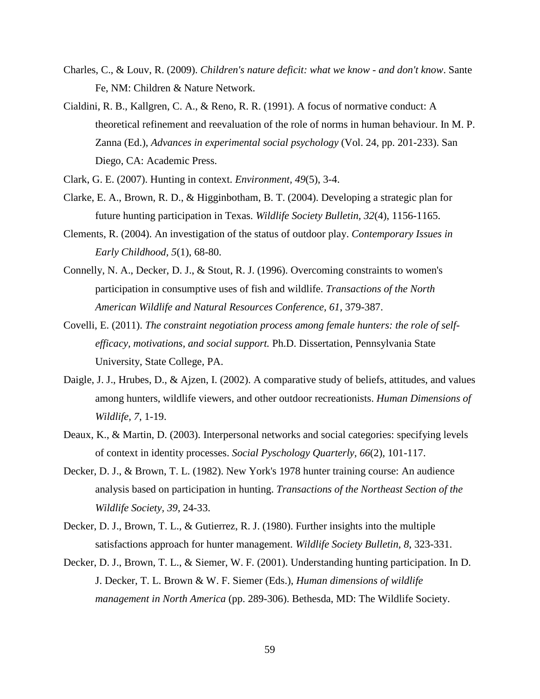- Charles, C., & Louv, R. (2009). *Children's nature deficit: what we know - and don't know*. Sante Fe, NM: Children & Nature Network.
- Cialdini, R. B., Kallgren, C. A., & Reno, R. R. (1991). A focus of normative conduct: A theoretical refinement and reevaluation of the role of norms in human behaviour. In M. P. Zanna (Ed.), *Advances in experimental social psychology* (Vol. 24, pp. 201-233). San Diego, CA: Academic Press.
- Clark, G. E. (2007). Hunting in context. *Environment, 49*(5), 3-4.
- Clarke, E. A., Brown, R. D., & Higginbotham, B. T. (2004). Developing a strategic plan for future hunting participation in Texas. *Wildlife Society Bulletin, 32*(4), 1156-1165.
- Clements, R. (2004). An investigation of the status of outdoor play. *Contemporary Issues in Early Childhood, 5*(1), 68-80.
- Connelly, N. A., Decker, D. J., & Stout, R. J. (1996). Overcoming constraints to women's participation in consumptive uses of fish and wildlife. *Transactions of the North American Wildlife and Natural Resources Conference, 61*, 379-387.
- Covelli, E. (2011). *The constraint negotiation process among female hunters: the role of selfefficacy, motivations, and social support.* Ph.D. Dissertation, Pennsylvania State University, State College, PA.
- Daigle, J. J., Hrubes, D., & Ajzen, I. (2002). A comparative study of beliefs, attitudes, and values among hunters, wildlife viewers, and other outdoor recreationists. *Human Dimensions of Wildlife, 7*, 1-19.
- Deaux, K., & Martin, D. (2003). Interpersonal networks and social categories: specifying levels of context in identity processes. *Social Pyschology Quarterly, 66*(2), 101-117.
- Decker, D. J., & Brown, T. L. (1982). New York's 1978 hunter training course: An audience analysis based on participation in hunting. *Transactions of the Northeast Section of the Wildlife Society, 39*, 24-33.
- Decker, D. J., Brown, T. L., & Gutierrez, R. J. (1980). Further insights into the multiple satisfactions approach for hunter management. *Wildlife Society Bulletin, 8*, 323-331.
- Decker, D. J., Brown, T. L., & Siemer, W. F. (2001). Understanding hunting participation. In D. J. Decker, T. L. Brown & W. F. Siemer (Eds.), *Human dimensions of wildlife management in North America* (pp. 289-306). Bethesda, MD: The Wildlife Society.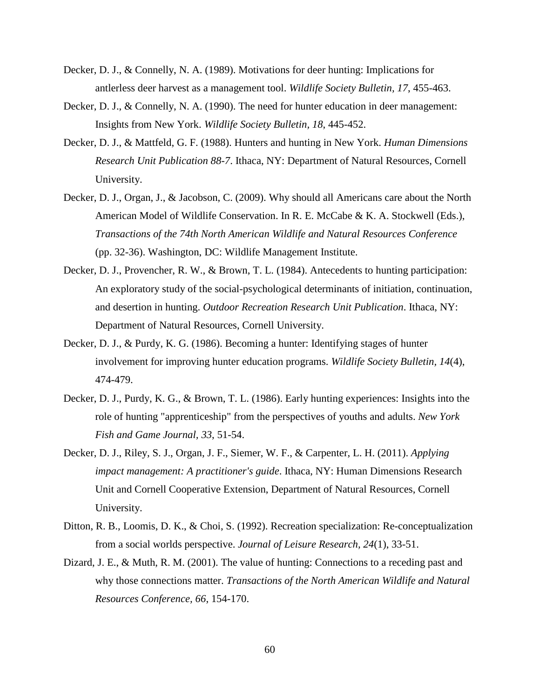- Decker, D. J., & Connelly, N. A. (1989). Motivations for deer hunting: Implications for antlerless deer harvest as a management tool. *Wildlife Society Bulletin, 17*, 455-463.
- Decker, D. J., & Connelly, N. A. (1990). The need for hunter education in deer management: Insights from New York. *Wildlife Society Bulletin, 18*, 445-452.
- Decker, D. J., & Mattfeld, G. F. (1988). Hunters and hunting in New York. *Human Dimensions Research Unit Publication 88-7*. Ithaca, NY: Department of Natural Resources, Cornell University.
- Decker, D. J., Organ, J., & Jacobson, C. (2009). Why should all Americans care about the North American Model of Wildlife Conservation. In R. E. McCabe & K. A. Stockwell (Eds.), *Transactions of the 74th North American Wildlife and Natural Resources Conference* (pp. 32-36). Washington, DC: Wildlife Management Institute.
- Decker, D. J., Provencher, R. W., & Brown, T. L. (1984). Antecedents to hunting participation: An exploratory study of the social-psychological determinants of initiation, continuation, and desertion in hunting. *Outdoor Recreation Research Unit Publication*. Ithaca, NY: Department of Natural Resources, Cornell University.
- Decker, D. J., & Purdy, K. G. (1986). Becoming a hunter: Identifying stages of hunter involvement for improving hunter education programs. *Wildlife Society Bulletin, 14*(4), 474-479.
- Decker, D. J., Purdy, K. G., & Brown, T. L. (1986). Early hunting experiences: Insights into the role of hunting "apprenticeship" from the perspectives of youths and adults. *New York Fish and Game Journal, 33*, 51-54.
- Decker, D. J., Riley, S. J., Organ, J. F., Siemer, W. F., & Carpenter, L. H. (2011). *Applying impact management: A practitioner's guide*. Ithaca, NY: Human Dimensions Research Unit and Cornell Cooperative Extension, Department of Natural Resources, Cornell University.
- Ditton, R. B., Loomis, D. K., & Choi, S. (1992). Recreation specialization: Re-conceptualization from a social worlds perspective. *Journal of Leisure Research, 24*(1), 33-51.
- Dizard, J. E., & Muth, R. M. (2001). The value of hunting: Connections to a receding past and why those connections matter. *Transactions of the North American Wildlife and Natural Resources Conference, 66*, 154-170.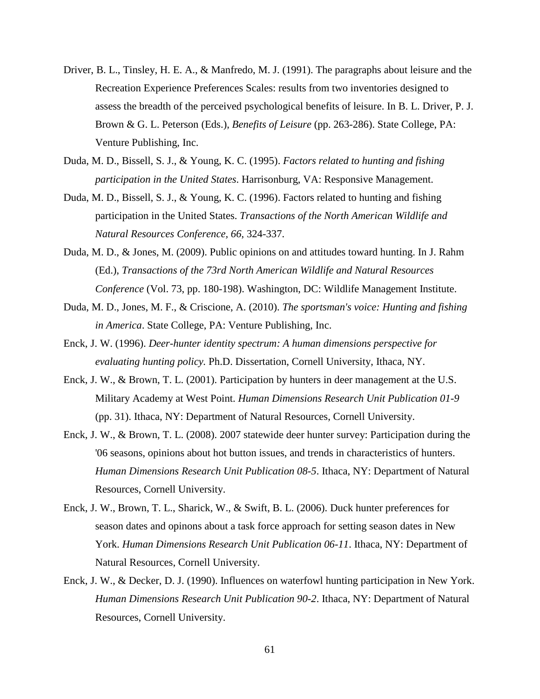- Driver, B. L., Tinsley, H. E. A., & Manfredo, M. J. (1991). The paragraphs about leisure and the Recreation Experience Preferences Scales: results from two inventories designed to assess the breadth of the perceived psychological benefits of leisure. In B. L. Driver, P. J. Brown & G. L. Peterson (Eds.), *Benefits of Leisure* (pp. 263-286). State College, PA: Venture Publishing, Inc.
- Duda, M. D., Bissell, S. J., & Young, K. C. (1995). *Factors related to hunting and fishing participation in the United States*. Harrisonburg, VA: Responsive Management.
- Duda, M. D., Bissell, S. J., & Young, K. C. (1996). Factors related to hunting and fishing participation in the United States. *Transactions of the North American Wildlife and Natural Resources Conference, 66*, 324-337.
- Duda, M. D., & Jones, M. (2009). Public opinions on and attitudes toward hunting. In J. Rahm (Ed.), *Transactions of the 73rd North American Wildlife and Natural Resources Conference* (Vol. 73, pp. 180-198). Washington, DC: Wildlife Management Institute.
- Duda, M. D., Jones, M. F., & Criscione, A. (2010). *The sportsman's voice: Hunting and fishing in America*. State College, PA: Venture Publishing, Inc.
- Enck, J. W. (1996). *Deer-hunter identity spectrum: A human dimensions perspective for evaluating hunting policy.* Ph.D. Dissertation, Cornell University, Ithaca, NY.
- Enck, J. W., & Brown, T. L. (2001). Participation by hunters in deer management at the U.S. Military Academy at West Point. *Human Dimensions Research Unit Publication 01-9* (pp. 31). Ithaca, NY: Department of Natural Resources, Cornell University.
- Enck, J. W., & Brown, T. L. (2008). 2007 statewide deer hunter survey: Participation during the '06 seasons, opinions about hot button issues, and trends in characteristics of hunters. *Human Dimensions Research Unit Publication 08-5*. Ithaca, NY: Department of Natural Resources, Cornell University.
- Enck, J. W., Brown, T. L., Sharick, W., & Swift, B. L. (2006). Duck hunter preferences for season dates and opinons about a task force approach for setting season dates in New York. *Human Dimensions Research Unit Publication 06-11*. Ithaca, NY: Department of Natural Resources, Cornell University.
- Enck, J. W., & Decker, D. J. (1990). Influences on waterfowl hunting participation in New York. *Human Dimensions Research Unit Publication 90-2*. Ithaca, NY: Department of Natural Resources, Cornell University.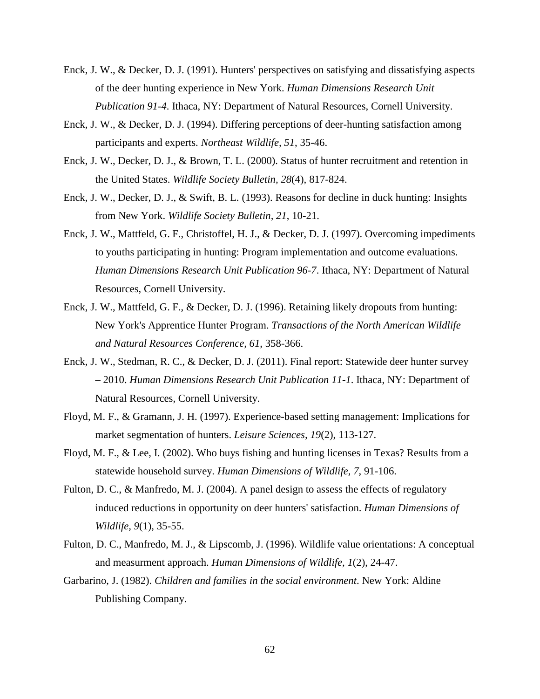- Enck, J. W., & Decker, D. J. (1991). Hunters' perspectives on satisfying and dissatisfying aspects of the deer hunting experience in New York. *Human Dimensions Research Unit Publication 91-4*. Ithaca, NY: Department of Natural Resources, Cornell University.
- Enck, J. W., & Decker, D. J. (1994). Differing perceptions of deer-hunting satisfaction among participants and experts. *Northeast Wildlife, 51*, 35-46.
- Enck, J. W., Decker, D. J., & Brown, T. L. (2000). Status of hunter recruitment and retention in the United States. *Wildlife Society Bulletin, 28*(4), 817-824.
- Enck, J. W., Decker, D. J., & Swift, B. L. (1993). Reasons for decline in duck hunting: Insights from New York. *Wildlife Society Bulletin, 21*, 10-21.
- Enck, J. W., Mattfeld, G. F., Christoffel, H. J., & Decker, D. J. (1997). Overcoming impediments to youths participating in hunting: Program implementation and outcome evaluations. *Human Dimensions Research Unit Publication 96-7*. Ithaca, NY: Department of Natural Resources, Cornell University.
- Enck, J. W., Mattfeld, G. F., & Decker, D. J. (1996). Retaining likely dropouts from hunting: New York's Apprentice Hunter Program. *Transactions of the North American Wildlife and Natural Resources Conference, 61*, 358-366.
- Enck, J. W., Stedman, R. C., & Decker, D. J. (2011). Final report: Statewide deer hunter survey – 2010. *Human Dimensions Research Unit Publication 11-1*. Ithaca, NY: Department of Natural Resources, Cornell University.
- Floyd, M. F., & Gramann, J. H. (1997). Experience-based setting management: Implications for market segmentation of hunters. *Leisure Sciences, 19*(2), 113-127.
- Floyd, M. F., & Lee, I. (2002). Who buys fishing and hunting licenses in Texas? Results from a statewide household survey. *Human Dimensions of Wildlife, 7*, 91-106.
- Fulton, D. C., & Manfredo, M. J. (2004). A panel design to assess the effects of regulatory induced reductions in opportunity on deer hunters' satisfaction. *Human Dimensions of Wildlife, 9*(1), 35-55.
- Fulton, D. C., Manfredo, M. J., & Lipscomb, J. (1996). Wildlife value orientations: A conceptual and measurment approach. *Human Dimensions of Wildlife, 1*(2), 24-47.
- Garbarino, J. (1982). *Children and families in the social environment*. New York: Aldine Publishing Company.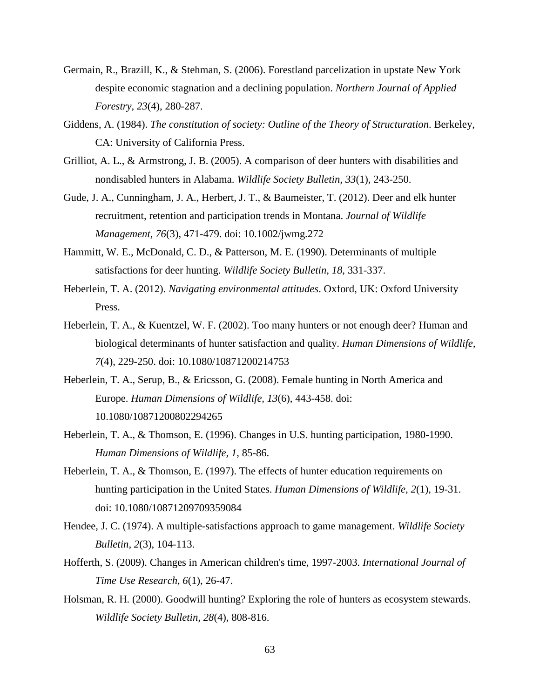- Germain, R., Brazill, K., & Stehman, S. (2006). Forestland parcelization in upstate New York despite economic stagnation and a declining population. *Northern Journal of Applied Forestry, 23*(4), 280-287.
- Giddens, A. (1984). *The constitution of society: Outline of the Theory of Structuration*. Berkeley, CA: University of California Press.
- Grilliot, A. L., & Armstrong, J. B. (2005). A comparison of deer hunters with disabilities and nondisabled hunters in Alabama. *Wildlife Society Bulletin, 33*(1), 243-250.
- Gude, J. A., Cunningham, J. A., Herbert, J. T., & Baumeister, T. (2012). Deer and elk hunter recruitment, retention and participation trends in Montana. *Journal of Wildlife Management, 76*(3), 471-479. doi: 10.1002/jwmg.272
- Hammitt, W. E., McDonald, C. D., & Patterson, M. E. (1990). Determinants of multiple satisfactions for deer hunting. *Wildlife Society Bulletin, 18*, 331-337.
- Heberlein, T. A. (2012). *Navigating environmental attitudes*. Oxford, UK: Oxford University Press.
- Heberlein, T. A., & Kuentzel, W. F. (2002). Too many hunters or not enough deer? Human and biological determinants of hunter satisfaction and quality. *Human Dimensions of Wildlife, 7*(4), 229-250. doi: 10.1080/10871200214753
- Heberlein, T. A., Serup, B., & Ericsson, G. (2008). Female hunting in North America and Europe. *Human Dimensions of Wildlife, 13*(6), 443-458. doi: 10.1080/10871200802294265
- Heberlein, T. A., & Thomson, E. (1996). Changes in U.S. hunting participation, 1980-1990. *Human Dimensions of Wildlife, 1*, 85-86.
- Heberlein, T. A., & Thomson, E. (1997). The effects of hunter education requirements on hunting participation in the United States. *Human Dimensions of Wildlife, 2*(1), 19-31. doi: 10.1080/10871209709359084
- Hendee, J. C. (1974). A multiple-satisfactions approach to game management. *Wildlife Society Bulletin, 2*(3), 104-113.
- Hofferth, S. (2009). Changes in American children's time, 1997-2003. *International Journal of Time Use Research, 6*(1), 26-47.
- Holsman, R. H. (2000). Goodwill hunting? Exploring the role of hunters as ecosystem stewards. *Wildlife Society Bulletin, 28*(4), 808-816.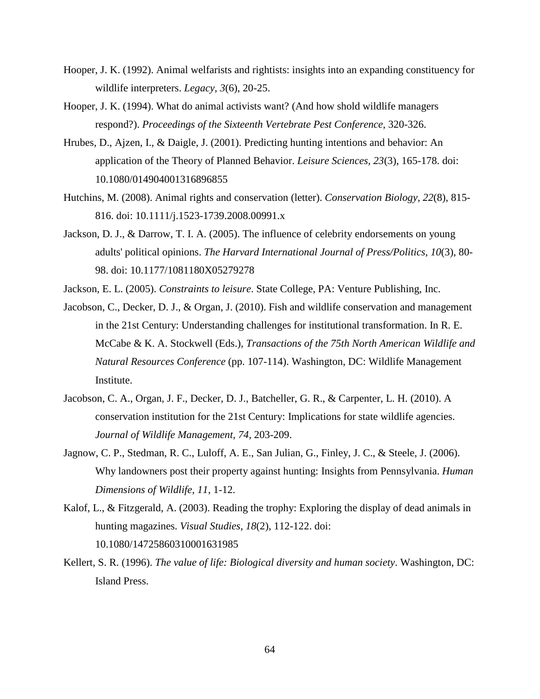- Hooper, J. K. (1992). Animal welfarists and rightists: insights into an expanding constituency for wildlife interpreters. *Legacy, 3*(6), 20-25.
- Hooper, J. K. (1994). What do animal activists want? (And how shold wildlife managers respond?). *Proceedings of the Sixteenth Vertebrate Pest Conference*, 320-326.
- Hrubes, D., Ajzen, I., & Daigle, J. (2001). Predicting hunting intentions and behavior: An application of the Theory of Planned Behavior. *Leisure Sciences, 23*(3), 165-178. doi: 10.1080/014904001316896855
- Hutchins, M. (2008). Animal rights and conservation (letter). *Conservation Biology, 22*(8), 815- 816. doi: 10.1111/j.1523-1739.2008.00991.x
- Jackson, D. J., & Darrow, T. I. A. (2005). The influence of celebrity endorsements on young adults' political opinions. *The Harvard International Journal of Press/Politics, 10*(3), 80- 98. doi: 10.1177/1081180X05279278
- Jackson, E. L. (2005). *Constraints to leisure*. State College, PA: Venture Publishing, Inc.
- Jacobson, C., Decker, D. J., & Organ, J. (2010). Fish and wildlife conservation and management in the 21st Century: Understanding challenges for institutional transformation. In R. E. McCabe & K. A. Stockwell (Eds.), *Transactions of the 75th North American Wildlife and Natural Resources Conference* (pp. 107-114). Washington, DC: Wildlife Management Institute.
- Jacobson, C. A., Organ, J. F., Decker, D. J., Batcheller, G. R., & Carpenter, L. H. (2010). A conservation institution for the 21st Century: Implications for state wildlife agencies. *Journal of Wildlife Management, 74*, 203-209.
- Jagnow, C. P., Stedman, R. C., Luloff, A. E., San Julian, G., Finley, J. C., & Steele, J. (2006). Why landowners post their property against hunting: Insights from Pennsylvania. *Human Dimensions of Wildlife, 11*, 1-12.
- Kalof, L., & Fitzgerald, A. (2003). Reading the trophy: Exploring the display of dead animals in hunting magazines. *Visual Studies, 18*(2), 112-122. doi: 10.1080/14725860310001631985
- Kellert, S. R. (1996). *The value of life: Biological diversity and human society*. Washington, DC: Island Press.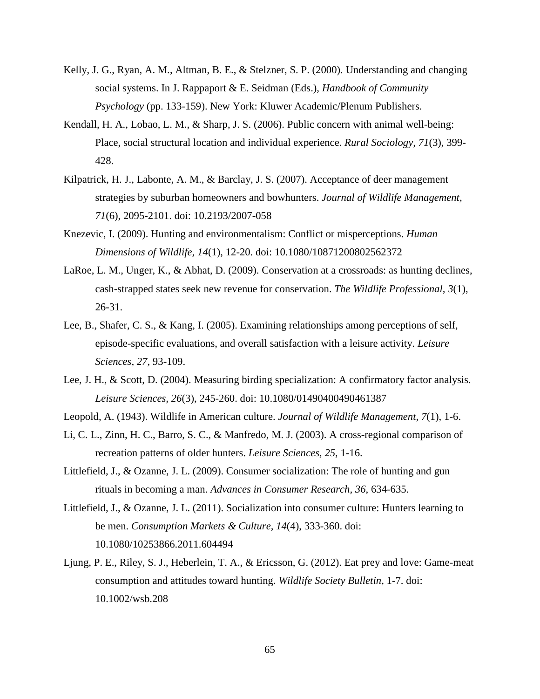- Kelly, J. G., Ryan, A. M., Altman, B. E., & Stelzner, S. P. (2000). Understanding and changing social systems. In J. Rappaport & E. Seidman (Eds.), *Handbook of Community Psychology* (pp. 133-159). New York: Kluwer Academic/Plenum Publishers.
- Kendall, H. A., Lobao, L. M., & Sharp, J. S. (2006). Public concern with animal well-being: Place, social structural location and individual experience. *Rural Sociology, 71*(3), 399- 428.
- Kilpatrick, H. J., Labonte, A. M., & Barclay, J. S. (2007). Acceptance of deer management strategies by suburban homeowners and bowhunters. *Journal of Wildlife Management, 71*(6), 2095-2101. doi: 10.2193/2007-058
- Knezevic, I. (2009). Hunting and environmentalism: Conflict or misperceptions. *Human Dimensions of Wildlife, 14*(1), 12-20. doi: 10.1080/10871200802562372
- LaRoe, L. M., Unger, K., & Abhat, D. (2009). Conservation at a crossroads: as hunting declines, cash-strapped states seek new revenue for conservation. *The Wildlife Professional, 3*(1), 26-31.
- Lee, B., Shafer, C. S., & Kang, I. (2005). Examining relationships among perceptions of self, episode-specific evaluations, and overall satisfaction with a leisure activity. *Leisure Sciences, 27*, 93-109.
- Lee, J. H., & Scott, D. (2004). Measuring birding specialization: A confirmatory factor analysis. *Leisure Sciences, 26*(3), 245-260. doi: 10.1080/01490400490461387
- Leopold, A. (1943). Wildlife in American culture. *Journal of Wildlife Management, 7*(1), 1-6.
- Li, C. L., Zinn, H. C., Barro, S. C., & Manfredo, M. J. (2003). A cross-regional comparison of recreation patterns of older hunters. *Leisure Sciences, 25*, 1-16.
- Littlefield, J., & Ozanne, J. L. (2009). Consumer socialization: The role of hunting and gun rituals in becoming a man. *Advances in Consumer Research, 36*, 634-635.
- Littlefield, J., & Ozanne, J. L. (2011). Socialization into consumer culture: Hunters learning to be men. *Consumption Markets & Culture, 14*(4), 333-360. doi: 10.1080/10253866.2011.604494
- Ljung, P. E., Riley, S. J., Heberlein, T. A., & Ericsson, G. (2012). Eat prey and love: Game-meat consumption and attitudes toward hunting. *Wildlife Society Bulletin*, 1-7. doi: 10.1002/wsb.208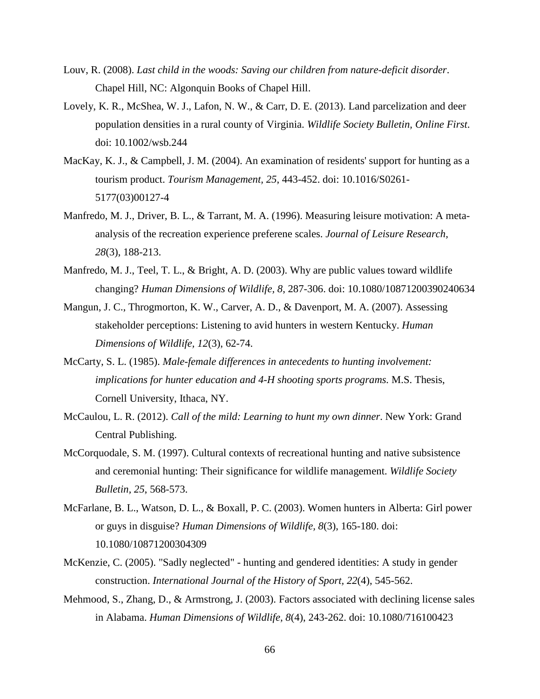- Louv, R. (2008). *Last child in the woods: Saving our children from nature-deficit disorder*. Chapel Hill, NC: Algonquin Books of Chapel Hill.
- Lovely, K. R., McShea, W. J., Lafon, N. W., & Carr, D. E. (2013). Land parcelization and deer population densities in a rural county of Virginia. *Wildlife Society Bulletin, Online First*. doi: 10.1002/wsb.244
- MacKay, K. J., & Campbell, J. M. (2004). An examination of residents' support for hunting as a tourism product. *Tourism Management, 25*, 443-452. doi: 10.1016/S0261- 5177(03)00127-4
- Manfredo, M. J., Driver, B. L., & Tarrant, M. A. (1996). Measuring leisure motivation: A metaanalysis of the recreation experience preferene scales. *Journal of Leisure Research, 28*(3), 188-213.
- Manfredo, M. J., Teel, T. L., & Bright, A. D. (2003). Why are public values toward wildlife changing? *Human Dimensions of Wildlife, 8*, 287-306. doi: 10.1080/10871200390240634
- Mangun, J. C., Throgmorton, K. W., Carver, A. D., & Davenport, M. A. (2007). Assessing stakeholder perceptions: Listening to avid hunters in western Kentucky. *Human Dimensions of Wildlife, 12*(3), 62-74.
- McCarty, S. L. (1985). *Male-female differences in antecedents to hunting involvement: implications for hunter education and 4-H shooting sports programs.* M.S. Thesis, Cornell University, Ithaca, NY.
- McCaulou, L. R. (2012). *Call of the mild: Learning to hunt my own dinner*. New York: Grand Central Publishing.
- McCorquodale, S. M. (1997). Cultural contexts of recreational hunting and native subsistence and ceremonial hunting: Their significance for wildlife management. *Wildlife Society Bulletin, 25*, 568-573.
- McFarlane, B. L., Watson, D. L., & Boxall, P. C. (2003). Women hunters in Alberta: Girl power or guys in disguise? *Human Dimensions of Wildlife, 8*(3), 165-180. doi: 10.1080/10871200304309
- McKenzie, C. (2005). "Sadly neglected" hunting and gendered identities: A study in gender construction. *International Journal of the History of Sport, 22*(4), 545-562.
- Mehmood, S., Zhang, D., & Armstrong, J. (2003). Factors associated with declining license sales in Alabama. *Human Dimensions of Wildlife, 8*(4), 243-262. doi: 10.1080/716100423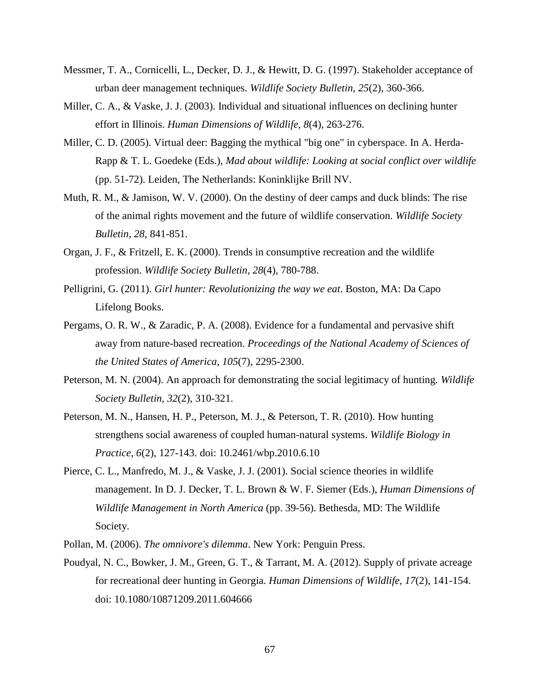- Messmer, T. A., Cornicelli, L., Decker, D. J., & Hewitt, D. G. (1997). Stakeholder acceptance of urban deer management techniques. *Wildlife Society Bulletin, 25*(2), 360-366.
- Miller, C. A., & Vaske, J. J. (2003). Individual and situational influences on declining hunter effort in Illinois. *Human Dimensions of Wildlife, 8*(4), 263-276.
- Miller, C. D. (2005). Virtual deer: Bagging the mythical "big one" in cyberspace. In A. Herda-Rapp & T. L. Goedeke (Eds.), *Mad about wildlife: Looking at social conflict over wildlife* (pp. 51-72). Leiden, The Netherlands: Koninklijke Brill NV.
- Muth, R. M., & Jamison, W. V. (2000). On the destiny of deer camps and duck blinds: The rise of the animal rights movement and the future of wildlife conservation. *Wildlife Society Bulletin, 28*, 841-851.
- Organ, J. F., & Fritzell, E. K. (2000). Trends in consumptive recreation and the wildlife profession. *Wildlife Society Bulletin, 28*(4), 780-788.
- Pelligrini, G. (2011). *Girl hunter: Revolutionizing the way we eat*. Boston, MA: Da Capo Lifelong Books.
- Pergams, O. R. W., & Zaradic, P. A. (2008). Evidence for a fundamental and pervasive shift away from nature-based recreation. *Proceedings of the National Academy of Sciences of the United States of America, 105*(7), 2295-2300.
- Peterson, M. N. (2004). An approach for demonstrating the social legitimacy of hunting. *Wildlife Society Bulletin, 32*(2), 310-321.
- Peterson, M. N., Hansen, H. P., Peterson, M. J., & Peterson, T. R. (2010). How hunting strengthens social awareness of coupled human-natural systems. *Wildlife Biology in Practice, 6*(2), 127-143. doi: 10.2461/wbp.2010.6.10
- Pierce, C. L., Manfredo, M. J., & Vaske, J. J. (2001). Social science theories in wildlife management. In D. J. Decker, T. L. Brown & W. F. Siemer (Eds.), *Human Dimensions of Wildlife Management in North America* (pp. 39-56). Bethesda, MD: The Wildlife Society.
- Pollan, M. (2006). *The omnivore's dilemma*. New York: Penguin Press.
- Poudyal, N. C., Bowker, J. M., Green, G. T., & Tarrant, M. A. (2012). Supply of private acreage for recreational deer hunting in Georgia. *Human Dimensions of Wildlife, 17*(2), 141-154. doi: 10.1080/10871209.2011.604666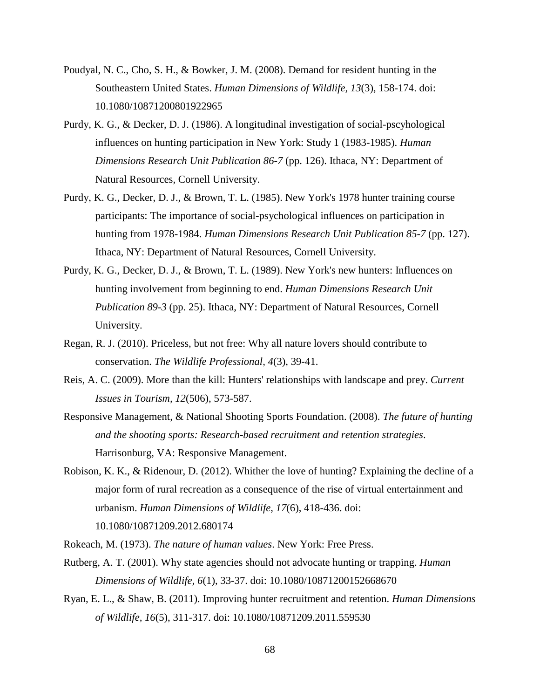- Poudyal, N. C., Cho, S. H., & Bowker, J. M. (2008). Demand for resident hunting in the Southeastern United States. *Human Dimensions of Wildlife, 13*(3), 158-174. doi: 10.1080/10871200801922965
- Purdy, K. G., & Decker, D. J. (1986). A longitudinal investigation of social-pscyhological influences on hunting participation in New York: Study 1 (1983-1985). *Human Dimensions Research Unit Publication 86-7* (pp. 126). Ithaca, NY: Department of Natural Resources, Cornell University.
- Purdy, K. G., Decker, D. J., & Brown, T. L. (1985). New York's 1978 hunter training course participants: The importance of social-psychological influences on participation in hunting from 1978-1984. *Human Dimensions Research Unit Publication 85-7* (pp. 127). Ithaca, NY: Department of Natural Resources, Cornell University.
- Purdy, K. G., Decker, D. J., & Brown, T. L. (1989). New York's new hunters: Influences on hunting involvement from beginning to end. *Human Dimensions Research Unit Publication 89-3* (pp. 25). Ithaca, NY: Department of Natural Resources, Cornell University.
- Regan, R. J. (2010). Priceless, but not free: Why all nature lovers should contribute to conservation. *The Wildlife Professional, 4*(3), 39-41.
- Reis, A. C. (2009). More than the kill: Hunters' relationships with landscape and prey. *Current Issues in Tourism, 12*(506), 573-587.
- Responsive Management, & National Shooting Sports Foundation. (2008). *The future of hunting and the shooting sports: Research-based recruitment and retention strategies*. Harrisonburg, VA: Responsive Management.
- Robison, K. K., & Ridenour, D. (2012). Whither the love of hunting? Explaining the decline of a major form of rural recreation as a consequence of the rise of virtual entertainment and urbanism. *Human Dimensions of Wildlife, 17*(6), 418-436. doi: 10.1080/10871209.2012.680174

Rokeach, M. (1973). *The nature of human values*. New York: Free Press.

- Rutberg, A. T. (2001). Why state agencies should not advocate hunting or trapping. *Human Dimensions of Wildlife, 6*(1), 33-37. doi: 10.1080/10871200152668670
- Ryan, E. L., & Shaw, B. (2011). Improving hunter recruitment and retention. *Human Dimensions of Wildlife, 16*(5), 311-317. doi: 10.1080/10871209.2011.559530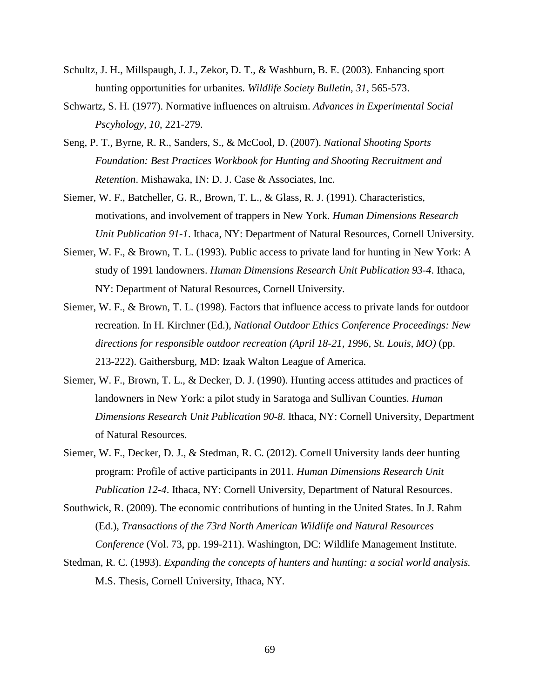- Schultz, J. H., Millspaugh, J. J., Zekor, D. T., & Washburn, B. E. (2003). Enhancing sport hunting opportunities for urbanites. *Wildlife Society Bulletin, 31*, 565-573.
- Schwartz, S. H. (1977). Normative influences on altruism. *Advances in Experimental Social Pscyhology, 10*, 221-279.
- Seng, P. T., Byrne, R. R., Sanders, S., & McCool, D. (2007). *National Shooting Sports Foundation: Best Practices Workbook for Hunting and Shooting Recruitment and Retention*. Mishawaka, IN: D. J. Case & Associates, Inc.
- Siemer, W. F., Batcheller, G. R., Brown, T. L., & Glass, R. J. (1991). Characteristics, motivations, and involvement of trappers in New York. *Human Dimensions Research Unit Publication 91-1*. Ithaca, NY: Department of Natural Resources, Cornell University.
- Siemer, W. F., & Brown, T. L. (1993). Public access to private land for hunting in New York: A study of 1991 landowners. *Human Dimensions Research Unit Publication 93-4*. Ithaca, NY: Department of Natural Resources, Cornell University.
- Siemer, W. F., & Brown, T. L. (1998). Factors that influence access to private lands for outdoor recreation. In H. Kirchner (Ed.), *National Outdoor Ethics Conference Proceedings: New directions for responsible outdoor recreation (April 18-21, 1996, St. Louis, MO)* (pp. 213-222). Gaithersburg, MD: Izaak Walton League of America.
- Siemer, W. F., Brown, T. L., & Decker, D. J. (1990). Hunting access attitudes and practices of landowners in New York: a pilot study in Saratoga and Sullivan Counties. *Human Dimensions Research Unit Publication 90-8*. Ithaca, NY: Cornell University, Department of Natural Resources.
- Siemer, W. F., Decker, D. J., & Stedman, R. C. (2012). Cornell University lands deer hunting program: Profile of active participants in 2011. *Human Dimensions Research Unit Publication 12-4*. Ithaca, NY: Cornell University, Department of Natural Resources.
- Southwick, R. (2009). The economic contributions of hunting in the United States. In J. Rahm (Ed.), *Transactions of the 73rd North American Wildlife and Natural Resources Conference* (Vol. 73, pp. 199-211). Washington, DC: Wildlife Management Institute.
- Stedman, R. C. (1993). *Expanding the concepts of hunters and hunting: a social world analysis.* M.S. Thesis, Cornell University, Ithaca, NY.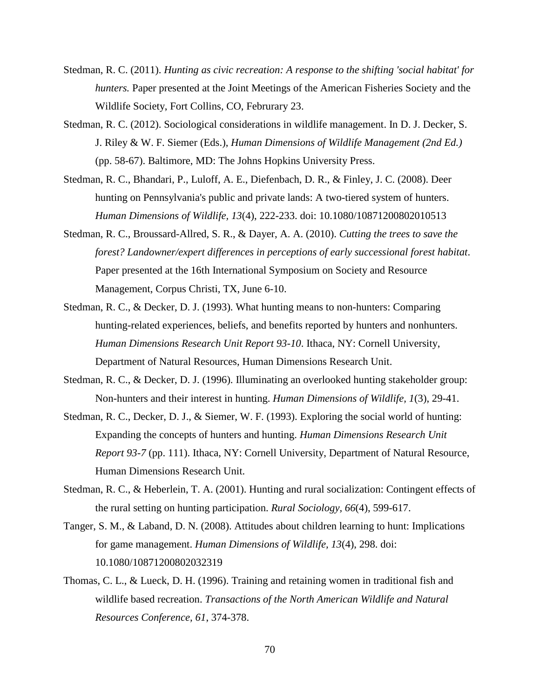- Stedman, R. C. (2011). *Hunting as civic recreation: A response to the shifting 'social habitat' for hunters.* Paper presented at the Joint Meetings of the American Fisheries Society and the Wildlife Society, Fort Collins, CO, Februrary 23.
- Stedman, R. C. (2012). Sociological considerations in wildlife management. In D. J. Decker, S. J. Riley & W. F. Siemer (Eds.), *Human Dimensions of Wildlife Management (2nd Ed.)* (pp. 58-67). Baltimore, MD: The Johns Hopkins University Press.
- Stedman, R. C., Bhandari, P., Luloff, A. E., Diefenbach, D. R., & Finley, J. C. (2008). Deer hunting on Pennsylvania's public and private lands: A two-tiered system of hunters. *Human Dimensions of Wildlife, 13*(4), 222-233. doi: 10.1080/10871200802010513
- Stedman, R. C., Broussard-Allred, S. R., & Dayer, A. A. (2010). *Cutting the trees to save the forest? Landowner/expert differences in perceptions of early successional forest habitat*. Paper presented at the 16th International Symposium on Society and Resource Management, Corpus Christi, TX, June 6-10.
- Stedman, R. C., & Decker, D. J. (1993). What hunting means to non-hunters: Comparing hunting-related experiences, beliefs, and benefits reported by hunters and nonhunters. *Human Dimensions Research Unit Report 93-10*. Ithaca, NY: Cornell University, Department of Natural Resources, Human Dimensions Research Unit.
- Stedman, R. C., & Decker, D. J. (1996). Illuminating an overlooked hunting stakeholder group: Non-hunters and their interest in hunting. *Human Dimensions of Wildlife, 1*(3), 29-41.
- Stedman, R. C., Decker, D. J., & Siemer, W. F. (1993). Exploring the social world of hunting: Expanding the concepts of hunters and hunting. *Human Dimensions Research Unit Report 93-7* (pp. 111). Ithaca, NY: Cornell University, Department of Natural Resource, Human Dimensions Research Unit.
- Stedman, R. C., & Heberlein, T. A. (2001). Hunting and rural socialization: Contingent effects of the rural setting on hunting participation. *Rural Sociology, 66*(4), 599-617.
- Tanger, S. M., & Laband, D. N. (2008). Attitudes about children learning to hunt: Implications for game management. *Human Dimensions of Wildlife, 13*(4), 298. doi: 10.1080/10871200802032319
- Thomas, C. L., & Lueck, D. H. (1996). Training and retaining women in traditional fish and wildlife based recreation. *Transactions of the North American Wildlife and Natural Resources Conference, 61*, 374-378.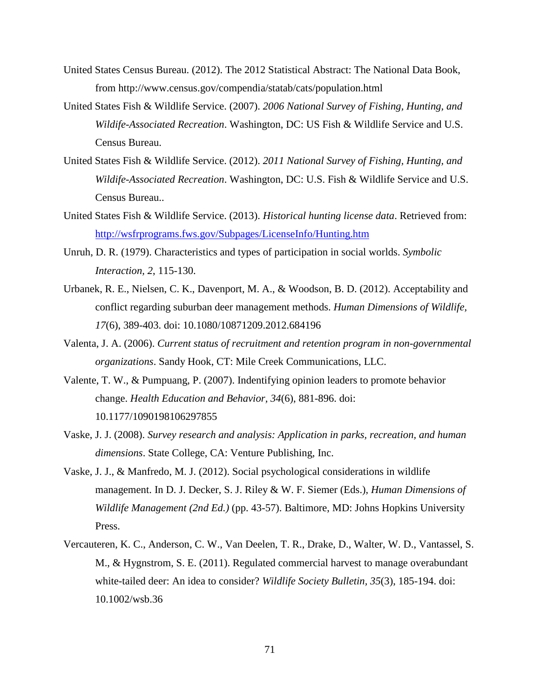- United States Census Bureau. (2012). The 2012 Statistical Abstract: The National Data Book, from http://www.census.gov/compendia/statab/cats/population.html
- United States Fish & Wildlife Service. (2007). *2006 National Survey of Fishing, Hunting, and Wildife-Associated Recreation*. Washington, DC: US Fish & Wildlife Service and U.S. Census Bureau.
- United States Fish & Wildlife Service. (2012). *2011 National Survey of Fishing, Hunting, and Wildife-Associated Recreation*. Washington, DC: U.S. Fish & Wildlife Service and U.S. Census Bureau..
- United States Fish & Wildlife Service. (2013). *Historical hunting license data*. Retrieved from: <http://wsfrprograms.fws.gov/Subpages/LicenseInfo/Hunting.htm>
- Unruh, D. R. (1979). Characteristics and types of participation in social worlds. *Symbolic Interaction, 2*, 115-130.
- Urbanek, R. E., Nielsen, C. K., Davenport, M. A., & Woodson, B. D. (2012). Acceptability and conflict regarding suburban deer management methods. *Human Dimensions of Wildlife, 17*(6), 389-403. doi: 10.1080/10871209.2012.684196
- Valenta, J. A. (2006). *Current status of recruitment and retention program in non-governmental organizations*. Sandy Hook, CT: Mile Creek Communications, LLC.
- Valente, T. W., & Pumpuang, P. (2007). Indentifying opinion leaders to promote behavior change. *Health Education and Behavior, 34*(6), 881-896. doi: 10.1177/1090198106297855
- Vaske, J. J. (2008). *Survey research and analysis: Application in parks, recreation, and human dimensions*. State College, CA: Venture Publishing, Inc.
- Vaske, J. J., & Manfredo, M. J. (2012). Social psychological considerations in wildlife management. In D. J. Decker, S. J. Riley & W. F. Siemer (Eds.), *Human Dimensions of Wildlife Management (2nd Ed.)* (pp. 43-57). Baltimore, MD: Johns Hopkins University Press.
- Vercauteren, K. C., Anderson, C. W., Van Deelen, T. R., Drake, D., Walter, W. D., Vantassel, S. M., & Hygnstrom, S. E. (2011). Regulated commercial harvest to manage overabundant white-tailed deer: An idea to consider? *Wildlife Society Bulletin, 35*(3), 185-194. doi: 10.1002/wsb.36